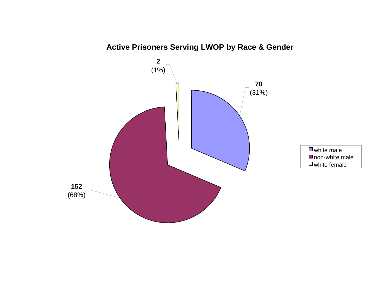

# **Active Prisoners Serving LWOP by Race & Gender**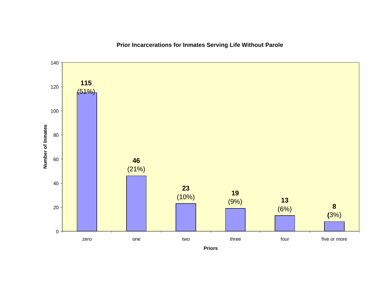

# **Prior Incarcerations for Inmates Serving Life Without Parole**

**Priors**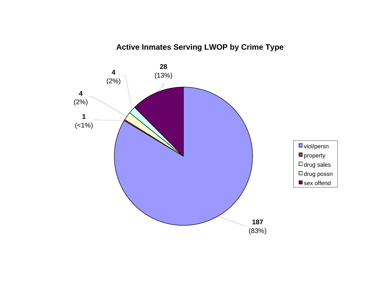# **Active Inmates Serving LWOP by Crime Type**

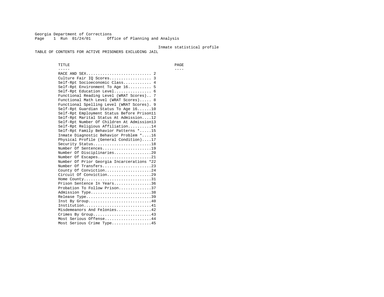Georgia Department of Corrections Page 1 Run 01/24/01 Office of Planning and Analysis

### Inmate statistical profile

TABLE OF CONTENTS FOR ACTIVE PRISONERS EXCLUDING JAIL

 TITLE PAGE ----- ---- RACE AND SEX............................ 2 Culture Fair IQ Scores.................. 3 Self-Rpt Socioeconomic Class............ 4 Self-Rpt Environment To Age 16.......... 5 Self-Rpt Education Level................ 6 Functional Reading Level (WRAT Scores).. 7 Functional Math Level (WRAT Scores)..... 8 Functional Spelling Level (WRAT Scores). 9 Self-Rpt Guardian Status To Age 16......10 Self-Rpt Employment Status Before Prison11 Self-Rpt Marital Status At Admission....12 Self-Rpt Number Of Children At Admission13 Self-Rpt Religious Affiliation..........14 Self-Rpt Family Behavior Patterns \*.....15 Inmate Diagnostic Behavior Problem \*....16 Physical Profile (General Condition)....17 Security Status...........................18 Number Of Sentences.....................19 Number Of Disciplinaries................20 Number Of Escapes........................21 Number Of Prior Georgia Incarcerations \*22 Number Of Transfers.....................23 County Of Conviction....................24 Circuit Of Conviction...................29 Home County................................31 Prison Sentence In Years................36 Probation To Follow Prison..............37Admission Type.............................38 Release Type...............................39 Inst By Group..............................40 Institution.............................41 Misdemeanors And Felonies...............42 Crimes By Group.........................43 Most Serious Offense....................44 Most Serious Crime Type.................45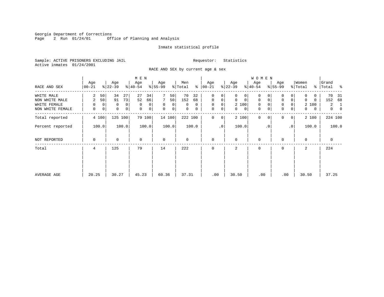Georgia Department of Corrections<br>Page 2 Run 01/24/01 0ff Office of Planning and Analysis

# Inmate statistical profile

Sample: ACTIVE PRISONERS EXCLUDING JAIL **Requestor:** Statistics Active inmates 01/24/2001

RACE AND SEX by current age & sex

|                                  |                         |                                      | M E N                |                                                    |                         |                                      |                                             | <b>WOMEN</b>                    |                                                |                            |                                           |
|----------------------------------|-------------------------|--------------------------------------|----------------------|----------------------------------------------------|-------------------------|--------------------------------------|---------------------------------------------|---------------------------------|------------------------------------------------|----------------------------|-------------------------------------------|
| RACE AND SEX                     | Age<br>$ 00 - 21 $      | Age<br>$ 22-39 $                     | Age<br>$ 40-54 $     | Age<br>$8 55-99$                                   | Men<br>% Total          | Age<br>$8   00 - 21$                 | Age<br>$ 22-39 $                            | Age<br>$ 40-54 $                | Age<br>$8 55-99$                               | Women<br>% Total           | Grand<br>% Total %                        |
| WHITE MALE<br>NON WHITE MALE     | 2<br>50<br>50<br>2      | 34<br>27<br>73<br>91                 | 27<br>34<br>52<br>66 | 50<br>7<br>50                                      | 70<br>32<br>152<br>68   | $\mathbf 0$<br>0<br>$\mathbf 0$<br>0 | $\Omega$<br>0<br>$\mathbf 0$<br>$\mathbf 0$ | 0<br>$\mathbf 0$<br>$\mathbf 0$ | $\mathbf 0$<br>$\overline{0}$                  | 0<br>0<br>$\Omega$<br>0    | 70<br>- 31<br>152<br>68                   |
| WHITE FEMALE<br>NON WHITE FEMALE | $\Omega$<br>0<br>0<br>0 | 0<br>0<br>$\mathbf 0$<br>$\mathbf 0$ | 0<br>0<br>0<br>0     | $\mathbf 0$<br>$\overline{0}$<br>$\mathbf 0$<br> 0 | $\Omega$<br>0<br>0<br>0 | $\mathbf 0$<br>0<br>0<br>$\mathbf 0$ | 2 100<br>$\mathbf{0}$<br>0                  | 0<br>0<br>0                     | 0<br>$\Omega$<br>$\mathbf 0$<br>$\overline{0}$ | 2 100<br>$\mathbf{0}$<br>0 | $\mathbf{2}$<br>-1<br>$\overline{0}$<br>0 |
| Total reported                   | 4 100                   | 125<br>100                           | 79 100               | 14 100                                             | 222 100                 | $\mathbf 0$<br>0                     | 2 100                                       | $\mathbf{0}$<br>$\Omega$        | $\Omega$<br>0 <sup>1</sup>                     | 2 100                      | 224 100                                   |
| Percent reported                 | 100.0                   | 100.0                                | 100.0                | 100.0                                              | 100.0                   | $\cdot$ 0                            | 100.0                                       | $\cdot$ 0                       | .0 <sup>1</sup>                                | 100.0                      | 100.0                                     |
| NOT REPORTED                     | 0                       | 0                                    | $\mathbf 0$          | $\mathbf 0$                                        | 0                       | $\mathbf 0$                          | $\Omega$                                    | 0                               | $\Omega$                                       | $\Omega$                   | $\mathbf 0$                               |
| Total                            | 4                       | 125                                  | 79                   | 14                                                 | 222                     | $\Omega$                             | 2                                           | 0                               | $\Omega$                                       | 2                          | 224                                       |
|                                  |                         |                                      |                      |                                                    |                         |                                      |                                             |                                 |                                                |                            |                                           |
| AVERAGE AGE                      | 20.25                   | 30.27                                | 45.23                | 60.36                                              | 37.31                   | .00                                  | 30.50                                       | .00                             | .00                                            | 30.50                      | 37.25                                     |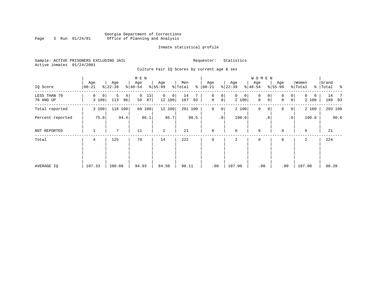# Georgia Department of Corrections Page 3 Run 01/24/01 Office of Planning and Analysis

# Inmate statistical profile

Sample: ACTIVE PRISONERS EXCLUDING JAIL **Requestor:** Statistics Active inmates 01/24/2001

Culture Fair IQ Scores by current age & sex

| IQ Score                  | Age<br>$00 - 21$ | Age<br>$ 22-39 $    | M E N<br>Age<br>$ 40-54 $ | Age<br>$8 55-99$           | Men<br>ి<br>% Total | Age<br>$ 00 - 21 $          | Age<br>$ 22-39 $           | <b>WOMEN</b><br>Age<br>$ 40-54 $                       | Age<br>$ 55-99 $                        | Women<br>% Total<br>$\frac{8}{6}$ | Grand<br>Total<br>$\sim$ $\sim$ |
|---------------------------|------------------|---------------------|---------------------------|----------------------------|---------------------|-----------------------------|----------------------------|--------------------------------------------------------|-----------------------------------------|-----------------------------------|---------------------------------|
| LESS THAN 70<br>70 AND UP | 0<br>0<br>3 100  | 5<br>4<br>113<br>96 | 9<br>13<br>59<br>87       | $\mathbf 0$<br>0<br>12 100 | 14<br>187<br>93     | 0<br>0<br>$\mathsf{O}$<br>0 | $\mathsf{O}$<br>0<br>2 100 | $\mathbf 0$<br>0<br>$\mathsf{O}\xspace$<br>$\mathbf 0$ | 0<br>0<br>0 <sup>1</sup><br>$\mathbf 0$ | $\mathbf{0}$<br>0<br>2 100        | 14<br>$\overline{7}$<br>189 93  |
| Total reported            | 3 100            | 118<br>100          | 68 100                    | 12 100                     | 201 100             | $\mathbf 0$<br>0            | 2 100                      | $\mathbf 0$<br>0                                       | 0<br>0 <sup>1</sup>                     | 2 100                             | 203 100                         |
| Percent reported          | 75.0             | 94.4                | 86.1                      | 85.7                       | 90.5                | $\cdot$ 0                   | 100.0                      | $\cdot$ 0                                              | $\cdot$ 0                               | 100.0                             | 90.6                            |
| NOT REPORTED              |                  | $7^{\circ}$         | 11                        | 2                          | 21                  | $\mathbf 0$                 | 0                          | $\mathbf 0$                                            | $\mathbf 0$                             | 0                                 | 21                              |
| Total                     | 4                | 125                 | 79                        | 14                         | 222                 | 0                           | 2                          | 0                                                      | 0                                       | 2                                 | 224                             |
| AVERAGE IQ                | 107.33           | 100.08              | 94.93                     | 94.50                      | 98.11               | .00                         | 107.00                     | .00                                                    | .00                                     | 107.00                            | 98.20                           |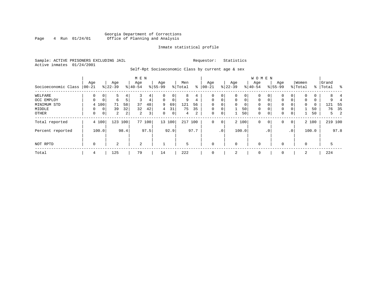# Georgia Department of Corrections<br>4 Run 01/24/01 Office of Planning and Analysis Page 4 Run 01/24/01 Office of Planning and Analysis

# Inmate statistical profile

Sample: ACTIVE PRISONERS EXCLUDING JAIL **Requestor:** Statistics Active inmates 01/24/2001

Self-Rpt Socioeconomic Class by current age & sex

|                     |                 |             |                  |                | M E N            |                |                  |             |                |      |                  |             |                 |             | <b>WOMEN</b>     |                |                    |                 |                  |       |                |         |
|---------------------|-----------------|-------------|------------------|----------------|------------------|----------------|------------------|-------------|----------------|------|------------------|-------------|-----------------|-------------|------------------|----------------|--------------------|-----------------|------------------|-------|----------------|---------|
| Socioeconomic Class | Age<br>$ 00-21$ |             | Age<br>$ 22-39 $ |                | Age<br>$8 40-54$ |                | Age<br>$8 55-99$ |             | Men<br>% Total | ႜ    | Age<br>$ 00-21 $ |             | Age<br>$ 22-39$ |             | Age<br>$8 40-54$ |                | Age<br>$8155 - 99$ |                 | Women<br>% Total | ႜၟ    | Grand<br>Total | ႜ       |
| WELFARE             | $\mathbf 0$     | 0           |                  | 4              |                  | 4              |                  | 0           | 8              | 4    | 0                | 0           |                 | 0           | 0                | 0              |                    | 0               | 0                | 0     | 8              |         |
| OCC EMPLOY          | 0               | $\mathbf 0$ | 6                |                | 3                | 4              | $\Omega$         | $\mathbf 0$ | 9              | 4    | $\mathbf 0$      | $\mathbf 0$ | $\Omega$        | $\Omega$    | $\Omega$         | $\Omega$       | 0                  | $\mathbf{0}$    | 0                | 0     | 9              |         |
| MINIMUM STD         |                 | 4 100       | 71               | 58             | 37               | 48             | 9                | 69          | 121            | 56   | $\Omega$         | 0           | $\Omega$        | $\mathbf 0$ | 0                |                | 0                  |                 | 0                | 0     | 121            | -55     |
| MIDDLE              | 0               | 0           | 39               | 32             | 32               | 42             | 4                | 31          | 75             | 35   | $\mathbf 0$      | 0           |                 | 50          | $\mathbf{0}$     |                | 0                  | 0               |                  | 50    | 76             | 35      |
| OTHER               | 0               | 0           | $\overline{a}$   | $\overline{2}$ | 2                | 3 <sup>1</sup> | 0                | $\mathbf 0$ | 4              | 2    | $\mathbf 0$      | 0           |                 | 50          | $\mathbf{0}$     | $\overline{0}$ | $\mathbf 0$        | $\mathbf{0}$    |                  | 50    | 5              | 2       |
| Total reported      |                 | 4 100       |                  | 123 100        |                  | 77 100         |                  | 13 100      | 217 100        |      | 0                | 0           |                 | 2 100       | $\mathbf{0}$     | 0              | 0                  | $\circ$         |                  | 2 100 |                | 219 100 |
| Percent reported    |                 | 100.0       |                  | 98.4           |                  | 97.5           |                  | 92.9        |                | 97.7 |                  | .0'         |                 | 100.0       |                  | $\cdot$ 0      |                    | .0 <sup>1</sup> |                  | 100.0 |                | 97.8    |
| NOT RPTD            | $\mathbf 0$     |             | $\mathbf{2}$     |                | 2                |                |                  |             | 5              |      | $\mathbf 0$      |             | $\Omega$        |             | 0                |                | $\Omega$           |                 | $\mathbf 0$      |       | 5              |         |
| Total               | 4               |             | 125              |                | 79               |                | 14               |             | 222            |      | $\mathbf 0$      |             | 2               |             | 0                |                | 0                  |                 | 2                |       | 224            |         |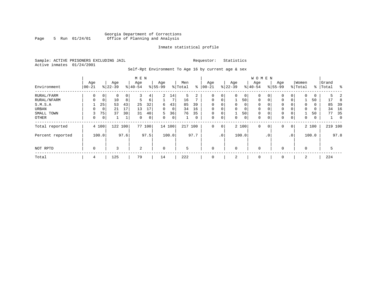# Georgia Department of Corrections Page 5 Run 01/24/01 Office of Planning and Analysis

# Inmate statistical profile

Sample: ACTIVE PRISONERS EXCLUDING JAIL **Requestor:** Statistics Active inmates 01/24/2001

Self-Rpt Environment To Age 16 by current age & sex

|                  |                 |       |                  |      | M E N            |        |                  |                |                |      |                  |                 |                 |                | <b>WOMEN</b>    |             |                    |          |                  |       |                |                |
|------------------|-----------------|-------|------------------|------|------------------|--------|------------------|----------------|----------------|------|------------------|-----------------|-----------------|----------------|-----------------|-------------|--------------------|----------|------------------|-------|----------------|----------------|
| Environment      | Age<br>$ 00-21$ |       | Age<br>$8 22-39$ |      | Age<br>$8 40-54$ |        | Age<br>$8 55-99$ |                | Men<br>% Total | ႜ    | Age<br>$00 - 21$ |                 | Age<br>$ 22-39$ |                | Age<br>$ 40-54$ |             | Age<br>$8155 - 99$ |          | Women<br>% Total | ႜ     | Grand<br>Total | န္             |
| RURAL/FARM       | 0               | 0     | $\Omega$         | 0    | 3                | 4      | $\overline{a}$   | 14             | 5              | 2    | $\Omega$         | 0 <sup>1</sup>  | $\mathbf 0$     | $\circ$        | 0               |             | $\mathbf 0$        | 0        | $\Omega$         | 0     | 5              |                |
| RURAL/NFARM      | 0               | 0     | 10               | 8    | 5                | 6      |                  |                | 16             |      | $\mathbf 0$      | 0 <sup>1</sup>  |                 | 50             | $\mathbf 0$     | 0           | $\mathbf{0}$       | 0        |                  | 50    | 17             | 8              |
| S.M.S.A          |                 | 25    | 53               | 43   | 25               | 32     | 6                | 43             | 85             | 39   | $\Omega$         | 0 <sup>1</sup>  | $\Omega$        | $\overline{0}$ | 0               |             | $\mathbf 0$        | 0        | 0                | 0     | 85             | 39             |
| URBAN            | $\Omega$        | 0     | 21               | 17   | 13               | 17     | 0                | $\overline{0}$ | 34             | 16   | $\Omega$         | 0               |                 | $\overline{0}$ | 0               |             | 0                  | $\Omega$ | $\Omega$         | 0     | 34             | 16             |
| SMALL TOWN       | 3               | 75    | 37               | 30   | 31               | 40     | 5.               | 36             | 76             | 35   | $\Omega$         | 0 <sup>1</sup>  |                 | 50             | $\mathbf 0$     |             | 0                  | $\Omega$ |                  | 50    | 77             | 35             |
| OTHER            | 0               | 0     |                  |      | $\Omega$         | 0      | $\Omega$         | $\overline{0}$ |                | 0    | $\mathbf 0$      | 0 <sup>1</sup>  | $\Omega$        | $\overline{0}$ | 0               | $\Omega$    | $\mathbf{0}$       | 0        | $\Omega$         | 0     |                | $\overline{0}$ |
| Total reported   |                 | 4 100 | 122              | 100  |                  | 77 100 |                  | 14 100         | 217            | 100  | $\mathbf{0}$     | 0 <sup>1</sup>  |                 | 2 100          | $\Omega$        | $\mathbf 0$ | $\mathbf 0$        | 0        |                  | 2 100 |                | 219 100        |
| Percent reported |                 | 100.0 |                  | 97.6 |                  | 97.5   |                  | 100.0          |                | 97.7 |                  | .0 <sup>1</sup> |                 | 100.0          |                 | $\cdot$ 0   |                    | .0'      |                  | 100.0 |                | 97.8           |
| NOT RPTD         | $\mathbf 0$     |       | 3                |      | 2                |        | $\mathbf 0$      |                | 5              |      | $\Omega$         |                 | $\Omega$        |                | $\mathbf 0$     |             | $\mathbf 0$        |          | $\Omega$         |       | 5              |                |
| Total            | 4               |       | 125              |      | 79               |        | 14               |                | 222            |      | 0                |                 | 2               |                | 0               |             | 0                  |          | 2                |       | 224            |                |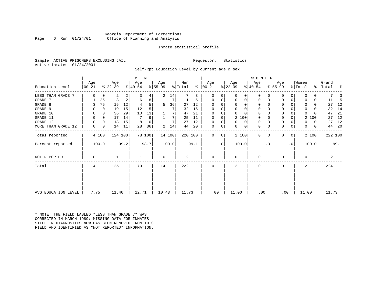# Georgia Department of Corrections Page 6 Run 01/24/01 Office of Planning and Analysis

# Inmate statistical profile

Sample: ACTIVE PRISONERS EXCLUDING JAIL **Requestor:** Statistics Active inmates 01/24/2001

Self-Rpt Education Level by current age & sex

|                     |                  |          |                  | M E N   |                  |        |                 |        |                |      |                 |        |                  | WOMEN    |                  |          |                  |           |                  |       |                    |         |
|---------------------|------------------|----------|------------------|---------|------------------|--------|-----------------|--------|----------------|------|-----------------|--------|------------------|----------|------------------|----------|------------------|-----------|------------------|-------|--------------------|---------|
| Education Level     | Age<br>$00 - 21$ |          | Age<br>$ 22-39 $ |         | Age<br>$ 40-54 $ |        | Age<br>$ 55-99$ |        | Men<br>% Total | ⊱    | Age<br>$ 00-21$ |        | Age<br>$ 22-39 $ |          | Age<br>$ 40-54 $ |          | Age<br>$8 55-99$ |           | Women<br>% Total |       | Grand<br>% Total % |         |
| LESS THAN GRADE 7   | $\Omega$         |          | 2                | 2       | 3                |        | 2               |        |                | 3    | O               |        | $\Omega$         | 0        | $\mathbf 0$      | O        | 0                |           |                  |       |                    |         |
| GRADE 7             |                  | 0<br>25  | 3                | 2       | 6                | 4<br>8 |                 | 14     | 11             | 5    | 0               | 0<br>0 | 0                | 0        | 0                | 0        | $\Omega$         |           |                  | 0     | 11                 | -5      |
| GRADE 8             |                  | 75       | 15               | 12      |                  | 5      | 5               | 36     | 27             | 12   | $\Omega$        |        | $\Omega$         | 0        | $\Omega$         |          | $\Omega$         |           |                  | 0     | 27                 | 12      |
| GRADE 9             |                  | $\Omega$ | 19               | 15      | 12               | 15     |                 |        | 32             | 15   |                 |        | $\Omega$         | 0        | 0                | O        | 0                |           | <sup>0</sup>     | U     | 32                 | 14      |
| GRADE 10            |                  | 0        | 36               | 29      | 10               | 13     |                 | 7      | 47             | 21   | $\Omega$        | 0      | $\Omega$         | $\Omega$ | $\mathbf 0$      | O        | 0                |           | $\Omega$         |       | 47                 | 21      |
| GRADE 11            | $\Omega$         | 0        | 17               | 14      | 7                | 9      |                 | 7      | 25             | 11   | $\Omega$        |        | 2 100            |          | 0                |          | $\Omega$         |           | 2                | 100   | 27                 | 12      |
| GRADE 12            | 0                | 0        | 18               | 15      | 8                | 10     |                 | 7      | 27             | 12   | $\Omega$        | 0      | $\Omega$         | 0        | 0                | $\Omega$ | 0                |           | 0                | 0     | 27                 | 12      |
| MORE THAN GRADE 12  | 0                | 0        | 14               | 11      | 28               | 36     | 2               | 14     | 44             | 20   | 0               | 0      | 0                | 0        | 0                | 0        | 0                | 0         | 0                | 0     | 44                 | -20     |
| Total reported      |                  | 4 100    |                  | 124 100 |                  | 78 100 |                 | 14 100 | 220 100        |      | $\Omega$        | 0      | 2 100            |          | $\mathbf 0$      | $\Omega$ | 0                | 0         |                  | 2 100 |                    | 222 100 |
| Percent reported    |                  | 100.0    |                  | 99.2    |                  | 98.7   |                 | 100.0  |                | 99.1 |                 | .0     | 100.0            |          |                  | . 0      |                  | $\cdot$ 0 |                  | 100.0 |                    | 99.1    |
| NOT REPORTED        | $\Omega$         |          |                  |         |                  |        | $\Omega$        |        | 2              |      | $\Omega$        |        | $\Omega$         |          | $\mathbf 0$      |          | $\Omega$         |           | $\Omega$         |       |                    | 2       |
| Total               | 4                |          | 125              |         | 79               |        | 14              |        | 222            |      | $\Omega$        |        | 2                |          | $\mathbf 0$      |          | $\Omega$         |           | $\mathbf{2}$     |       | 224                |         |
|                     |                  |          |                  |         |                  |        |                 |        |                |      |                 |        |                  |          |                  |          |                  |           |                  |       |                    |         |
| AVG EDUCATION LEVEL | 7.75             |          | 11.40            |         | 12.71            |        | 10.43           |        | 11.73          |      | .00             |        | 11.00            |          | .00              |          | .00              |           | 11.00            |       | 11.73              |         |

\* NOTE: THE FIELD LABLED "LESS THAN GRADE 7" WAS CORRECTED IN MARCH 1989: MISSING DATA FOR INMATES STILL IN DIAGNOSTICS NOW HAS BEEN REMOVED FROM THIS FIELD AND IDENTIFIED AS "NOT REPORTED" INFORMATION.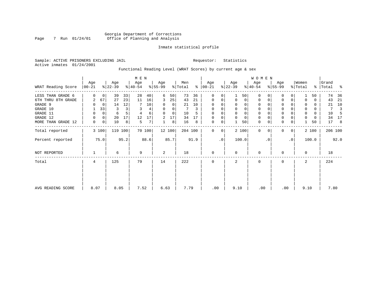# Georgia Department of Corrections Page 7 Run 01/24/01 Office of Planning and Analysis

# Inmate statistical profile

Sample: ACTIVE PRISONERS EXCLUDING JAIL **Requestor:** Statistics Active inmates 01/24/2001

# Functional Reading Level (WRAT Scores) by current age & sex

|                                                                                                              |                              | M E N                                                 |                                      |                                                  |                          |                                     |                                          |                                    |                                  |                                     |                                                                                 | WOMEN                          |                                   |                                          |                                                                                                     |                                |                                                      |             |                                                  |                                          |                                       |                                      |
|--------------------------------------------------------------------------------------------------------------|------------------------------|-------------------------------------------------------|--------------------------------------|--------------------------------------------------|--------------------------|-------------------------------------|------------------------------------------|------------------------------------|----------------------------------|-------------------------------------|---------------------------------------------------------------------------------|--------------------------------|-----------------------------------|------------------------------------------|-----------------------------------------------------------------------------------------------------|--------------------------------|------------------------------------------------------|-------------|--------------------------------------------------|------------------------------------------|---------------------------------------|--------------------------------------|
| WRAT Reading Score                                                                                           | Age<br>$ 00-21$              |                                                       | Age<br>$ 22-39 $                     |                                                  | Age<br>$ 40-54 $         |                                     | Age<br>$8 55-99$                         |                                    | Men<br>% Total                   | ∻                                   | Age<br>$ 00-21 $                                                                |                                | Age<br>$ 22-39 $                  |                                          | Age<br>$ 40-54 $                                                                                    |                                | Age<br>$8 55-99$                                     |             | Women<br>% Total                                 |                                          | Grand<br>%   Total                    | း                                    |
| LESS THAN GRADE 6<br>6TH THRU 8TH GRADE<br>GRADE 9<br>GRADE 10<br>GRADE 11<br>GRADE 12<br>MORE THAN GRADE 12 | 2<br>O<br>0<br>$\Omega$<br>0 | 0<br>67<br>$\mathbf 0$<br>33<br>0<br>$\mathbf 0$<br>0 | 39<br>27<br>14<br>3<br>6<br>20<br>10 | 33<br>23<br>12<br>3 <sub>1</sub><br>5<br>17<br>8 | 28<br>11<br>3<br>12<br>5 | 40<br>16<br>10<br>4<br>6<br>17<br>7 | 6<br>3<br>0<br>$\Omega$<br>$\Omega$<br>2 | 50<br>25<br>0<br>0<br>0<br>17<br>8 | 73<br>43<br>21<br>10<br>34<br>16 | 36<br>21<br>10<br>3<br>5<br>17<br>8 | $\Omega$<br>0<br>$\mathbf 0$<br>$\Omega$<br>$\Omega$<br>$\Omega$<br>$\mathbf 0$ | 0<br>0<br>$\Omega$<br>$\Omega$ | 0<br>0<br>$\mathbf 0$<br>$\Omega$ | 50<br>0<br>0<br>0<br>0<br>$\Omega$<br>50 | $\Omega$<br>$\mathbf 0$<br>$\mathbf 0$<br>$\mathbf 0$<br>$\mathbf 0$<br>$\mathbf{0}$<br>$\mathbf 0$ | 0<br>0<br>$\Omega$<br>$\Omega$ | O<br>0<br>0<br>$\Omega$<br>$\Omega$<br>$\Omega$<br>0 | 0<br>0<br>0 | 0<br>0<br>$\mathbf 0$<br>$\mathbf 0$<br>$\Omega$ | 50<br>0<br>0<br>0<br>0<br>$\Omega$<br>50 | 74<br>43<br>21<br>7<br>10<br>34<br>17 | 36<br>21<br>10<br>3<br>-5<br>17<br>8 |
| Total reported                                                                                               | 3 100                        |                                                       | 119                                  | 100                                              |                          | 70 100                              |                                          | 12 100                             | 204 100                          |                                     | $\Omega$                                                                        | $\Omega$                       |                                   | 2 100                                    | $\Omega$                                                                                            | $\Omega$                       | $\Omega$                                             | $\Omega$    |                                                  | 2 100                                    |                                       | 206 100                              |
| Percent reported<br>NOT REPORTED                                                                             |                              | 75.0                                                  | 6                                    | 95.2                                             | 9                        | 88.6                                | 2                                        | 85.7                               | 18                               | 91.9                                | $\Omega$                                                                        | $\cdot$ 0                      | $\Omega$                          | 100.0                                    | $\Omega$                                                                                            | . 0                            | O                                                    | $\cdot$ 0   | 0                                                | 100.0                                    | 18                                    | 92.0                                 |
| Total                                                                                                        | 4                            |                                                       | 125                                  |                                                  | 79                       |                                     | 14                                       |                                    | 222                              |                                     | $\Omega$                                                                        |                                | $\mathfrak{D}$                    |                                          | $\Omega$                                                                                            |                                | O                                                    |             | 2                                                |                                          | 224                                   |                                      |
| AVG READING SCORE                                                                                            | 8.07                         |                                                       | 8.05                                 |                                                  | 7.52                     |                                     | 6.63                                     |                                    | 7.79                             |                                     | .00                                                                             |                                | 9.10                              |                                          | .00                                                                                                 |                                | .00                                                  |             | 9.10                                             |                                          | 7.80                                  |                                      |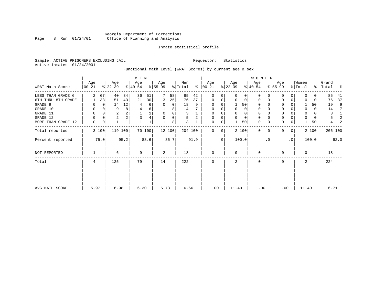# Georgia Department of Corrections Page 8 Run 01/24/01 Office of Planning and Analysis

# Inmate statistical profile

Sample: ACTIVE PRISONERS EXCLUDING JAIL **Requestor:** Statistics Active inmates 01/24/2001

# Functional Math Level (WRAT Scores) by current age & sex

|                    |                 |          |                  |              | M E N            |        |                  |        |                |      |                 |             |                  |       | W O M E N        |          |                  |           |                  |       |                    |      |
|--------------------|-----------------|----------|------------------|--------------|------------------|--------|------------------|--------|----------------|------|-----------------|-------------|------------------|-------|------------------|----------|------------------|-----------|------------------|-------|--------------------|------|
| WRAT Math Score    | Age<br>$ 00-21$ |          | Age<br>$ 22-39 $ |              | Age<br>$ 40-54 $ |        | Age<br>$ 55-99 $ |        | Men<br>% Total | ွေ   | Age<br>$ 00-21$ |             | Age<br>$ 22-39 $ |       | Age<br>$ 40-54 $ |          | Age<br>$ 55-99 $ |           | Women<br>% Total |       | Grand<br>%   Total | း    |
| LESS THAN GRADE 6  | 2               | 67       | 40               | 34           | 36               | 51     |                  | 58     | 85             | 42   | 0               | $\Omega$    | $\Omega$         | 0     | $\mathbf 0$      | $\Omega$ | 0                | $\Omega$  | O                | 0     | 85                 | 41   |
| 6TH THRU 8TH GRADE |                 | 33       | 51               | 43           | 21               | 30     | 3                | 25     | 76             | 37   | 0               | 0           | $\mathbf 0$      | 0     | 0                | 0        | 0                | 0         |                  | 0     | 76                 | 37   |
| GRADE 9            |                 | 0        | 14               | 12           | 4                | 6      | 0                | 0      | 18             | 9    | 0               |             |                  | 50    | 0                |          | $\Omega$         |           |                  | 50    | 19                 | 9    |
| GRADE 10           | 0               |          | 9                | 8            | 4                | 6      |                  | 8      | 14             |      | 0               |             | 0                | 0     | 0                |          | 0                |           | $\mathbf 0$      | 0     | 14                 | -7   |
| GRADE 11           | 0               |          | $\overline{2}$   |              |                  | 1      | 0                | 0      | 3              |      | 0               |             |                  | 0     | 0                |          | $\mathbf 0$      |           |                  | 0     | 3                  | 1    |
| GRADE 12           | 0               | $\Omega$ | $\overline{2}$   |              | 3                |        | 0                | 0      | 5              | 2    | 0               | 0           | 0                | 0     | 0                | $\Omega$ | 0                |           | $\Omega$         | 0     | 5                  | 2    |
| MORE THAN GRADE 12 | 0               | 0        |                  | $\mathbf{1}$ |                  |        |                  | 8      | 3              |      | 0               | 0           |                  | 50    | $\mathbf 0$      | 0        | $\mathbf 0$      | 0         |                  | 50    | 4                  | 2    |
| Total reported     |                 | 3 100    |                  | 119 100      |                  | 70 100 |                  | 12 100 | 204 100        |      | $\mathbf{0}$    | $\mathbf 0$ |                  | 2 100 | $\mathbf 0$      | $\Omega$ | $\Omega$         | 0         |                  | 2 100 | 206 100            |      |
| Percent reported   |                 | 75.0     |                  | 95.2         |                  | 88.6   |                  | 85.7   |                | 91.9 |                 | $\cdot$ 0   |                  | 100.0 |                  | . 0      |                  | $\cdot$ 0 |                  | 100.0 |                    | 92.0 |
| NOT REPORTED       |                 |          | 6                |              | 9                |        | 2                |        | 18             |      | $\mathbf 0$     |             | $\Omega$         |       | $\mathbf 0$      |          | 0                |           | $\Omega$         |       | 18                 |      |
| Total              | 4               |          | 125              |              | 79               |        | 14               |        | 222            |      | $\mathbf 0$     |             | 2                |       | $\mathbf 0$      |          | 0                |           | $\overline{a}$   |       | 224                |      |
|                    |                 |          |                  |              |                  |        |                  |        |                |      |                 |             |                  |       |                  |          |                  |           |                  |       |                    |      |
| AVG MATH SCORE     | 5.97            |          | 6.98             |              | 6.30             |        | 5.73             |        | 6.66           |      | .00             |             | 11.40            |       | .00              |          | .00              |           | 11.40            |       | 6.71               |      |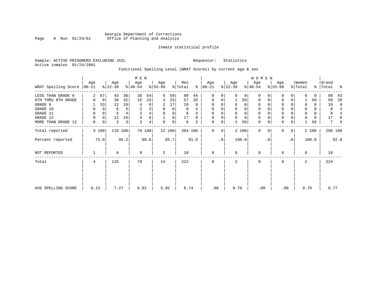# Georgia Department of Corrections Page 9 Run 01/24/01 Office of Planning and Analysis

# Inmate statistical profile

Sample: ACTIVE PRISONERS EXCLUDING JAIL **Requestor:** Statistics Active inmates 01/24/2001

# Functional Spelling Level (WRAT Scores) by current age & sex

|                                                        |                  |                            |                   | M E N             |                          |               |                                  |                                |                   |                  |                                |          |                  | WOMEN                    |                                             |               |                         |           |                           |                   |                    |                               |
|--------------------------------------------------------|------------------|----------------------------|-------------------|-------------------|--------------------------|---------------|----------------------------------|--------------------------------|-------------------|------------------|--------------------------------|----------|------------------|--------------------------|---------------------------------------------|---------------|-------------------------|-----------|---------------------------|-------------------|--------------------|-------------------------------|
| WRAT Spelling Score   00-21                            | Age              |                            | Age<br>$ 22-39 $  |                   | Age<br>$8 40-54$         |               | Age<br>$8 55-99$                 |                                | Men<br>% Total    | %                | Age<br>$ 00-21 $               |          | Age<br>$ 22-39 $ |                          | Age<br>$ 40-54 $                            |               | Age<br>$8 55-99$        |           | Women<br>% Total          |                   | Grand<br>%   Total | ್ಠಿ                           |
| LESS THAN GRADE 6<br>6TH THRU 8TH GRADE<br>GRADE 9     |                  | 67<br>$\mathbf 0$<br>33    | 43<br>38<br>12    | 36<br>32<br>10    | 38<br>16<br>4            | 54<br>23<br>6 | 6<br>3                           | 50<br>25<br>17                 | 89<br>57<br>19    | 44<br>28<br>9    | <sup>0</sup><br>0<br>0         |          | $\mathbf 0$      | 0<br>50<br>0             | $\Omega$<br>$\mathbf 0$<br>$\mathbf 0$      | $\Omega$<br>0 | 0<br>0                  | $\Omega$  | 0                         | 0<br>50<br>0      | 89<br>58<br>19     | 43<br>28<br>9                 |
| GRADE 10<br>GRADE 11<br>GRADE 12<br>MORE THAN GRADE 12 | 0<br>0<br>0<br>0 | 0<br>0<br>$\mathbf 0$<br>0 | 6<br>5<br>12<br>3 | 5<br>4<br>10<br>3 | $\overline{2}$<br>3<br>3 | 6             | $\Omega$<br>$\Omega$<br>$\Omega$ | $\Omega$<br>0<br>8<br>$\Omega$ | 8<br>8<br>17<br>6 | 4<br>4<br>8<br>3 | 0<br>0<br>$\Omega$<br>$\Omega$ |          |                  | 0<br>0<br>$\Omega$<br>50 | 0<br>$\mathbf 0$<br>$\mathbf 0$<br>$\Omega$ | $\Omega$<br>0 | 0<br>0<br>0<br>$\Omega$ | 0         | 0<br>$\Omega$<br>$\Omega$ | 0<br>0<br>0<br>50 | 8<br>8<br>17<br>7  | 4<br>$\overline{4}$<br>8<br>3 |
| Total reported                                         |                  | 3 100                      |                   | 119 100           |                          | 70 100        |                                  | 12 100                         | 204 100           |                  | $\Omega$                       | $\Omega$ |                  | 2 100                    | $\Omega$                                    | 0             | 0                       | 0         |                           | 2 100             | 206 100            |                               |
| Percent reported                                       |                  | 75.0                       |                   | 95.2              |                          | 88.6          |                                  | 85.7                           |                   | 91.9             |                                | .0       |                  | 100.0                    |                                             | $\cdot$ 0     |                         | $\cdot$ 0 |                           | 100.0             |                    | 92.0                          |
| NOT REPORTED                                           |                  |                            | 6                 |                   | 9                        |               | 2                                |                                | 18                |                  | $\Omega$                       |          | $\mathbf 0$      |                          | 0                                           |               | $\Omega$                |           | 0                         |                   | 18                 |                               |
| Total                                                  | 4                |                            | 125               |                   | 79                       |               | 14                               |                                | 222               |                  | <sup>n</sup>                   |          |                  |                          | ∩                                           |               | U                       |           | 2                         |                   | 224                |                               |
| AVG SPELLING SCORE                                     | 6.13             |                            | 7.27              |                   | 6.02                     |               | 5.92                             |                                | 6.74              |                  | .00                            |          | 9.70             |                          | .00                                         |               | .00                     |           | 9.70                      |                   | 6.77               |                               |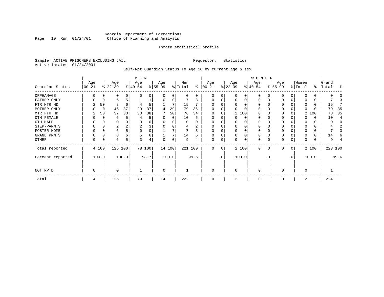# Georgia Department of Corrections Page 10 Run 01/24/01 Office of Planning and Analysis

# Inmate statistical profile

Sample: ACTIVE PRISONERS EXCLUDING JAIL **Requestor:** Statistics Active inmates 01/24/2001

Self-Rpt Guardian Status To Age 16 by current age & sex

|                  |                  |             | M E N            |       |                  |        |                 |          |                |      |                 | WOMEN           |                 |          |                  |          |                  |          |                  |       |                    |         |
|------------------|------------------|-------------|------------------|-------|------------------|--------|-----------------|----------|----------------|------|-----------------|-----------------|-----------------|----------|------------------|----------|------------------|----------|------------------|-------|--------------------|---------|
| Guardian Status  | Age<br>$00 - 21$ |             | Age<br>$ 22-39 $ |       | Age<br>$ 40-54 $ |        | Age<br>$ 55-99$ |          | Men<br>% Total | ႜ    | Age<br>$ 00-21$ |                 | Age<br>$ 22-39$ |          | Age<br>$ 40-54 $ |          | Age<br>$8 55-99$ |          | Women<br>% Total |       | Grand<br>%   Total | ႜ       |
| ORPHANAGE        |                  |             | 0                | 0     | n                | U      |                 | 0        | 0              | 0    | O               | U               |                 | 0        | $\Omega$         |          | n                |          |                  |       |                    |         |
| FATHER ONLY      | 0                | $\Omega$    | 6                |       |                  |        | $\Omega$        | $\Omega$ |                | 3    | $\Omega$        | 0               | O               | $\Omega$ | $\Omega$         |          | $\Omega$         |          |                  |       |                    |         |
| FTR MTR HD       | 2                | 50          | 8                | 6     | 4                | 5      |                 |          | 15             |      |                 |                 |                 |          | O                |          | <sup>0</sup>     |          |                  |       | 15                 |         |
| MOTHER ONLY      |                  | $\mathbf 0$ | 46               | 37    | 29               | 37     | 4               | 29       | 79             | 36   |                 |                 |                 |          | O                |          | 0                |          |                  |       | 79                 | 35      |
| MTR FTR HD       | 2                | 50          | 37               | 30    | 30               | 38     |                 | 50       | 76             | 34   | $\Omega$        |                 |                 | 2 100    | $\Omega$         |          | $\Omega$         |          |                  | 2 100 | 78                 | 35      |
| OTH FEMALE       |                  |             | 6                |       |                  | 5      |                 | $\Omega$ | 10             |      |                 |                 |                 | 0        | 0                |          | 0                |          |                  | 0     | 10                 |         |
| OTH MALE         |                  |             | O                |       | O                | 0      |                 |          | 0              |      | $\Omega$        |                 |                 |          | O                |          |                  |          |                  |       | O                  |         |
| STEP-PARNTS      | 0                | C           | 2                |       | 2                | 3      |                 |          | 4              | 2    | $\Omega$        |                 |                 | $\Omega$ | 0                |          | 0                |          |                  |       |                    |         |
| FOSTER HOME      |                  |             | 6                |       | $\Omega$         | 0      |                 |          |                | 3    | $\Omega$        |                 |                 |          | 0                |          | <sup>0</sup>     |          |                  |       |                    |         |
| GRAND PRNTS      | 0                | C           | 8                | 6     | 5                | 6      |                 |          | 14             | 6    | $\Omega$        | 0               | $\Omega$        | $\Omega$ | 0                |          | 0                |          |                  |       | 14                 |         |
| OTHER            | 0                | C           | 6                | 5     | 3                | 4      | $\Omega$        | 0        | 9              | 4    | $\mathbf 0$     | 0               |                 | 0        | 0                |          | 0                | $\Omega$ |                  |       | 9                  |         |
| Total reported   |                  | 4 100       | 125 100          |       |                  | 78 100 |                 | 14 100   | 221 100        |      | $\Omega$        | 0               |                 | 2 100    | $\Omega$         | $\Omega$ | $\Omega$         | 0        |                  | 2 100 |                    | 223 100 |
| Percent reported |                  | 100.0       |                  | 100.0 |                  | 98.7   |                 | 100.0    |                | 99.5 |                 | .0 <sup>′</sup> |                 | 100.0    |                  | . 0      |                  | .0       |                  | 100.0 |                    | 99.6    |
| NOT RPTD         | 0                |             | O                |       |                  |        | $\Omega$        |          |                |      | $\Omega$        |                 | $\Omega$        |          | $\Omega$         |          | ∩                |          | U                |       |                    |         |
| Total            | 4                |             | 125              |       | 79               |        | 14              |          | 222            |      | $\Omega$        |                 |                 |          | $\Omega$         |          | $\Omega$         |          | 2                |       | 224                |         |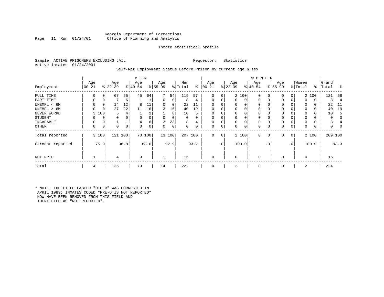# Georgia Department of Corrections<br>Page 11 Run 01/24/01 office of Planning and Analysis Office of Planning and Analysis

# Inmate statistical profile

Sample: ACTIVE PRISONERS EXCLUDING JAIL **Requestor:** Statistics Active inmates 01/24/2001

# Self-Rpt Employment Status Before Prison by current age & sex

|                  |                 |             |                  |             | M E N            |        |                 |        |                |                |                 |                |                  |             | <b>WOMEN</b>     |             |                    |              |                  |       |                    |                |
|------------------|-----------------|-------------|------------------|-------------|------------------|--------|-----------------|--------|----------------|----------------|-----------------|----------------|------------------|-------------|------------------|-------------|--------------------|--------------|------------------|-------|--------------------|----------------|
| Employment       | Age<br>$ 00-21$ |             | Age<br>$ 22-39 $ |             | Age<br>$8 40-54$ |        | Age<br>$ 55-99$ |        | Men<br>% Total | ွေ             | Age<br>$ 00-21$ |                | Age<br>$ 22-39 $ |             | Age<br>$ 40-54 $ |             | Age<br>$8155 - 99$ |              | Women<br>% Total |       | Grand<br>%   Total | ႜ              |
| FULL TIME        | 0               | 0           | 67               | 55          | 45               | 64     | 7               | 54     | 119            | 57             | 0               | 0              |                  | 2 100       | $\mathbf 0$      | $\Omega$    | 0                  | 0            |                  | 2 100 | 121                | 58             |
| PART TIME        | 0               | 0           |                  | 6           |                  |        | 0               | 0      | 8              | 4              | $\Omega$        | 0              | 0                | $\mathbf 0$ | $\mathbf 0$      | $\mathbf 0$ | 0                  | 0            | $\Omega$         | 0     | 8                  | $\overline{4}$ |
| UNEMPL < 6M      | 0               | 0           | 14               | 12          |                  | 11     | 0               | 0      | 22             |                |                 |                | 0                | 0           | 0                | $\Omega$    | 0                  |              | $\Omega$         | 0     | 22                 | -11            |
| UNEMPL > 6M      | $\Omega$        | $\mathbf 0$ | 27               | 22          | 11               | 16     | 2               | 15     | 40             | 19             |                 |                | 0                | $\Omega$    | $\mathbf 0$      | $\Omega$    | $\Omega$           |              | $\Omega$         | 0     | 40                 | 19             |
| NEVER WORKD      | 3               | 100         | 5                | 4           |                  |        |                 | 8      | 10             | 5              | $\Omega$        |                | 0                | 0           | $\mathbf 0$      | C           | 0                  |              | $\Omega$         | 0     | 10                 | 5              |
| <b>STUDENT</b>   | 0               | 0           | 0                | $\mathbf 0$ | $\Omega$         |        | 0               | 0      | 0              | $\Omega$       | $\Omega$        | 0              | $\mathbf 0$      | 0           | $\mathbf 0$      | $\Omega$    | 0                  |              | $\Omega$         | 0     | 0                  |                |
| INCAPABLE        | 0               | 0           |                  |             |                  | 6      |                 | 23     | 8              | $\overline{4}$ |                 |                | 0                | 0           | $\mathbf 0$      |             | 0                  |              |                  | 0     | 8                  |                |
| <b>OTHER</b>     | 0               | 0           | 0                | 0           | $\Omega$         | 0      | 0               | 0      | 0              | 0              | $\Omega$        | 0              | 0                | 0           | $\mathbf 0$      | 0           | 0                  | 0            | $\Omega$         | 0     | 0                  |                |
| Total reported   |                 | 3 100       | 121 100          |             |                  | 70 100 |                 | 13 100 | 207 100        |                | 0               | 0 <sup>1</sup> |                  | 2 100       | $\mathbf{0}$     | $\mathbf 0$ | 0                  | $\mathbf{0}$ |                  | 2 100 | 209 100            |                |
| Percent reported |                 | 75.0        |                  | 96.8        |                  | 88.6   |                 | 92.9   |                | 93.2           |                 | .0'            |                  | 100.0       |                  | . 0         |                    | $\cdot$ 0    |                  | 100.0 |                    | 93.3           |
| NOT RPTD         |                 |             | 4                |             | 9                |        |                 |        | 15             |                | $\Omega$        |                | $\mathbf 0$      |             | $\mathbf{0}$     |             | $\Omega$           |              | $\mathbf 0$      |       | 15                 |                |
| Total            | 4               |             | 125              |             | 79               |        | 14              |        | 222            |                | $\Omega$        |                | 2                |             | $\mathbf 0$      |             | $\Omega$           |              | 2                |       | 224                |                |

\* NOTE: THE FIELD LABELD "OTHER" WAS CORRECTED IN APRIL 1989; INMATES CODED "PRE-OTIS NOT REPORTED" NOW HAVE BEEN REMOVED FROM THIS FIELD AND IDENTIFIED AS "NOT REPORTED".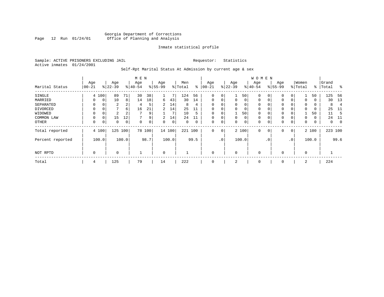# Georgia Department of Corrections Page 12 Run 01/24/01 Office of Planning and Analysis

# Inmate statistical profile

Sample: ACTIVE PRISONERS EXCLUDING JAIL **Requestor:** Statistics Active inmates 01/24/2001

# Self-Rpt Marital Status At Admission by current age & sex

|                  | M E N       |          |           |                |           |        |                |       |         |             |          |                 |             |       | <b>WOMEN</b> |          |           |              |          |       |           |                |
|------------------|-------------|----------|-----------|----------------|-----------|--------|----------------|-------|---------|-------------|----------|-----------------|-------------|-------|--------------|----------|-----------|--------------|----------|-------|-----------|----------------|
|                  | Age         |          | Age       |                | Age       |        | Age            |       | Men     |             | Age      |                 | Age         |       | Age          |          | Age       |              | Women    |       | Grand     |                |
| Marital Status   | $00 - 21$   |          | $ 22-39 $ |                | $ 40-54 $ |        | $8 55-99$      |       | % Total | ⊱           | $ 00-21$ | $\frac{1}{6}$   | $22 - 39$   |       | $ 40-54 $    |          | $8 55-99$ |              | % Total  |       | %   Total | $\frac{8}{6}$  |
| SINGLE           |             | 4 100    | 89        | 71             | 30        | 38     |                | 7     | 124     | 56          | 0        | 0               |             | 50    | $\mathbf 0$  | 0        | 0         | 0            |          | 50    | 125       | -56            |
| MARRIED          | 0           | 0        | 10        | 8              | 14        | 18     | 6              | 43    | 30      | 14          | 0        | 0               | $\mathbf 0$ | 0     | $\mathbf 0$  | 0        | 0         | 0            | 0        | 0     | 30        | 13             |
| SEPARATED        | $\Omega$    | $\Omega$ | 2         | $\overline{2}$ | 4         | 5      | $\overline{2}$ | 14    | 8       | 4           | $\Omega$ |                 | 0           | 0     | 0            | $\Omega$ | $\Omega$  |              | $\Omega$ | 0     | 8         | $\overline{4}$ |
| DIVORCED         |             | 0        | 7         | 6              | 16        | 21     | 2              | 14    | 25      | 11          | $\Omega$ | 0               | 0           | 0     | $\mathbf 0$  | $\Omega$ | $\Omega$  |              | $\Omega$ | 0     | 25        | -11            |
| WIDOWED          | $\Omega$    | $\Omega$ | 2         | 2              |           | 9      |                | 7     | 10      | 5           |          |                 |             | 50    | $\Omega$     | $\Omega$ | $\Omega$  |              |          | 50    | 11        | 5              |
| COMMON LAW       | $\Omega$    | $\Omega$ | 15        | 12             |           | 9      | 2              | 14    | 24      | 11          | $\Omega$ |                 | $\mathbf 0$ | 0     | $\mathbf 0$  | $\Omega$ | $\Omega$  |              | $\Omega$ | 0     | 24        | 11             |
| OTHER            | $\mathbf 0$ | 0        | 0         | 0              | $\Omega$  | 0      | $\Omega$       | 0     | 0       | $\mathbf 0$ | 0        | 0               | 0           | 0     | $\mathbf 0$  | 0        | 0         | $\mathbf 0$  | 0        | 0     | 0         | $\mathbf 0$    |
| Total reported   |             | 4 100    | 125 100   |                |           | 78 100 | 14 100         |       | 221 100 |             | 0        | 0               |             | 2 100 | $\mathbf 0$  | 0        | 0         | $\mathbf{0}$ |          | 2 100 | 223 100   |                |
| Percent reported |             | 100.0    |           | 100.0          |           | 98.7   |                | 100.0 |         | 99.5        |          | .0 <sup>1</sup> |             | 100.0 |              | . 0      |           | $\cdot$ 0    |          | 100.0 |           | 99.6           |
| NOT RPTD         | $\Omega$    |          | $\Omega$  |                |           |        | $\Omega$       |       |         |             | $\Omega$ |                 | 0           |       | $\mathbf 0$  |          | $\Omega$  |              | $\Omega$ |       |           |                |
| Total            | 4           |          | 125       |                | 79        |        | 14             |       | 222     |             | 0        |                 | 2           |       | 0            |          | 0         |              | 2        |       | 224       |                |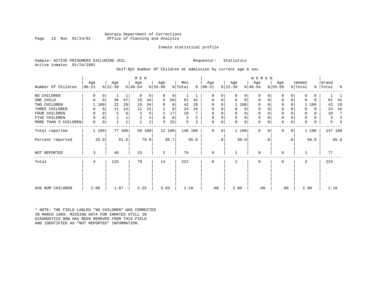Georgia Department of Corrections Office of Planning and Analysis

# Inmate statistical profile

Sample: ACTIVE PRISONERS EXCLUDING JAIL **Requestor:** Statistics Active inmates 01/24/2001

# Self-Rpt Number Of Children At Admission by current age & sex

|                      |            |             |           |        | M E N        |        |           |        |         |      |             |             |             |                     | WOMEN        |           |              |                 |             |          |         |                |
|----------------------|------------|-------------|-----------|--------|--------------|--------|-----------|--------|---------|------|-------------|-------------|-------------|---------------------|--------------|-----------|--------------|-----------------|-------------|----------|---------|----------------|
|                      | Age        |             | Age       |        | Age          |        | Age       |        | Men     |      | Age         |             | Age         |                     | Age          |           | Age          |                 | Women       |          | Grand   |                |
| Number Of Children   | $ 00 - 21$ |             | $ 22-39 $ |        | $ 40-54 $    |        | $8 55-99$ |        | % Total |      | $% 100-21$  |             | $ 22-39 $   |                     | $ 40-54 $    |           | $ 55-99 $    |                 | % Total     | ႜၟ       | Total   | န္             |
| NO CHILDREN          | 0          | 0           |           | 1      | $\mathbf 0$  | 0      | 0         | 0      | 1       |      | 0           | 0           | 0           | 0                   | $\mathbf 0$  |           | $\mathbf 0$  | 0               | 0           | 0        |         |                |
| ONE CHILD            | $\Omega$   | $\mathbf 0$ | 36        | 47     | 19           | 34     | 6         | 50     | 61      | 42   | $\mathbf 0$ | 0           | 0           | $\mathbf 0$         | $\mathbf 0$  | 0         | $\mathbf 0$  | 0               | $\Omega$    | $\Omega$ | 61      | 41             |
| TWO CHILDREN         |            | 100         | 22        | 29     | 19           | 34     | $\Omega$  | 0      | 42      | 29   | $\Omega$    | 0           |             | 1 100               | $\mathbf 0$  |           | $\mathbf 0$  | 0               |             | 1 100    | 43      | 29             |
| THREE CHILDREN       |            | 0           | 11        | 14     | 12           | 21     |           | 8      | 24      | 16   | $\mathbf 0$ | $\mathbf 0$ | 0           | 0                   | $\mathbf{0}$ |           | $\mathbf{0}$ | 0               | O           | $\Omega$ | 24      | 16             |
| FOUR CHILDREN        |            | 0           | 5         | 6      | 3            | 5      | 2         | 17     | 10      |      | 0           | 0           | 0           | $\mathbf 0$         | 0            |           | $\mathbf 0$  |                 | 0           | $\Omega$ | 10      |                |
| CHILDREN<br>FIVE     | 0          | 0           |           |        | 2            | 4      | 0         | 0      | 3       | 2    | 0           | 0           | $\mathbf 0$ | $\mathsf{O}\xspace$ | $\mathbf 0$  |           | $\mathbf 0$  | 0               | 0           | $\Omega$ | 3       | $\overline{2}$ |
| MORE THAN 5 CHILDREN | 0          | 0           |           |        | $\mathbf{1}$ | 2      | 3         | 25     | 5       | 3    | $\mathbf 0$ | 0           | $\mathbf 0$ | $\mathbf 0$         | $\mathbf 0$  | 0         | $\mathbf 0$  | 0               | $\mathbf 0$ | 0        | 5       |                |
| Total reported       |            | 1 100       |           | 77 100 |              | 56 100 |           | 12 100 | 146 100 |      | $\Omega$    | 0           |             | 1 100               | $\Omega$     | $\Omega$  | $\Omega$     | 0               |             | 1 100    | 147 100 |                |
| Percent reported     |            | 25.0        |           | 61.6   |              | 70.9   |           | 85.7   |         | 65.8 |             | $\cdot$ 0   |             | 50.0                |              | $\cdot$ 0 |              | .0 <sup>1</sup> |             | 50.0     |         | 65.6           |
| NOT REPORTED         | 3          |             | 48        |        | 23           |        | 2         |        | 76      |      | $\mathbf 0$ |             |             |                     | 0            |           | $\mathbf 0$  |                 |             |          | 77      |                |
| Total                | 4          |             | 125       |        | 79           |        | 14        |        | 222     |      | 0           |             | 2           |                     | $\mathbf 0$  |           | 0            |                 | 2           |          | 224     |                |
| AVG NUM CHILDREN     | 2.00       |             | 1.87      |        | 2.25         |        | 3.83      |        | 2.18    |      | .00         |             | 2.00        |                     | .00          |           | .00          |                 | 2.00        |          | 2.18    |                |

\* NOTE: THE FIELD LABLED "NO CHILDREN" WAS CORRECTED IN MARCH 1989: MISSING DATA FOR INMATES STILL IN DIAGNOSTICS NOW HAS BEEN REMOVED FROM THIS FIELD AND IDENTIFIED AS "NOT REPORTED" INFORMATION.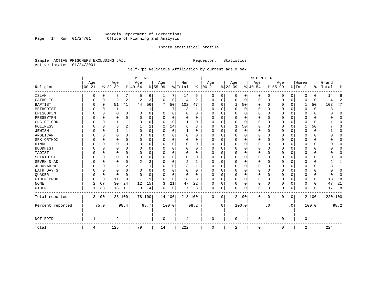# Georgia Department of Corrections Page 14 Run 01/24/01 Office of Planning and Analysis

# Inmate statistical profile

Sample: ACTIVE PRISONERS EXCLUDING JAIL **Requestor:** Statistics Active inmates 01/24/2001

# Self-Rpt Religious Affiliation by current age & sex

|                  |                   |          |                  |          | M E N           |             |                  |          |                |                |                 |           |                 |          | <b>WOMEN</b>     |           |                  |           |                  |          |                    |                |
|------------------|-------------------|----------|------------------|----------|-----------------|-------------|------------------|----------|----------------|----------------|-----------------|-----------|-----------------|----------|------------------|-----------|------------------|-----------|------------------|----------|--------------------|----------------|
| Religion         | Age<br>$ 00 - 21$ |          | Age<br>$8 22-39$ |          | Age<br>$ 40-54$ |             | Age<br>$8 55-99$ |          | Men<br>% Total | ွေ             | Age<br>$ 00-21$ |           | Age<br>$ 22-39$ |          | Age<br>$8 40-54$ |           | Age<br>$8 55-99$ |           | Women<br>% Total |          | Grand<br>%   Total | ႜ              |
|                  |                   |          |                  |          |                 |             |                  |          |                |                |                 |           |                 |          |                  |           |                  |           |                  |          |                    |                |
| <b>ISLAM</b>     |                   | 0        | 8                | 7        | .5              | 6           | 1                | 7        | 14             | 6              | 0               | 0         | 0               | 0        | 0                | 0         | 0                | 0         | $\Omega$         | 0        | 14                 | 6              |
| CATHOLIC         |                   | 0        | 2                | 2        | $\overline{c}$  | 3           | $\Omega$         | 0        | $\overline{4}$ | $\overline{2}$ | $\Omega$        | 0         | $\mathbf 0$     | 0        | $\Omega$         | 0         | $\Omega$         | 0         | $\Omega$         | $\Omega$ |                    | $\overline{2}$ |
| <b>BAPTIST</b>   |                   | 0        | 51               | 41       | 44              | 56          | 7                | 50       | 102            | 47             | $\Omega$        | $\Omega$  | 1               | 50       | <sup>0</sup>     | 0         | 0                | $\Omega$  | 1                | 50       | 103                | 47             |
| METHODIST        |                   | 0        |                  | 1        |                 | 1           |                  | 7        | 3              | 1              | $\Omega$        | $\Omega$  | $\mathbf 0$     | 0        | 0                | $\Omega$  | 0                | 0         | $\Omega$         | 0        |                    | 1              |
| EPISCOPLN        |                   | 0        | 0                | $\Omega$ | $\Omega$        | $\mathbf 0$ | U                | 0        | $\Omega$       | $\Omega$       | $\Omega$        | $\Omega$  | $\mathbf 0$     | $\Omega$ | 0                | $\Omega$  | 0                | $\Omega$  | O                | 0        |                    | $\mathbf{0}$   |
| PRESBYTRN        |                   | $\Omega$ | 0                | $\Omega$ | O               | $\Omega$    | U                | $\Omega$ | 0              | O              | $\Omega$        | $\Omega$  | $\mathbf 0$     | $\Omega$ | 0                | $\Omega$  | 0                | 0         | $\Omega$         | O        |                    | $\Omega$       |
| CHC OF GOD       |                   | 0        |                  | 1        | $\Omega$        | $\Omega$    | U                | $\Omega$ |                | $\Omega$       | $\Omega$        | $\Omega$  | $\Omega$        | $\Omega$ | 0                | $\Omega$  | $\Omega$         | $\Omega$  | $\Omega$         | $\Omega$ |                    | $\Omega$       |
| HOLINESS         |                   | $\Omega$ | 3                | 2        |                 |             | 2                | 14       | 6              | ζ              | $\Omega$        | $\Omega$  |                 | 50       | <sup>0</sup>     | $\Omega$  | 0                | $\Omega$  |                  | 50       |                    | 3              |
| <b>JEWISH</b>    |                   | $\Omega$ |                  | 1        | $\Omega$        | $\Omega$    | O                | 0        |                | O              | $\Omega$        |           | $\Omega$        | $\Omega$ | 0                | $\Omega$  | 0                | $\Omega$  | $\Omega$         | 0        |                    | $\mathbf 0$    |
| ANGLICAN         |                   | 0        | 0                | 0        | 0               | 0           | U                | 0        | 0              | 0              | $\Omega$        |           | $\Omega$        | $\Omega$ | 0                | 0         | 0                | 0         | $\Omega$         | 0        |                    | $\mathbf{0}$   |
| GRK ORTHDX       |                   | 0        | O                | $\Omega$ | $\Omega$        | O           | U                | O        | $\Omega$       | O              | $\Omega$        | $\Omega$  | C               | $\Omega$ | <sup>0</sup>     | $\Omega$  | 0                | $\Omega$  | $\Omega$         | 0        |                    | $\Omega$       |
| HINDU            |                   | $\Omega$ | U                | $\Omega$ | $\cap$          | $\Omega$    | U                | O        | $\Omega$       | $\Omega$       | $\Omega$        | $\Omega$  | $\Omega$        | $\Omega$ | $\Omega$         | $\Omega$  | 0                | 0         | $\Omega$         | $\Omega$ |                    | $\Omega$       |
| <b>BUDDHIST</b>  |                   | $\Omega$ | 0                | 0        | O               | $\Omega$    | U                | 0        | $\Omega$       | 0              | $\Omega$        | $\Omega$  | O               | 0        | 0                | $\Omega$  | 0                | 0         | O                | 0        |                    | $\Omega$       |
| TAOIST           |                   | $\Omega$ |                  | $\Omega$ | $\Omega$        | $\Omega$    |                  | O        | 0              | O              |                 | $\Omega$  | $\Omega$        | $\Omega$ |                  | $\Omega$  | 0                | O         | $\Omega$         | O        |                    | $\Omega$       |
| SHINTOIST        |                   | $\Omega$ | U                | $\Omega$ | $\Omega$        | $\Omega$    | U                | O        | $\Omega$       | $\Omega$       | O               | $\Omega$  | $\Omega$        | $\Omega$ | <sup>0</sup>     | $\Omega$  | 0                | $\Omega$  | $\Omega$         | U        |                    | $\Omega$       |
| SEVEN D AD       |                   | $\Omega$ | U                | $\Omega$ | 2               | 3           | U                | O        | 2              |                | O               | $\Omega$  | $\Omega$        | $\Omega$ | <sup>0</sup>     | $\Omega$  | 0                | $\Omega$  | $\Omega$         | O        |                    |                |
| JEHOVAH WT       |                   | $\Omega$ | 2                | 2        |                 |             | O                | 0        | 3              | 1              | $\Omega$        | $\Omega$  | $\Omega$        | $\Omega$ | $\Omega$         | $\Omega$  | 0                | $\Omega$  | $\Omega$         | $\Omega$ |                    | $\mathbf{1}$   |
| LATR DAY S       |                   | 0        | 0                | $\Omega$ | $\Omega$        | $\Omega$    | U                | 0        | 0              | O              | $\Omega$        |           | $\Omega$        | $\Omega$ | 0                | $\Omega$  | 0                | 0         | $\Omega$         |          |                    | $\Omega$       |
| QUAKER           |                   | 0        | 0                | $\Omega$ | $\Omega$        | O           | U                | 0        | 0              | O              | ∩               | $\Omega$  | $\Omega$        | $\Omega$ | <sup>0</sup>     | 0         | 0                | 0         | $\Omega$         | 0        |                    | $\Omega$       |
| OTHER PROD       |                   | 0        | 11               | 9        | 7               | 9           | U                | 0        | 18             | 8              | $\Omega$        | $\Omega$  | $\mathbf 0$     | 0        | $\Omega$         | $\Omega$  | 0                | $\Omega$  | $\Omega$         | 0        | 18                 | 8              |
| <b>NONE</b>      | 2                 | 67       | 30               | 24       | 12              | 15          | 3                | 21       | 47             | 22             | $\Omega$        | 0         | $\Omega$        | 0        | $\Omega$         | $\Omega$  | 0                | 0         | $\Omega$         | 0        | 47                 | 21             |
| <b>OTHER</b>     |                   | 33       | 13               | 11       | 3               | 4           | 0                | 0        | 17             | 8              | 0               | 0         | $\Omega$        | 0        | $\Omega$         | 0         | 0                | 0         | $\Omega$         | $\Omega$ | 17                 | 8              |
| Total reported   | 3 100             |          | 123 100          |          |                 | 78 100      | 14 100           |          | 218 100        |                | 0               | 0         |                 | 2 100    | $\Omega$         | 0         | 0                | 0         |                  | 2 100    | 220 100            |                |
| Percent reported |                   | 75.0     |                  | 98.4     |                 | 98.7        |                  | 100.0    |                | 98.2           |                 | $\cdot$ 0 |                 | 100.0    |                  | $\cdot$ 0 |                  | $\cdot$ 0 |                  | 100.0    |                    | 98.2           |
| NOT RPTD         |                   |          | 2                |          |                 |             | 0                |          | 4              |                | $\Omega$        |           | $\Omega$        |          | $\cap$           |           | 0                |           | $\Omega$         |          |                    |                |
| Total            | 4                 |          | 125              |          | 79              |             | 14               |          | 222            |                | $\Omega$        |           | 2               |          | $\Omega$         |           | 0                |           | 2                |          | 224                |                |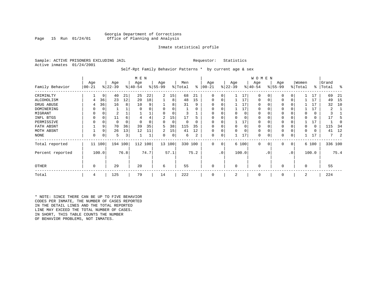# Georgia Department of Corrections<br>Page 15 Run 01/24/01 office of Planning and Analysis Office of Planning and Analysis

# Inmate statistical profile

Sample: ACTIVE PRISONERS EXCLUDING JAIL **Requestor:** Statistics Active inmates 01/24/2001

Self-Rpt Family Behavior Patterns \* by current age & sex

|                  | M E N           |          |                  |      |                  |      |                 |        |                |      |                  |                 |                  |          | W O M E N       |           |                 |     |                  |       |                |         |
|------------------|-----------------|----------|------------------|------|------------------|------|-----------------|--------|----------------|------|------------------|-----------------|------------------|----------|-----------------|-----------|-----------------|-----|------------------|-------|----------------|---------|
| Family Behavior  | Age<br>$ 00-21$ |          | Age<br>$ 22-39 $ |      | Age<br>$ 40-54 $ |      | Age<br>$ 55-99$ |        | Men<br>% Total | ႜ    | Age<br>$00 - 21$ |                 | Age<br>$ 22-39 $ |          | Age<br>$ 40-54$ |           | Age<br>$ 55-99$ |     | Women<br>% Total | ∻     | Grand<br>Total | ႜ       |
| CRIMINLTY        |                 | 9        | 40               | 21   | 25               | 22   | $\overline{2}$  | 15     | 68             | 21   | $\Omega$         | 0               |                  | 17       | $\Omega$        | 0         | $\Omega$        | 0   |                  | 17    | 69             | 21      |
| ALCOHOLISM       | 4               | 36       | 23               | 12   | 20               | 18   |                 | 8      | 48             | 15   | 0                | 0               |                  | 17       | 0               |           | $\Omega$        | 0   |                  | 17    | 49             | -15     |
| DRUG ABUSE       | 4               | 36       | 16               | 8    | 10               | 9    |                 | 8      | 31             | 9    |                  |                 |                  | 17       | U               |           |                 |     |                  | 17    | 32             | 10      |
| DOMINERING       |                 | $\Omega$ |                  |      |                  |      |                 |        |                | O    |                  |                 |                  | 17       | <sup>0</sup>    |           |                 |     |                  | 17    |                |         |
| MIGRANT          |                 | 0        |                  |      |                  |      |                 |        |                |      |                  |                 |                  | 0        | 0               |           | $\Omega$        |     |                  | 0     |                |         |
| INFL BTGS        |                 | $\Omega$ | 11               | 6    | 4                | 4    | 2               | 15     | 17             | h    |                  |                 |                  | $\Omega$ | 0               |           | $\Omega$        |     |                  | 0     | 17             |         |
| PERMISSIVE       |                 | 0        | 0                | 0    |                  |      | 0               | 0      | $\Omega$       | 0    | $\Omega$         | 0               |                  | 17       | 0               |           | $\Omega$        |     |                  | 17    |                |         |
| FATH ABSNT       |                 | 9        | 70               | 36   | 39               | 35   | 5               | 38     | 115            | 35   |                  |                 |                  | $\Omega$ | 0               |           |                 |     |                  | 0     | 115            | 34      |
| MOTH ABSNT       |                 | 9        | 26               | 13   | 12               |      | 2               | 15     | 41             | 12   | 0                | 0               |                  | $\Omega$ | 0               |           | $\Omega$        |     |                  | 0     | 41             | 12      |
| NONE             | 0               | 0        | 5                | 3    |                  |      | 0               | 0      | 6              | 2    | 0                | 0               |                  | 17       | 0               |           | 0               |     |                  | 17    | 7              |         |
| Total reported   |                 | 11 100   | 194              | 100  | 112 100          |      |                 | 13 100 | 330 100        |      | 0                | 0               |                  | 6 100    | $\mathbf 0$     | 0         | 0               | 0   |                  | 6 100 |                | 336 100 |
| Percent reported |                 | 100.0    |                  | 76.8 |                  | 74.7 |                 | 57.1   |                | 75.2 |                  | .0 <sup>1</sup> |                  | 100.0    |                 | $\cdot$ 0 |                 | .0' |                  | 100.0 |                | 75.4    |
| <b>OTHER</b>     | 0               |          | 29               |      | 20               |      | 6               |        | 55             |      | 0                |                 | $\Omega$         |          | $\Omega$        |           | $\Omega$        |     | $\Omega$         |       | 55             |         |
| Total            | 4               |          | 125              |      | 79               |      | 14              |        | 222            |      | 0                |                 | 2                |          | 0               |           | 0               |     | 2                |       | 224            |         |

\* NOTE: SINCE THERE CAN BE UP TO FIVE BEHAVIOR CODES PER INMATE, THE NUMBER OF CASES REPORTED IN THE DETAIL LINES AND THE TOTAL REPORTED LINE MAY EXCEED THE TOTAL NUMBER OF CASES. IN SHORT, THIS TABLE COUNTS THE NUMBER OF BEHAVIOR PROBLEMS, NOT INMATES.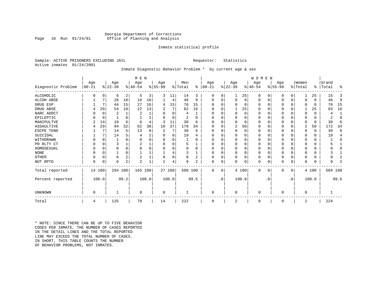# Georgia Department of Corrections Office of Planning and Analysis

# Inmate statistical profile

Sample: ACTIVE PRISONERS EXCLUDING JAIL **Requestor:** Statistics Active inmates 01/24/2001

# Inmate Diagnostic Behavior Problem \* by current age & sex

|                    | M E N    |          |                |                |                |       |          |          |         |          |           |           |                |          | WOMEN     |          |          |                |         |          |         |              |
|--------------------|----------|----------|----------------|----------------|----------------|-------|----------|----------|---------|----------|-----------|-----------|----------------|----------|-----------|----------|----------|----------------|---------|----------|---------|--------------|
|                    | Age      |          | Age            |                | Age            |       | Age      |          | Men     |          | Age       |           | Age            |          | Age       |          | Age      |                | Women   |          | Grand   |              |
| Diagnostic Problem | $ 00-21$ |          | $ 22-39 $      |                | $8 40-54$      |       | $ 55-99$ |          | % Total | ⊱        | $00 - 21$ |           | $ 22-39$       |          | $8 40-54$ |          | $ 55-99$ |                | % Total | ៖        | Total   | ႜ            |
| ALCOHOLIC          |          | $\Omega$ | 6              | 2              | 5              | 3     | 3        | 11       | 14      | 3        | 0         | 0         |                | 25       | 0         | 0        |          | 0 <sup>1</sup> |         | 25       | 15      | 3            |
| ALCOH ABSE         |          | 7        | 28             | 10             | 16             | 10    |          | 4        | 46      | 9        | O         | $\Omega$  | $\Omega$       | 0        | 0         | 0        |          | $\mathbf{0}$   | 0       | $\Omega$ | 46      | 9            |
| DRUG EXP           |          | 7        | 44             | 15             | 27             | 16    | 4        | 15       | 76      | 15       |           | 0         | $\Omega$       | 0        | $\Omega$  | 0        |          | $\Omega$       | U       | 0        | 76      | 15           |
| DRUG ABSE          |          | 29       | 54             | 18             | 22             | 13    | 2        | 7        | 82      | 16       | O         | O         |                | 25       | $\Omega$  | O        | $\Omega$ | $\Omega$       |         | 25       | 83      | 16           |
| NARC ADDCT         |          | 0        | $\overline{2}$ |                | $\overline{2}$ |       | O        | $\Omega$ | 4       |          | 0         | 0         | $\mathbf 0$    | 0        | $\Omega$  | 0        |          | $\Omega$       | 0       | 0        | 4       | $\mathbf{1}$ |
| EPILEPTIC          |          | 0        |                | O              |                |       | U        | $\Omega$ | 2       | $\Omega$ | O         | U         | $\Omega$       | $\Omega$ | $\Omega$  | O        |          | $\Omega$       | U       | 0        | 2       | $\Omega$     |
| MANIPULTVE         |          | 14       | 19             | 6              | 6              |       | 3        | 11       | 30      | 6        |           |           | $\Omega$       | $\Omega$ | 0         | O        |          | $\Omega$       | U       | 0        | 30      | 6            |
| ASSAULTIVE         |          | 29       | 94             | 32             | 62             | 38    | 10       | 37       | 170     | 34       | O         |           | $\overline{2}$ | 50       | 0         | U        |          | $\mathbf{0}$   | 2       | 50       | 172     | 34           |
| ESCPE TEND         |          |          | 14             | 5              | 13             | 8     | 2        | 7        | 30      | 6        | U         | U         | $\Omega$       | 0        | O         | O        |          | $\Omega$       | U       | $\Omega$ | 30      | 6            |
| SUICIDAL           |          |          | 14             |                |                |       |          | 0        | 19      | 4        |           |           | $\Omega$       | O        | O         | O        |          | $\Omega$       |         | $\Omega$ | 19      | 4            |
| WITHDRAWN          |          |          |                |                |                |       |          | U        |         |          |           |           | O              | U        | 0         | O        |          | $\Omega$       |         |          |         | U            |
| PR RLTY CT         |          | $\Omega$ | 3              |                | $\overline{c}$ |       |          | 0        | 5       |          | O         |           | $\Omega$       | 0        | $\Omega$  | U        |          | $\Omega$       |         | U        |         |              |
| HOMOSEXUAL         |          | $\Omega$ |                | O              |                |       |          | U        |         | $\Omega$ | 0         |           | $\Omega$       | 0        | 0         | 0        |          | $\Omega$       |         |          |         | U            |
| <b>NONE</b>        |          | $\Omega$ |                | $\Omega$       |                |       |          |          |         |          | O         |           | $\Omega$       | 0        | $\Omega$  | U        |          | $\mathbf 0$    |         | U        |         |              |
| <b>OTHER</b>       |          | $\Omega$ | 6              | 2              | $\overline{2}$ |       |          | 0        | 8       | 2        | U         |           | $\mathbf 0$    | 0        | 0         | O        |          | $\mathbf 0$    | 0       | O        |         | 2            |
| NOT RPTD           | O        | 0        | 6              | $\overline{a}$ | $\overline{c}$ |       |          | 4        | 9       | 2        | O         | 0         | $\Omega$       | 0        | 0         | 0        |          | 0 <sup>1</sup> | O       | U        | q       | 2            |
| Total reported     |          | 14 100   | 294 100        |                | 165 100        |       |          | 27 100   | 500 100 |          | $\Omega$  | $\Omega$  |                | 4 100    | $\Omega$  | $\Omega$ | $\Omega$ | $\overline{0}$ |         | 4 100    | 504 100 |              |
| Percent reported   |          | 100.0    |                | 99.2           |                | 100.0 |          | 100.0    |         | 99.5     |           | $\cdot$ 0 |                | 100.0    |           | . 0      |          | $\cdot$ 0      |         | 100.0    |         | 99.6         |
| UNKNOWN            | 0        |          |                |                | $\Omega$       |       | 0        |          |         |          | $\Omega$  |           | $\mathbf 0$    |          | 0         |          | n        |                | 0       |          |         |              |
|                    |          |          |                |                |                |       |          |          |         |          |           |           |                |          |           |          |          |                |         |          |         |              |
| Total              | 4        |          | 125            |                | 79             |       | 14       |          | 222     |          | 0         |           | 2              |          | 0         |          | $\Omega$ |                | 2       |          | 224     |              |

\* NOTE: SINCE THERE CAN BE UP TO FIVE BEHAVIOR CODES PER INMATE, THE NUMBER OF CASES REPORTED IN THE DETAIL LINES AND THE TOTAL REPORTED LINE MAY EXCEED THE TOTAL NUMBER OF CASES.IN SHORT, THIS TABLE COUNTS THE NUMBER OF BEHAVIOR PROBLEMS, NOT INMATES.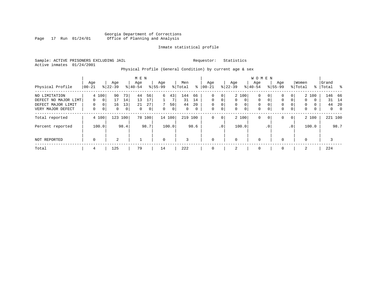# Georgia Department of Corrections Page 17 Run 01/24/01 Office of Planning and Analysis

# Inmate statistical profile

Sample: ACTIVE PRISONERS EXCLUDING JAIL **Requestor:** Statistics Active inmates 01/24/2001

# Physical Profile (General Condition) by current age & sex

|                                                                                  |                           |                                 |                     |                                   | M E N                      |                     |                    |                         |                             |                               |                                |                                   |                                   |                                          | W O M E N                                    |                         |                                |                                   |                                          |                             |                    |                                |
|----------------------------------------------------------------------------------|---------------------------|---------------------------------|---------------------|-----------------------------------|----------------------------|---------------------|--------------------|-------------------------|-----------------------------|-------------------------------|--------------------------------|-----------------------------------|-----------------------------------|------------------------------------------|----------------------------------------------|-------------------------|--------------------------------|-----------------------------------|------------------------------------------|-----------------------------|--------------------|--------------------------------|
| Physical Profile                                                                 | Age<br>$00 - 21$          |                                 | Age<br>$8 22-39$    |                                   | Age<br>$8 40-54$           |                     | Age<br>$8155 - 99$ |                         | Men<br>% Total              | ⊱                             | Age<br>$ 00-21$                |                                   | Age<br>$8$   22-39                |                                          | Aqe<br>$8 40-54$                             |                         | Age<br>$8155 - 99$             |                                   | Women<br>% Total                         |                             | Grand<br>%   Total |                                |
| NO LIMITATION<br>DEFECT NO MAJOR LIMT<br>DEFECT MAJOR LIMIT<br>VERY MAJOR DEFECT | $\Omega$<br>$\Omega$<br>0 | 4 100<br>$\mathbf{0}$<br>0<br>0 | 90<br>17<br>16<br>0 | 73 <br>14<br>13<br>0 <sup>1</sup> | 44<br>13<br>21<br>$\Omega$ | 56<br>17<br>27<br>0 | 6<br>$\Omega$      | 43<br>50<br>$\mathbf 0$ | 144<br>31<br>44<br>$\Omega$ | 66<br>14<br>20<br>$\mathbf 0$ | 0<br>$\Omega$<br>$\Omega$<br>0 | 0<br>$\Omega$<br>0<br>$\mathbf 0$ | $\mathbf{0}$<br>$\mathbf{0}$<br>0 | 2 100<br>$\mathbf 0$<br>0<br>$\mathbf 0$ | $\mathbf{0}$<br>$\mathbf 0$<br>0<br>$\Omega$ | 0<br>0<br>$\Omega$<br>0 | 0<br>$\Omega$<br>$\Omega$<br>0 | 0<br>$\Omega$<br>0<br>0           | $\mathbf{0}$<br>$\Omega$<br>$\mathbf{0}$ | 2 100<br>0<br>$\Omega$<br>0 | 31<br>44<br>0      | 146 66<br>14<br>-20<br>$\circ$ |
| Total reported<br>Percent reported                                               |                           | 4 100<br>100.0                  | 123                 | 100<br>98.4                       |                            | 78 100<br>98.7      |                    | 14 100<br>100.0         | 219                         | 100<br>98.6                   | 0                              | $\mathbf{0}$<br>.0 <sup>1</sup>   |                                   | 2 100<br>100.0                           | $\mathbf 0$                                  | 0<br>. 0                | 0                              | $\overline{0}$<br>.0 <sup>1</sup> |                                          | 2 100<br>100.0              |                    | 221 100<br>98.7                |
| NOT REPORTED                                                                     | $\mathbf 0$               |                                 | 2                   |                                   |                            |                     | $\mathbf 0$        |                         | 3                           |                               | $\mathbf 0$                    |                                   | 0                                 |                                          | $\mathbf 0$                                  |                         | $\Omega$                       |                                   | $\Omega$                                 |                             | 3                  |                                |
| Total                                                                            | 4                         |                                 | 125                 |                                   | 79                         |                     | 14                 |                         | 222                         |                               | 0                              |                                   | 2                                 |                                          | 0                                            |                         | 0                              |                                   | 2                                        |                             | 224                |                                |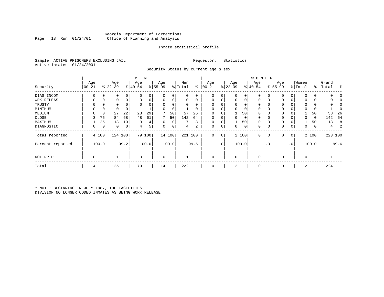# Georgia Department of Corrections Office of Planning and Analysis

# Inmate statistical profile

Sample: ACTIVE PRISONERS EXCLUDING JAIL **Requestor:** Statistics Active inmates 01/24/2001

Security Status by current age & sex

|                  |           |          |           |             | M E N       |       |             |        |         |          |          |             |             |          | <b>WOMEN</b> |                |          |                |             |       |           |         |
|------------------|-----------|----------|-----------|-------------|-------------|-------|-------------|--------|---------|----------|----------|-------------|-------------|----------|--------------|----------------|----------|----------------|-------------|-------|-----------|---------|
|                  | Age       |          | Age       |             | Age         |       | Age         |        | Men     |          | Age      |             | Age         |          | Age          |                | Age      |                | Women       |       | Grand     |         |
| Security         | $00 - 21$ |          | $ 22-39 $ |             | $8 40-54$   |       | $8 55-99$   |        | % Total | ႜ        | $ 00-21$ |             | $ 22-39 $   |          | $ 40-54 $    |                | $ 55-99$ |                | % Total     |       | %   Total | ႜ       |
| DIAG INCOM       | 0         | 0        | 0         | $\mathbf 0$ | $\Omega$    |       | $\Omega$    | 0      |         |          | $\Omega$ | 0           | $\Omega$    | 0        | $\Omega$     | 0              |          | 0              | $\Omega$    | 0     |           |         |
| WRK RELEAS       | 0         | 0        | 0         | $\mathbf 0$ | $\Omega$    |       | $\Omega$    | 0      |         | $\Omega$ | $\Omega$ |             | $\mathbf 0$ | 0        | $\Omega$     | $\Omega$       |          | 0              | $\Omega$    | 0     |           |         |
| TRUSTY           | $\Omega$  | $\Omega$ |           | $\Omega$    | $\Omega$    |       | $\Omega$    | 0      |         |          | $\Omega$ |             | $\Omega$    | $\Omega$ | $\mathbf 0$  |                |          |                | $\Omega$    | 0     |           |         |
| MINIMUM          | 0         | 0        |           | 0           |             |       | $\Omega$    | 0      |         |          | $\Omega$ |             | $\mathbf 0$ | 0        | $\mathbf 0$  |                | 0        |                | $\Omega$    | 0     |           |         |
| MEDIUM           | 0         | 0        | 27        | 22          | 23          | 29    |             | 50     | 57      | 26       | $\Omega$ |             |             | 50       | 0            |                | 0        | 0              |             | 50    | 58        | 26      |
| CLOSE            | 3         | 75       | 84        | 68          | 48          | 61    |             | 50     | 142     | 64       | $\Omega$ |             | $\mathbf 0$ | 0        | $\mathbf 0$  |                | 0        |                | 0           | 0     | 142       | 64      |
| MAXIMUM          |           | 25       | 13        | 10          | 3           |       | $\Omega$    | 0      | 17      | 8        | $\Omega$ |             |             | 50       | $\mathbf 0$  |                | 0        | 0              |             | 50    | 18        | 8       |
| DIAGNOSTIC       | 0         | 0        | 0         | 0           | 4           | 5     | 0           | 0      | 4       | 2        | 0        | $\mathsf 0$ | 0           | 0        | $\mathbf 0$  | 0              | 0        | 0              | 0           | 0     | 4         | 2       |
| Total reported   |           | 4 100    | 124 100   |             | 79          | 100   |             | 14 100 | 221 100 |          | 0        | 0           |             | 2 100    | $\mathbf 0$  | $\overline{0}$ | 0        | 0 <sup>1</sup> |             | 2 100 |           | 223 100 |
| Percent reported |           | 100.0    |           | 99.2        |             | 100.0 |             | 100.0  |         | 99.5     |          | $\cdot$ 0   |             | 100.0    |              | $\cdot$ 0      |          | .0             |             | 100.0 |           | 99.6    |
| NOT RPTD         | 0         |          |           |             | $\mathbf 0$ |       | $\mathbf 0$ |        |         |          | 0        |             | $\mathbf 0$ |          | $\mathbf{0}$ |                | 0        |                | $\mathbf 0$ |       |           |         |
| Total            | 4         |          | 125       |             | 79          |       | 14          |        | 222     |          | 0        |             | 2           |          | 0            |                | 0        |                | 2           |       | 224       |         |

\* NOTE: BEGINNING IN JULY 1987, THE FACILITIES DIVISION NO LONGER CODED INMATES AS BEING WORK RELEASE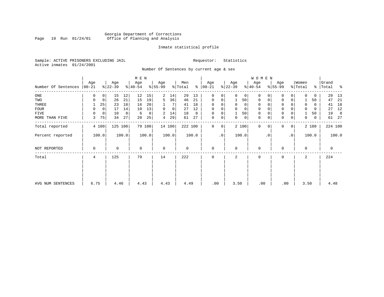# Georgia Department of Corrections Page 19 Run 01/24/01 Office of Planning and Analysis

# Inmate statistical profile

Sample: ACTIVE PRISONERS EXCLUDING JAIL **Requestor:** Statistics Active inmates 01/24/2001

Number Of Sentences by current age & sex

|                     |                 |             |                  |       | M E N            |        |                  |             |                |       |                      |           |                  |              | W O M E N        |           |                  |           |                  |       |                    |         |
|---------------------|-----------------|-------------|------------------|-------|------------------|--------|------------------|-------------|----------------|-------|----------------------|-----------|------------------|--------------|------------------|-----------|------------------|-----------|------------------|-------|--------------------|---------|
| Number Of Sentences | Age<br>$ 00-21$ |             | Age<br>$ 22-39 $ |       | Age<br>$ 40-54 $ |        | Age<br>$8 55-99$ |             | Men<br>% Total |       | Age<br>$8   00 - 21$ |           | Age<br>$ 22-39 $ |              | Age<br>$ 40-54 $ |           | Age<br>$8 55-99$ |           | Women<br>% Total |       | Grand<br>%   Total | ႜ       |
| $_{\rm ONE}$        | 0               | 0           | 15               | 12    | 12               | 15     | 2                | 14          | 29             | 13    | $\mathbf 0$          | 0         | $\Omega$         | $\mathbf{0}$ | $\mathbf 0$      | 0         | 0                | 0         | $\Omega$         | 0     | 29                 | 13      |
| TWO                 | 0               | 0           | 26               | 21    | 15               | 19     | 5                | 36          | 46             | 21    | $\mathbf 0$          | 0         |                  | 50           | $\mathbf 0$      | 0         | $\mathbf 0$      | 0         |                  | 50    | 47                 | 21      |
| THREE               |                 | 25          | 23               | 18    | 16               | 20     |                  |             | 41             | 18    | $\Omega$             | 0         | 0                | 0            | 0                |           | 0                |           | 0                | 0     | 41                 | 18      |
| FOUR                | 0               | $\mathbf 0$ | 17               | 14    | 10               | 13     | $\Omega$         | $\mathbf 0$ | 27             | 12    | $\Omega$             |           |                  | 0            | $\mathbf 0$      |           | $\mathbf 0$      |           | 0                | 0     | 27                 | 12      |
| FIVE                | $\Omega$        | $\mathbf 0$ | 10               | 8     | 6                | 8      | 2                | 14          | 18             | 8     | 0                    | 0         |                  | 50           | $\mathbf 0$      |           | $\mathbf 0$      |           |                  | 50    | 19                 | 8       |
| MORE THAN FIVE      | 3               | 75          | 34               | 27    | 20               | 25     | 4                | 29          | 61             | 27    | $\mathbf 0$          | 0         | 0                | 0            | 0                | 0         | $\mathbf 0$      | 0         | 0                | 0     |                    | 61 27   |
| Total reported      |                 | 4 100       | 125 100          |       |                  | 79 100 |                  | 14 100      | 222 100        |       | $\Omega$             | 0         |                  | 2 100        | $\Omega$         | $\Omega$  | $\Omega$         | 0         |                  | 2 100 |                    | 224 100 |
| Percent reported    |                 | 100.0       |                  | 100.0 |                  | 100.0  |                  | 100.0       |                | 100.0 |                      | $\cdot$ 0 |                  | 100.0        |                  | $\cdot$ 0 |                  | $\cdot$ 0 |                  | 100.0 |                    | 100.0   |
| NOT REPORTED        | 0               |             | 0                |       | $\mathbf 0$      |        | $\mathbf 0$      |             | 0              |       | $\mathbf 0$          |           | $\Omega$         |              | $\mathbf 0$      |           | $\Omega$         |           | 0                |       | 0                  |         |
| Total               | 4               |             | 125              |       | 79               |        | 14               |             | 222            |       | $\Omega$             |           | $\mathbf{2}$     |              | $\Omega$         |           | $\Omega$         |           | 2                |       | 224                |         |
|                     |                 |             |                  |       |                  |        |                  |             |                |       |                      |           |                  |              |                  |           |                  |           |                  |       |                    |         |
| AVG NUM SENTENCES   | 6.75            |             | 4.46             |       | 4.43             |        | 4.43             |             | 4.49           |       | .00                  |           | 3.50             |              | .00              |           |                  | .00       | 3.50             |       | 4.48               |         |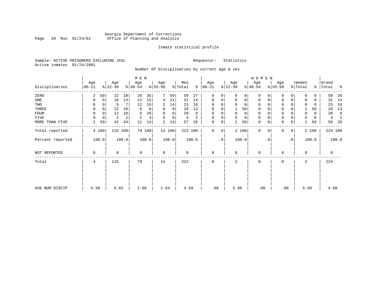# Georgia Department of Corrections Page 20 Run 01/24/01 Office of Planning and Analysis

# Inmate statistical profile

Sample: ACTIVE PRISONERS EXCLUDING JAIL **Requestor:** Statistics Active inmates 01/24/2001

Number Of Disciplinaries by current age & sex

|                  |                  |             |                  |       | M E N            |        |                 |          |                |       |                  |             |                 |             | WOMEN            |           |                  |                |                  |          |                |         |
|------------------|------------------|-------------|------------------|-------|------------------|--------|-----------------|----------|----------------|-------|------------------|-------------|-----------------|-------------|------------------|-----------|------------------|----------------|------------------|----------|----------------|---------|
| Disciplinaries   | Age<br>$00 - 21$ |             | Age<br>$ 22-39 $ |       | Age<br>$ 40-54 $ |        | Age<br>$ 55-99$ |          | Men<br>% Total | ి     | Age<br>$00 - 21$ |             | Age<br>$ 22-39$ |             | Age<br>$ 40-54 $ |           | Age<br>$ 55-99 $ |                | Women<br>% Total | ⊱        | Grand<br>Total | ႜ       |
| ZERO             | 2                | 50          | 22               | 18    | 28               | 35     | 7               | 50       | 59             | 27    | $\mathbf{0}$     | 0           | $\Omega$        | $\Omega$    | 0                |           | 0                | 0              | $\Omega$         | 0        | 59             | 26      |
| ONE              | 0                | $\mathbf 0$ | 16               | 13    | 12               | 15     | 3               | 21       | 31             | 14    | 0                | 0           | 0               | 0           | 0                | 0         | $\mathbf 0$      | 0              | 0                | 0        | 31             | 14      |
| TWO              |                  |             | 9                | 7     | 12               | 15     | 2               | 14       | 23             | 10    | 0                |             |                 | 0           | 0                |           | 0                |                | 0                | 0        | 23             | 10      |
| THREE            | 0                |             | 22               | 18    | 6                | 8      | 0               | 0        | 28             | 13    | 0                |             |                 | 50          | 0                |           | 0                |                |                  | 50       | 29             | 13      |
| FOUR             | $\Omega$         | $\Omega$    | 12               | 10    | 8                | 10     | $\Omega$        | $\Omega$ | 20             | 9     | $\Omega$         | $\Omega$    | $\Omega$        | 0           | $\Omega$         |           | $\Omega$         |                | $\Omega$         | $\Omega$ | 20             | 9       |
| FIVE             |                  | 0           | 2                | 2     | $\overline{2}$   | 3      | $\Omega$        | 0        | 4              | 2     | $\Omega$         | 0           | $\Omega$        | $\mathbf 0$ | 0                |           | $\Omega$         |                |                  | 0        | 4              | 2       |
| MORE THAN FIVE   | $\overline{a}$   | 50          | 42               | 34    | 11               | 14     | 2               | 14       | 57             | 26    | $\mathbf 0$      | 0           |                 | 50          | $\mathbf 0$      |           | $\Omega$         | 0              |                  | 50       | 58             | 26      |
| Total reported   |                  | 4 100       | 125 100          |       |                  | 79 100 |                 | 14 100   | 222 100        |       | $\mathbf{0}$     | $\mathbf 0$ |                 | 2 100       | $\mathbf{0}$     | $\Omega$  | 0                | $\overline{0}$ |                  | 2 100    |                | 224 100 |
| Percent reported |                  | 100.0       |                  | 100.0 |                  | 100.0  |                 | 100.0    |                | 100.0 |                  | $\cdot$ 0   | 100.0           |             |                  | $\cdot$ 0 |                  | $\cdot$ 0      |                  | 100.0    |                | 100.0   |
| NOT REPORTED     | 0                |             | 0                |       | 0                |        | 0               |          | 0              |       | 0                |             | $\mathbf 0$     |             | 0                |           | $\Omega$         |                | $\mathbf 0$      |          | 0              |         |
| Total            | 4                |             | 125              |       | 79               |        | 14              |          | 222            |       | 0                |             | 2               |             | 0                |           | 0                |                | 2                |          | 224            |         |
|                  |                  |             |                  |       |                  |        |                 |          |                |       |                  |             |                 |             |                  |           |                  |                |                  |          |                |         |
|                  |                  |             |                  |       |                  |        |                 |          |                |       |                  |             |                 |             |                  |           |                  |                |                  |          |                |         |
| AVG NUM DISCIP   | 5.50             |             | 6.02             |       | 2.80             |        | 1.64            |          | 4.59           |       | .00              |             | 5.50            |             | .00              |           | .00              |                | 5.50             |          | 4.60           |         |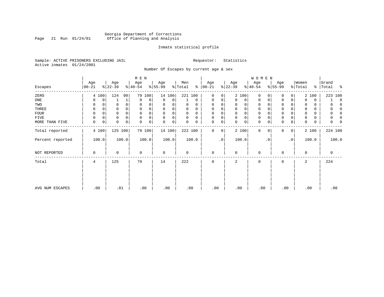# Georgia Department of Corrections Page 21 Run 01/24/01 Office of Planning and Analysis

# Inmate statistical profile

Sample: ACTIVE PRISONERS EXCLUDING JAIL **Requestor:** Statistics Active inmates 01/24/2001

Number Of Escapes by current age & sex

|                  | M E N            |   |                  |       |                  |        |                 |        |                |          |                 |    |                  | W O M E N |                  |             |                 |             |                  |       |                    |
|------------------|------------------|---|------------------|-------|------------------|--------|-----------------|--------|----------------|----------|-----------------|----|------------------|-----------|------------------|-------------|-----------------|-------------|------------------|-------|--------------------|
| Escapes          | Age<br>$00 - 21$ |   | Age<br>$ 22-39 $ |       | Age<br>$ 40-54 $ |        | Age<br>$ 55-99$ |        | Men<br>% Total | ៖        | Age<br>$ 00-21$ |    | Age<br>$ 22-39 $ |           | Age<br>$ 40-54 $ |             | Age<br>$ 55-99$ |             | Women<br>% Total |       | Grand<br>% Total % |
| ZERO             | 4 100            |   | 124              | 99    | 79               | 100    |                 | 14 100 | 221 100        |          | $\mathbf 0$     | 0  |                  | 2 100     | $\mathbf{0}$     | $\Omega$    | $\Omega$        | 0           |                  | 2 100 | 223 100            |
| ONE              | 0                | 0 |                  | 1     | $\mathbf 0$      | 0      | 0               | 0      |                | 0        | $\mathbf 0$     | 0  | 0                | 0         | 0                | 0           | 0               | 0           | $\Omega$         | 0     | $\Omega$           |
| TWO              | 0                | 0 | 0                |       | 0                |        | 0               |        | 0              | O        | $\Omega$        |    | 0                | 0         | 0                | $\Omega$    | $\Omega$        |             | 0                | 0     | O                  |
| THREE            | 0                |   |                  |       | $\Omega$         |        | $\Omega$        |        | 0              | 0        | $\Omega$        |    | 0                | 0         | 0                |             | 0               |             |                  | 0     | $\left($           |
| <b>FOUR</b>      | $\Omega$         |   |                  |       | $\Omega$         |        | $\Omega$        |        | $\Omega$       | $\Omega$ | $\Omega$        |    | $\Omega$         | 0         | $\mathbf 0$      | O           | 0               |             |                  | 0     | O                  |
| FIVE             | 0                | 0 | 0                | 0     | $\mathbf 0$      | 0      | $\mathbf 0$     | 0      | 0              | 0        | $\Omega$        | 0  | 0                | 0         | 0                | $\Omega$    | 0               |             |                  | 0     | 0                  |
| MORE THAN FIVE   | $\mathbf 0$      | 0 | 0                | 0     | $\mathbf 0$      | 0      | $\mathbf 0$     | 0      | 0              | 0        | 0               | 0  | $\mathbf{0}$     | 0         | $\mathbf 0$      | 0           | $\mathbf 0$     | $\mathsf 0$ | 0                | 0     | N                  |
| Total reported   | 4 100            |   | 125 100          |       |                  | 79 100 |                 | 14 100 | 222 100        |          | $\Omega$        | 0  |                  | 2 100     | $\mathbf{0}$     | $\mathbf 0$ | 0               | 0           |                  | 2 100 | 224 100            |
| Percent reported | 100.0            |   |                  | 100.0 |                  | 100.0  |                 | 100.0  |                | 100.0    |                 | .0 |                  | 100.0     |                  | . 0         |                 | $\cdot$ 0   |                  | 100.0 | 100.0              |
| NOT REPORTED     | 0                |   | 0                |       | $\mathbf 0$      |        | $\mathbf 0$     |        | 0              |          | $\mathbf 0$     |    | $\mathbf 0$      |           | 0                |             | 0               |             | 0                |       | 0                  |
| Total            | 4                |   | 125              |       | 79               |        | 14              |        | 222            |          | $\mathbf 0$     |    | 2                |           | 0                |             | 0               |             | 2                |       | 224                |
|                  |                  |   |                  |       |                  |        |                 |        |                |          |                 |    |                  |           |                  |             |                 |             |                  |       |                    |
|                  |                  |   |                  |       |                  |        |                 |        |                |          |                 |    |                  |           |                  |             |                 |             |                  |       |                    |
| AVG NUM ESCAPES  | .00              |   | .01              |       |                  | .00    | .00             |        | .00            |          | .00             |    | .00              |           | .00              |             | .00             |             | .00              |       | .00                |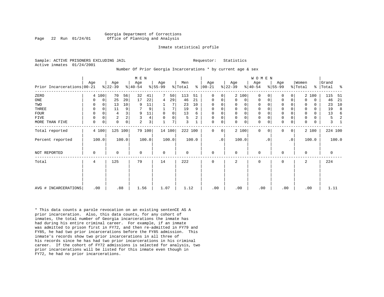### Georgia Department of Corrections Page 22 Run 01/24/01 Office of Planning and Analysis

### Inmate statistical profile

Sample: ACTIVE PRISONERS EXCLUDING JAIL **Requestor:** Statistics Active inmates 01/24/2001

### Number Of Prior Georgia Incarcerations \* by current age & sex

|                            | Age         |             | Age            |             | M E N<br>Age |        | Age         |        | Men     |       | Age           |           | Age         |          | WOMEN<br>Age |           | Age         |    | Women    |          | Grand   |       |
|----------------------------|-------------|-------------|----------------|-------------|--------------|--------|-------------|--------|---------|-------|---------------|-----------|-------------|----------|--------------|-----------|-------------|----|----------|----------|---------|-------|
| Prior Incarcerations 00-21 |             |             | $ 22-39 $      |             | $ 40-54 $    |        | $8 55-99$   |        | % Total |       | $8   00 - 21$ |           | $ 22-39 $   |          | $ 40-54 $    |           | $ 55-99$    |    | % Total  | ွေ       | Total   | ႜ     |
| ZERO                       |             | 4 100       | 70             | 56          | 32           | 41     |             | 50     | 113     | 51    | $\mathbf 0$   | 0         |             | 2 100    | $\Omega$     | $\Omega$  | $\Omega$    | 0  |          | 2 100    | 115     | -51   |
| $_{\rm ONE}$               | O           | 0           | 25             | 20          | 17           | 22     | 4           | 29     | 46      | 21    | 0             | 0         | $\Omega$    | 0        | 0            | 0         | $\Omega$    | 0  | $\Omega$ | 0        | 46      | 21    |
| TWO                        | 0           | $\Omega$    | 13             | 10          | 9            | 11     |             |        | 23      | 10    | 0             | 0         |             | $\Omega$ | 0            |           |             |    | 0        | $\Omega$ | 23      | 10    |
| THREE                      | 0           | $\mathbf 0$ | 11             | 9           |              | 9      |             |        | 19      | 9     | 0             | 0         | $\mathbf 0$ | $\Omega$ | 0            |           | $\Omega$    | 0  | 0        | $\Omega$ | 19      | 8     |
| FOUR                       | 0           | $\Omega$    | 4              |             | 9            | 11     | $\Omega$    | 0      | 13      | 6     | $\Omega$      | 0         |             | $\Omega$ | $\Omega$     |           | $\Omega$    |    | 0        | 0        | 13      | 6     |
| FIVE                       | 0           | $\Omega$    | $\overline{c}$ |             | 3            | 4      |             | 0      | 5       | 2     | 0             | 0         | $\mathbf 0$ | $\Omega$ | 0            |           | 0           |    | 0        | 0        | 5       |       |
| MORE THAN FIVE             | 0           | 0           | 0              | $\mathbf 0$ | 2            | 3      |             | 7      | 3       |       | $\mathbf 0$   | 0         | $\Omega$    | 0        | 0            | 0         | $\mathbf 0$ | 0  | 0        | 0        | 3       |       |
| Total reported             |             | 4 100       | 125 100        |             |              | 79 100 |             | 14 100 | 222 100 |       | $\Omega$      | 0         |             | 2 100    | $\mathbf 0$  | $\Omega$  | $\Omega$    | 0  |          | 2 100    | 224 100 |       |
| Percent reported           |             | 100.0       |                | 100.0       |              | 100.0  |             | 100.0  |         | 100.0 |               | $\cdot$ 0 |             | 100.0    |              | $\cdot$ 0 |             | .0 |          | 100.0    |         | 100.0 |
| <b>NOT REPORTED</b>        | $\mathbf 0$ |             | 0              |             | $\mathbf{0}$ |        | $\mathbf 0$ |        | 0       |       | $\mathbf 0$   |           | $\Omega$    |          | $\mathbf 0$  |           | $\mathbf 0$ |    | 0        |          | 0       |       |
| Total                      | 4           |             | 125            |             | 79           |        | 14          |        | 222     |       | $\mathbf 0$   |           | 2           |          | 0            |           | 0           |    | 2        |          | 224     |       |
|                            |             |             |                |             |              |        |             |        |         |       |               |           |             |          |              |           |             |    |          |          |         |       |
|                            |             |             |                |             |              |        |             |        |         |       |               |           |             |          |              |           |             |    |          |          |         |       |
| AVG # INCARCERATIONS       |             | .00         | .88            |             | 1.56         |        | 1.07        |        | 1.12    |       | .00           |           | .00         |          | .00          |           | .00         |    |          | .00      | 1.11    |       |

\* This data counts a parole revocation on an existing sentenCE AS A prior incarceration. Also, this data counts, for any cohort of inmates, the total number of Georgia incarcerations the inmate has had during his entire criminal career. For example, if an inmate was admitted to prison first in FY72, and then re-admitted in FY79 and FY85, he had two prior incarcerations before the FY85 admission. This inmate's records show two prior incarcerations in all three of his records since he has had two prior incarcerations in his criminal career. If the cohort of FY72 admissions is selected for analysis, two prior incarcerations will be listed for this inmate even though in FY72, he had no prior incarcerations.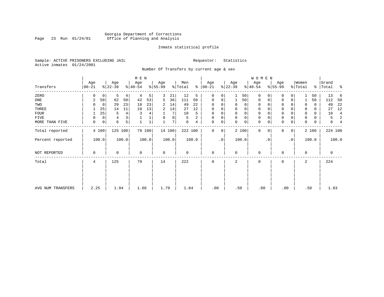# Georgia Department of Corrections Page 23 Run 01/24/01 Office of Planning and Analysis

# Inmate statistical profile

Sample: ACTIVE PRISONERS EXCLUDING JAIL **Requestor:** Statistics Active inmates 01/24/2001

Number Of Transfers by current age & sex

|                   |           |                     | M E N       |                  |           |                       |                  | W O M E N                   |                          |               |                      |
|-------------------|-----------|---------------------|-------------|------------------|-----------|-----------------------|------------------|-----------------------------|--------------------------|---------------|----------------------|
|                   | Age       | Age                 | Age         | Age              | Men       | Age                   | Age              | Age                         | Age                      | Women         | Grand                |
| Transfers         | $00 - 21$ | $ 22-39 $           | $8 40-54$   | $ 55-99 $        | % Total   | $\frac{1}{6}$   00-21 | $ 22-39 $        | $ 40-54 $                   | $8 55-99$                | % Total       | နွ<br>%   Total      |
| ZERO              | 0<br>0    | 5<br>4              | 5<br>4      | 21<br>3          | 12<br>5   | 0<br>0                | 50<br>1          | 0<br>$\Omega$               | 0                        | 50            | 13<br>6              |
| ONE               | 50<br>2   | 62<br>50            | 53<br>42    | 36<br>5          | 111<br>50 | $\Omega$<br>0         | 50               | $\mathbf 0$<br>0            | $\Omega$                 | 50            | 112<br>50            |
| TWO               | 0         | 23<br>29            | 18<br>23    | 14<br>2          | 22<br>49  | $\Omega$              | 0<br>0           | 0<br>O                      | 0                        | 0<br>0        | 22<br>49             |
| THREE             | 25        | 11<br>14            | 13<br>10    | 14<br>2          | 27<br>12  | 0<br>$\Omega$         | 0<br>$\Omega$    | $\mathbf 0$<br>$\Omega$     | 0                        | $\Omega$<br>0 | 12<br>27             |
| <b>FOUR</b>       | 25        | 4<br>5              | 3<br>4      | 7                | 10<br>5   | $\Omega$<br>0         | 0<br>$\mathbf 0$ | $\mathbf 0$<br>O            | 0                        | $\Omega$<br>0 | 10<br>$\overline{4}$ |
| FIVE              | 0<br>0    | 3 <sup>1</sup><br>4 |             | $\mathbf 0$<br>0 | 2<br>5    | $\mathbf 0$<br>0      | 0<br>$\mathbf 0$ | $\mathbf 0$<br>$\mathbf 0$  | 0                        | $\Omega$<br>0 | 2<br>5               |
| MORE THAN FIVE    | 0<br>0    | 6<br>5 <sup>1</sup> | $\mathbf 1$ | 7<br>1           | 8<br>4    | $\mathbf 0$<br>0      | $\mathbf 0$<br>0 | $\mathbf 0$<br>0            | $\mathbf 0$<br>0         | 0<br>0        | 8                    |
| Total reported    | 4 100     | 125 100             | 79 100      | 14 100           | 222 100   | $\Omega$<br>0         | 2 100            | $\mathbf{0}$<br>$\mathbf 0$ | $\mathbf{0}$<br>$\Omega$ | 2 100         | 224 100              |
| Percent reported  | 100.0     | 100.0               | 100.0       | 100.0            | 100.0     | .0                    | 100.0            | $\cdot$ 0                   | $\cdot$ 0                | 100.0         | 100.0                |
| NOT REPORTED      | $\Omega$  | 0                   | $\Omega$    | $\mathbf 0$      | $\Omega$  | $\Omega$              | $\Omega$         | $\Omega$                    | $\Omega$                 | $\Omega$      | $\mathbf 0$          |
| Total             | 4         | 125                 | 79          | 14               | 222       | $\mathbf 0$           | 2                | $\mathbf 0$                 | $\Omega$                 | 2             | 224                  |
|                   |           |                     |             |                  |           |                       |                  |                             |                          |               |                      |
| AVG NUM TRANSFERS | 2.25      | 1.94                | 1.66        | 1.79             | 1.84      | .00                   | .50              | .00                         | .00                      | .50           | 1.83                 |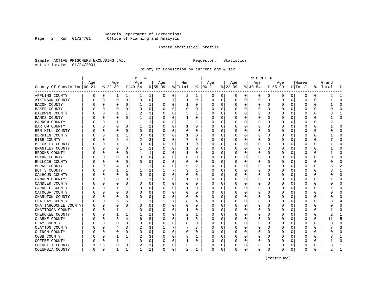# Georgia Department of Corrections Page 24 Run 01/24/01 Office of Planning and Analysis

# Inmate statistical profile

Sample: ACTIVE PRISONERS EXCLUDING JAIL **Requestor:** Statistics Active inmates 01/24/2001

County Of Conviction by current age & sex

|                            |          |             |          |              | M E N        |              |           |          |              |   |               |          |              |          | W O M E N |              |           |              |              |    |       |              |
|----------------------------|----------|-------------|----------|--------------|--------------|--------------|-----------|----------|--------------|---|---------------|----------|--------------|----------|-----------|--------------|-----------|--------------|--------------|----|-------|--------------|
|                            | Age      |             | Age      |              | Age          |              | Age       |          | Men          |   | Age           |          | Age          |          | Age       |              | Age       |              | Women        |    | Grand |              |
| County Of Conviction 00-21 |          |             | $ 22-39$ |              | $ 40-54$     |              | $8 55-99$ |          | % Total      |   | $8   00 - 21$ |          | $ 22-39 $    |          | $ 40-54$  |              | $8 55-99$ |              | % Total      | ွေ | Total |              |
| APPLING COUNTY             | 0        | 0           | 1        | 1            | 1            | 1            | 0         | 0        | 2            | 1 | 0             | 0        | 0            | 0        | 0         | 0            | 0         | 0            | 0            | 0  | 2     | -1           |
| ATKINSON COUNTY            | N        | 0           | 0        | 0            | $\circ$      | 0            | 1         | 7        | $\mathbf{1}$ | 0 | 0             | 0        | 0            | 0        | 0         | 0            | 0         | 0            | 0            | 0  |       | $\Omega$     |
| <b>BACON COUNTY</b>        |          | 0           | 0        | 0            | 1            | $\mathbf{1}$ | O         | 0        | 1            | 0 | O             | 0        | 0            | 0        | 0         | $\Omega$     | $\Omega$  | 0            | 0            | 0  |       | $\Omega$     |
| BAKER COUNTY               |          | 0           | 0        | $\Omega$     | 0            | 0            | O         | 0        | 0            | 0 | C             | $\Omega$ | O            | $\Omega$ | 0         | $\Omega$     | $\Omega$  | 0            | 0            | 0  |       | $\Omega$     |
| BALDWIN COUNTY             |          | $\Omega$    | 1        | $\mathbf{1}$ |              | 3            |           | $\Omega$ | 3            | 1 |               | O        | O            | O        | O         | <sup>0</sup> | ∩         | U            | O            | U  |       | -1           |
| BANKS COUNTY               |          | 0           | 0        | $\Omega$     |              | 1            | O         | 0        | 1            | 0 | O             | $\Omega$ | <sup>0</sup> | 0        | 0         | $\Omega$     | $\Omega$  | 0            | <sup>0</sup> | 0  |       | $\Omega$     |
| <b>BARROW COUNTY</b>       |          | 0           | 1        | 1            | 1            | 1            | O         | 0        | 2            | 1 | O             | 0        | 0            | 0        | 0         | 0            | $\Omega$  | 0            | 0            | 0  | 2     | -1           |
| BARTOW COUNTY              |          | 0           | 0        | $\Omega$     |              | 1            |           | 0        |              | 0 | O             | 0        | 0            | 0        | 0         | 0            | 0         | 0            | 0            | 0  |       | $\bigcap$    |
| BEN HILL COUNTY            |          | 0           | 0        | 0            | 0            | 0            | O         | 0        | 0            | U | $\Omega$      | 0        | 0            | 0        | 0         | $\Omega$     | $\Omega$  | 0            | 0            | 0  |       | $\Omega$     |
| BERRIEN COUNTY             |          | 0           |          | 1            | 0            | 0            | O         | 0        |              | 0 | O             | 0        | 0            | $\Omega$ | 0         | 0            | $\Omega$  | $\Omega$     | 0            | 0  |       | $\mathbf 0$  |
| BIBB COUNTY                |          | 0           | 5        | 4            | 2            | 3            |           | $\Omega$ |              | 3 |               | 0        | 0            | 0        | 0         | $\Omega$     | $\Omega$  | O            | 0            | 0  |       |              |
| BLECKLEY COUNTY            |          | 0           | 1        | 1            | $\Omega$     | 0            | O         | $\Omega$ | 1            | U | C             | $\Omega$ | <sup>0</sup> | 0        | O         | $\Omega$     | O         | <sup>0</sup> | <sup>0</sup> | U  |       | $\Omega$     |
| BRANTLEY COUNTY            |          | 0           | 0        | $\Omega$     | 1            | 1            |           | 0        | 1            | 0 | O             | $\Omega$ | O            | $\Omega$ | Ω         | $\Omega$     | O         | 0            | 0            | 0  |       | $\cap$       |
| BROOKS COUNTY              |          | 0           | 0        | O            | 1            | 1            |           | 0        | 1            | 0 | O             | 0        | 0            | 0        |           | 0            | $\Omega$  | 0            | 0            | 0  |       | $\bigcap$    |
| BRYAN COUNTY               |          | $\mathbf 0$ | 0        | 0            | $\Omega$     | 0            | O         | 0        | 0            | 0 | O             | 0        | 0            | $\Omega$ | 0         | 0            | $\Omega$  | 0            | 0            | 0  | Λ     | $\mathbf 0$  |
| BULLOCH COUNTY             |          | 0           | O        | O            | 0            | 0            | O         | 0        | 0            | 0 | O             | $\Omega$ | 0            | 0        | 0         | $\Omega$     | O         | 0            | 0            | 0  |       | $\Omega$     |
| BURKE COUNTY               |          | 0           |          |              |              | 1            | O         | 0        | 5            | 2 | O             | 0        | 0            | 0        | 0         | 0            | O         | 0            | 0            | 0  |       |              |
| BUTTS COUNTY               |          | 0           |          | 1            |              | 1            |           | 7        | 3            | 1 | O             | $\Omega$ | <sup>0</sup> | 0        | 0         | $\Omega$     | $\Omega$  | 0            | 0            | 0  |       | 1            |
| CALHOUN COUNTY             |          | 0           | $\Omega$ | $\Omega$     | 0            | 0            | O         | 0        | 0            | 0 | O             | $\Omega$ | 0            | $\Omega$ | 0         | $\Omega$     | $\Omega$  | $\Omega$     | 0            | 0  |       | $\Omega$     |
| CAMDEN COUNTY              |          | $\mathbf 0$ | 0        | 0            |              | 1            |           | 0        |              | 0 |               | $\Omega$ | 0            | $\Omega$ | 0         | $\Omega$     | $\Omega$  | 0            | 0            | 0  |       | $\Omega$     |
| CANDLER COUNTY             |          | 0           | O        | $\Omega$     | $\Omega$     | 0            |           | 0        | 0            | U | C             | 0        | O            | 0        | Ω         | $\Omega$     | $\Omega$  | 0            | <sup>0</sup> | 0  |       | $\Omega$     |
| CARROLL COUNTY             |          | 0           | 1        | 1            | 0            | 0            | U         | 0        | 1            | 0 | $\Omega$      | 0        | 0            | 0        | 0         | $\Omega$     | $\Omega$  | 0            | 0            | 0  |       | $\Omega$     |
| CATOOSA COUNTY             |          | 0           | 0        | $\Omega$     | 0            | 0            | O         | $\Omega$ | 0            | 0 | O             | 0        | 0            | 0        | 0         | 0            | $\Omega$  | 0            | 0            | 0  |       | $\Omega$     |
| CHARLTON COUNTY            |          | 0           | O        | O            | 0            | 0            | 0         | $\Omega$ | 0            | 0 | O             | $\Omega$ | 0            | 0        | 0         | $\Omega$     | $\Omega$  | 0            | 0            | 0  |       | $\cap$       |
| CHATHAM COUNTY             |          | 0           | 6        | 5            |              | 1            |           | 7        | 8            | 4 | O             | $\Omega$ | O            | 0        | Ω         | $\Omega$     | O         | <sup>0</sup> | 0            | 0  | 8     | 4            |
| CHATTAHOOCHEE COUNTY       |          | 0           | 0        | 0            | 0            | 0            | O         | 0        | 0            | 0 | O             | 0        | C            | 0        | C         | 0            | 0         | 0            | 0            | 0  |       | $\Omega$     |
| CHATTOOGA COUNTY           |          | $\mathbf 0$ | 1        | 1            | 0            | $\Omega$     | O         | 0        | 1            | 0 | $\Omega$      | 0        | 0            | $\Omega$ | 0         | 0            | $\Omega$  | 0            | 0            | 0  |       | $\bigcap$    |
| CHEROKEE COUNTY            |          | 0           | 1        | 1            |              | 1            | O         | 0        | 2            | 1 | C             | $\Omega$ | O            | 0        | 0         | $\Omega$     | $\Omega$  | 0            | 0            | 0  | 2     | -1           |
| CLARKE COUNTY              |          | 0           | 5        | 4            | 6            | 8            | O         | 0        | 11           | 5 | O             | 0        | 0            | 0        | 0         | 0            | $\Omega$  | 0            | 0            | 0  | 11    | 5            |
| CLAY COUNTY                |          | $\Omega$    | O        | O            | 0            | 0            | O         | $\Omega$ | 0            | U | O             | O        | <sup>0</sup> | 0        | O         | $\Omega$     | $\Omega$  | 0            | 0            | 0  | Λ     | $\cap$       |
| CLAYTON COUNTY             |          | 0           | 4        | 3            |              | 3            |           | 7        | 7            | 3 | $\Omega$      | $\Omega$ | 0            | $\Omega$ | 0         | $\Omega$     | $\Omega$  | $\Omega$     | 0            | 0  |       | 3            |
| CLINCH COUNTY              |          | $\mathbf 0$ | $\Omega$ | $\Omega$     | $\Omega$     | 0            | 0         | 0        | 0            | 0 | O             | 0        | 0            | $\Omega$ | 0         | $\Omega$     | $\Omega$  | $\Omega$     | 0            | 0  |       | $\Omega$     |
| COBB COUNTY                |          | 0           | 1        | 1            | 2            | 3            |           | 0        | 3            | 1 |               | 0        | 0            | 0        | 0         | $\Omega$     | $\Omega$  | 0            | 0            | 0  |       | $\mathbf{1}$ |
| COFFEE COUNTY              |          | 0           | 1        | 1            | 0            | 0            | U         | 0        | 1            | 0 | O             | 0        | 0            | 0        | 0         | 0            | $\Omega$  | 0            | Ω            | 0  |       | $\Omega$     |
| COLQUITT COUNTY            |          | 25          | 0        | 0            | 2            | 3            | 0         | 0        | 3            | 1 | 0             | 0        | 0            | 0        | 0         | 0            | $\Omega$  | 0            | 0            | 0  |       | -1           |
| COLUMBIA COUNTY            | $\Omega$ | $\mathbf 0$ | 1        | 1            | $\mathbf{1}$ | 1            | 0         | 0        | 2            | 1 | 0             | 0        | 0            | 0        | $\Omega$  | $\mathbf 0$  | $\Omega$  | 0            | 0            | 0  |       | $\mathbf{1}$ |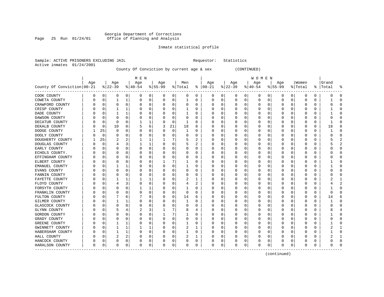# Georgia Department of Corrections Page 25 Run 01/24/01 Office of Planning and Analysis

# Inmate statistical profile

Sample: ACTIVE PRISONERS EXCLUDING JAIL **Requestor:** Statistics Active inmates 01/24/2001

County Of Conviction by current age & sex (CONTINUED)

|                            |     |          |          |          | M E N    |          |           |             |              |   |               |          |             |          | W O M E N |   |           |          |          |          |       |   |
|----------------------------|-----|----------|----------|----------|----------|----------|-----------|-------------|--------------|---|---------------|----------|-------------|----------|-----------|---|-----------|----------|----------|----------|-------|---|
|                            | Age |          | Age      |          | Age      |          | Age       |             | Men          |   | Age           |          | Age         |          | Age       |   | Age       |          | Women    |          | Grand |   |
| County Of Conviction 00-21 |     |          | $ 22-39$ |          | $ 40-54$ |          | $8 55-99$ |             | % Total      |   | $8   00 - 21$ |          | $8$   22-39 |          | $ 40-54$  |   | $8 55-99$ |          | % Total  | ႜႜ       | Total |   |
| COOK COUNTY                | 0   | 0        | 0        | 0        | 0        | 0        | 0         | 0           | 0            | 0 | 0             | 0        | 0           | 0        | 0         | 0 | 0         | 0        | 0        | 0        |       | 0 |
| COWETA COUNTY              | 0   | 0        |          |          | 0        | 0        | 0         | 0           | 1            | 0 | 0             | 0        | O           | 0        | 0         | 0 | O         | 0        | $\Omega$ | 0        |       |   |
| CRAWFORD COUNTY            |     | $\Omega$ | $\Omega$ | $\Omega$ | O        | 0        | U         | $\mathbf 0$ | O            | U | C             | $\Omega$ |             | $\Omega$ | U         | U | C         | 0        | U        | $\Omega$ |       |   |
| CRISP COUNTY               |     | $\Omega$ |          |          |          | $\Omega$ |           | $\Omega$    | 1            | U | C             | $\Omega$ |             | O        | U         | U | O         | $\Omega$ | U        | $\Omega$ |       |   |
| DADE COUNTY                |     | $\Omega$ |          |          | C        | $\Omega$ |           | $\Omega$    | 1            | U | $\Box$        | $\Omega$ |             | O        | U         | U | O         | $\Omega$ | O        | $\Omega$ |       |   |
| DAWSON COUNTY              |     | 0        |          | $\Omega$ |          | 0        |           | 0           | 0            | O | 0             | 0        |             | O        |           | 0 |           | 0        | 0        | $\Omega$ |       |   |
| DECATUR COUNTY             |     | $\Omega$ | $\Omega$ | $\Omega$ |          | 1        |           | 0           | $\mathbf{1}$ | O |               | 0        |             | O        | U         | 0 | O         | 0        | 0        | $\Omega$ |       |   |
| DEKALB COUNTY              |     | 0        | 10       | 8        | 5        | 6        | 3         | 21          | 18           | 8 |               | 0        |             | O        | U         | 0 | O         | 0        | 0        | 0        | 18    |   |
| DODGE COUNTY               |     | 25       | $\Omega$ | 0        |          | 0        | U         | 0           | 1            | U | C             | 0        |             | O        | U         | 0 | O         | 0        | 0        | 0        |       | n |
| DOOLY COUNTY               | 0   | 0        | O        | 0        | C        | 0        |           | 0           | 0            | U | O             | 0        |             | O        | U         | U | 0         | 0        | 0        | 0        |       | C |
| DOUGHERTY COUNTY           |     | 25       |          |          |          | 1        |           | 7           | 5            | 2 | $\Box$        | 0        |             |          | U         | 0 |           | 0        | C        | 0        |       |   |
| DOUGLAS COUNTY             |     | $\Omega$ |          | 3        |          | 1        |           | $\Omega$    | 5            | 2 |               | 0        |             | n        | U         | U |           | 0        | U        | $\Omega$ |       |   |
| EARLY COUNTY               |     | n        | ∩        | $\Omega$ | n        | 0        |           | $\Omega$    | 0            | U | $\Box$        | 0        |             | U        | U         | U | O         | 0        | O        | 0        |       |   |
| ECHOLS COUNTY.             |     | n        |          | $\Omega$ | O        | 0        |           | 0           | 0            | U | $\Box$        | $\Omega$ |             | O        |           | U | O         | $\Omega$ | O        | 0        |       |   |
| EFFINGHAM COUNTY           |     | 0        |          | 0        |          | 0        |           | $\mathbf 0$ | 0            | 0 |               | 0        |             | 0        |           | 0 |           | 0        | C        | 0        |       |   |
| ELBERT COUNTY              |     | 0        |          | $\Omega$ |          | 0        |           | 7           |              | 0 |               | 0        |             | 0        | 0         | 0 | O         | 0        | 0        | 0        |       |   |
| EMANUEL COUNTY             |     | 0        |          |          |          | 0        |           | 0           | 1            | U |               | 0        |             | O        | U         | 0 | O         | 0        | 0        | 0        |       | ∩ |
| EVANS COUNTY               |     | 0        | O        | 0        | O        | 0        |           | 0           | 0            | 0 | C             | 0        |             | O        | 0         | 0 | 0         | 0        | 0        | 0        |       | ∩ |
| FANNIN COUNTY              | Ω   | 0        |          | O        | C        | 0        |           | 0           | 0            | 0 | C             | 0        |             |          | U         | 0 | O         | 0        | 0        | 0        |       | U |
| FAYETTE COUNTY             |     | 0        |          |          |          | 1        |           | 0           |              | 1 | O             | 0        |             |          | U         | 0 |           | 0        | 0        | 0        |       |   |
| FLOYD COUNTY               |     | n        | 4        | 3        |          | 0        |           | $\Omega$    | 4            | 2 | C             | 0        |             | U        | U         | 0 | O         | 0        | O        | 0        |       |   |
| FORSYTH COUNTY             |     | U        |          | $\Omega$ |          | 1        |           | $\Omega$    | 1            | 0 | C             | 0        |             | O        | 0         | 0 | O         | $\Omega$ | 0        | $\Omega$ |       | U |
| FRANKLIN COUNTY            |     | 0        | 0        | $\Omega$ | 0        | 0        |           | 0           | 0            | 0 | O             | 0        |             | 0        |           | 0 | O         | $\Omega$ | 0        | $\Omega$ | U     |   |
| FULTON COUNTY              |     | 0        |          | 6        |          | 9        |           | 0           | 14           | 6 | O             | 0        |             | 0        |           | 0 |           | 0        | C        | 0        | 14    |   |
| GILMER COUNTY              |     | 0        |          |          | C        | 0        |           | 0           | 1            | U |               | 0        |             | O        | 0         | 0 |           | $\Omega$ | 0        | $\Omega$ |       | C |
| GLASCOCK COUNTY            |     | 0        | $\Omega$ | $\Omega$ | U        | 0        |           | 0           | 0            | 0 | C             | 0        |             | O        | U         | 0 | O         | 0        | 0        | $\Omega$ |       | n |
| <b>GLYNN COUNTY</b>        | Ω   | 0        |          |          |          | 3        |           | 7           | 8            | 4 | C             | 0        |             | O        | 0         | 0 | O         | 0        | 0        | 0        |       |   |
| GORDON COUNTY              | 0   | 0        |          | 0        | C        | 0        |           | 7           | 1            | U | $\Box$        | 0        |             |          | U         | U | 0         | 0        | O        | 0        |       |   |
| GRADY COUNTY               |     | O        |          |          |          | 0        |           | 0           | 0            | U | $\Box$        | N        |             |          | U         | 0 |           | $\Omega$ | C        | $\Omega$ |       |   |
| GREENE COUNTY              |     | n        |          |          |          | 0        |           | $\Omega$    | 1            | U |               | 0        |             | O        | U         | U | C         | $\Omega$ | U        | $\Omega$ |       |   |
| GWINNETT COUNTY            |     | O        |          |          |          | 1        |           | $\Omega$    | 2            | 1 | $\Box$        | $\Omega$ |             | O        | U         | U |           | $\Omega$ | O        | 0        |       |   |
| HABERSHAM COUNTY           |     | n        |          |          |          | 0        |           | 0           | 1            | O | $\Box$        | $\Omega$ |             | O        |           | U | O         | $\Omega$ | O        | $\Omega$ |       |   |
| HALL COUNTY                |     | n        | 2        | 2        |          | 0        |           | 0           | 2            | 1 |               | 0        |             | O        |           | 0 | O         | 0        | C        | 0        |       |   |
| HANCOCK COUNTY             |     | 0        |          | 0        |          | 0        |           | 0           | 0            | 0 | O             | 0        |             | 0        | 0         | 0 | O         | 0        |          | 0        |       |   |
| HARALSON COUNTY            | 0   | 0        | $\Omega$ | 0        | O        | 0        | $\Omega$  | 0           | 0            | 0 | $\Omega$      | 0        | O           | 0        | 0         | 0 | $\Omega$  | 0        | 0        | 0        | U     |   |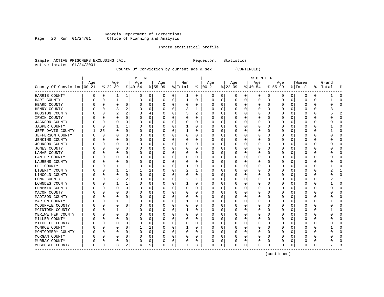# Georgia Department of Corrections Page 26 Run 01/24/01 Office of Planning and Analysis

# Inmate statistical profile

Sample: ACTIVE PRISONERS EXCLUDING JAIL **Requestor:** Statistics Active inmates 01/24/2001

County Of Conviction by current age & sex (CONTINUED)

|                            |     |    |          |              | M E N    |                |           |             |              |          |            |          |          |          | W O M E N        |   |           |          |         |          |       |                |
|----------------------------|-----|----|----------|--------------|----------|----------------|-----------|-------------|--------------|----------|------------|----------|----------|----------|------------------|---|-----------|----------|---------|----------|-------|----------------|
|                            | Age |    | Age      |              | Age      |                | Age       |             | Men          |          | Age        |          | Age      |          | Age              |   | Aqe       |          | Women   |          | Grand |                |
| County Of Conviction 00-21 |     |    | $ 22-39$ |              | $ 40-54$ |                | $8 55-99$ |             | % Total      |          | $% 100-21$ |          | $ 22-39$ |          | $ 40-54$         |   | $8 55-99$ |          | % Total | နွ       | Total |                |
| HARRIS COUNTY              | 0   | 0  |          | 1            | 0        | $\overline{0}$ | 0         | 0           | 1            | 0        | 0          | 0        | 0        | 0        | 0                | 0 | 0         | 0        | 0       | 0        |       | $\Omega$       |
| HART COUNTY                | U   | 0  |          | 1            | 0        | 0              | O         | 0           | 1            | $\Omega$ | 0          | 0        | 0        | 0        | 0                | 0 | $\Omega$  | 0        | U       | 0        |       | $\Omega$       |
| HEARD COUNTY               |     | O  | O        | 0            | O        | 0              |           | 0           | 0            | U        | C          | 0        |          | $\Omega$ | 0                | O |           | 0        | O       | 0        | C     | $\Omega$       |
| HENRY COUNTY               |     | C  |          | 2            |          | 0              |           | 0           | 3            | 1        | C          | O        |          | $\Omega$ | Ω                | O |           | U        | ſ       | 0        |       |                |
| HOUSTON COUNTY             |     | C  |          | 2            | 3        | 4              |           | $\Omega$    | 5            | 2        | $\Gamma$   | O        |          | O        | Ω                | O |           | $\Omega$ | Ω       | O        |       | $\mathfrak{D}$ |
| IRWIN COUNTY               |     | C  | O        | $\Omega$     | O        | 0              |           | 0           | 0            | U        | $\Box$     | $\Omega$ |          | $\Omega$ | Ω                | O |           | $\Omega$ | O       | 0        |       | $\Omega$       |
| <b>JACKSON COUNTY</b>      |     | 0  |          | $\Omega$     | 0        | 0              |           | 0           | 0            | 0        | O          | 0        |          | $\Omega$ | 0                | 0 |           | $\Omega$ | 0       | 0        |       | 0              |
| <b>JASPER COUNTY</b>       |     | O  |          |              | 0        | 0              |           | 0           | 1            | U        | O          | 0        |          | $\Omega$ | Ω                | 0 |           | $\Omega$ | 0       | 0        |       | <sup>0</sup>   |
| JEFF DAVIS COUNTY          |     | 25 | $\Omega$ | $\Omega$     | $\Omega$ | 0              |           | 0           | $\mathbf{1}$ | O        | C          | 0        |          | $\Omega$ | Ω                | U |           | $\Omega$ | 0       | $\Omega$ |       | $\Omega$       |
| JEFFERSON COUNTY           |     | 0  | O        | 0            | 0        | 0              | U         | 0           | 0            | $\Omega$ | C          | 0        |          | $\Omega$ | 0                | 0 | O         | 0        | 0       | 0        | C     | $\Omega$       |
| <b>JENKINS COUNTY</b>      |     | 0  | O        | O            | 0        | 0              |           | 0           | 0            | 0        | C          | 0        |          | $\Omega$ | 0                | 0 | O         | 0        | 0       | 0        | 0     | $\Omega$       |
| JOHNSON COUNTY             |     | C  |          | 0            | C        | 0              |           | 0           | 0            | 0        | C          | 0        |          |          | 0                | C |           | 0        | C       | 0        |       | <sup>0</sup>   |
| JONES COUNTY               |     |    |          | O            | 0        | 0              |           | 0           | 0            | U        | C          | 0        |          | O        | 0                | C |           | O        | ſ       | 0        |       | ∩              |
| LAMAR COUNTY               |     | C  |          | O            | O        | 0              |           | 0           | 0            | U        | C          | 0        |          | $\Omega$ | 0                | O |           | 0        | Ω       | 0        |       | ∩              |
| LANIER COUNTY              |     | N  |          | 0            | O        | 0              |           | 0           | 0            | U        | C          | 0        |          | 0        | 0                | O |           | $\Omega$ | O       | 0        |       | O              |
| LAURENS COUNTY             |     | N  |          | O            | 0        | 0              |           | 0           | 0            | 0        | C          | 0        |          | 0        | 0                | 0 |           | 0        | 0       | 0        |       | <sup>0</sup>   |
| LEE COUNTY                 |     | 0  |          | 1            | 0        | 0              |           | $\mathbf 0$ | 1            | 0        | C          | 0        |          | $\Omega$ | 0                | 0 |           | $\Omega$ | 0       | 0        |       | $\sqrt{ }$     |
| LIBERTY COUNTY             |     | O  | 1        | 1            | 1        | 1              |           | 0           | 2            | 1        | C          | 0        |          | $\Omega$ | O                | O | U         | 0        | O       | 0        | 2     | -1             |
| LINCOLN COUNTY             |     | O  | $\Omega$ | $\Omega$     | O        | 0              | O         | 0           | 0            | 0        | C          | 0        |          | 0        | 0                | O | n         | 0        | 0       | 0        |       | $\Omega$       |
| LONG COUNTY                |     | C  | 2        | 2            | O        | 0              |           | 0           | 2            | 1        | C          | 0        |          |          | 0                | 0 |           | O        | 0       | 0        |       |                |
| LOWNDES COUNTY             |     | C  |          |              | O        | 0              | U         | 0           |              | U        | C          | 0        |          | $\Omega$ | 0                | O |           | $\Omega$ | Ω       | 0        |       | $\Omega$       |
| LUMPKIN COUNTY             |     | C  |          | O            | O        | 0              | U         | 0           | U            | U        | O          | 0        |          | $\Omega$ | Ω                | O |           | U        | ſ       | O        |       | ∩              |
| MACON COUNTY               |     | C  | O        | $\Omega$     | O        | 0              |           | $\mathbf 0$ | 0            | U        | $\Box$     | 0        |          | $\Omega$ | Ω                | O |           | $\Omega$ | O       | 0        |       | <sup>0</sup>   |
| MADISON COUNTY             |     | N  |          | $\Omega$     | O        | 0              |           | 0           | 0            | O        | O          | 0        |          | $\Omega$ | $\left( \right)$ | U |           | $\Omega$ | O       | O        |       | <sup>0</sup>   |
| MARION COUNTY              |     | N  |          | $\mathbf{1}$ | C        | 0              |           | 0           | 1            | O        | C          | 0        |          | $\Omega$ | Ω                | U |           | $\Omega$ | 0       | 0        |       | ſ              |
| MCDUFFIE COUNTY            |     | C  | 0        | 0            | 0        | 0              |           | 0           | 0            | 0        | C          | 0        |          | $\Omega$ | 0                | 0 |           | 0        | 0       | 0        |       | <sup>0</sup>   |
| MCINTOSH COUNTY            |     | 0  |          |              | 0        | 0              | 0         | 0           | 1            | 0        | C          | 0        |          | $\Omega$ | 0                | 0 | O         | 0        | 0       | 0        |       | $\Omega$       |
| MERIWETHER COUNTY          |     | 0  | O        | $\Omega$     | 0        | 0              |           | 0           | 0            | 0        | C          | 0        |          | 0        | 0                | 0 | O         | 0        | 0       | 0        | 0     | $\Omega$       |
| MILLER COUNTY              |     | 0  |          | O            | C        | 0              |           | 0           | 0            | 0        | C          | 0        |          | 0        | 0                | 0 |           | U        | C       | 0        |       | <sup>0</sup>   |
| MITCHELL COUNTY            |     | C  |          | O            | O        | 0              |           | $\Omega$    | 0            | U        | C          | 0        |          | $\Omega$ | Ω                | O |           | U        | ſ       | U        |       | ∩              |
| MONROE COUNTY              |     | O  |          | O            | 1        | 1              |           | 0           | 1            | 0        | C          | 0        |          | $\Omega$ | 0                | O |           | 0        | Ω       | 0        |       | ∩              |
| MONTGOMERY COUNTY          |     | O  |          | $\Omega$     | O        | 0              |           | 0           | 0            | U        | C          | 0        |          | $\Omega$ | 0                | O |           | $\Omega$ | O       | 0        |       | <sup>0</sup>   |
| MORGAN COUNTY              |     | N  |          | O            |          | 0              |           | 0           | 0            | 0        | O          | $\Omega$ |          | $\Omega$ | 0                | 0 |           | 0        |         | 0        |       | <sup>0</sup>   |
| MURRAY COUNTY              |     | 0  |          | 0            |          | 0              |           | 0           | 0            | 0        | C          | 0        |          | 0        | 0                | 0 |           | 0        |         | 0        |       | ſ              |
| MUSCOGEE COUNTY            | 0   | 0  | 3        | 2            | 4        | 5              | O         | 0           | 7            | 3        | $\Omega$   | 0        | O        | 0        | 0                | 0 | $\Omega$  | 0        | 0       | 0        | 7     | p              |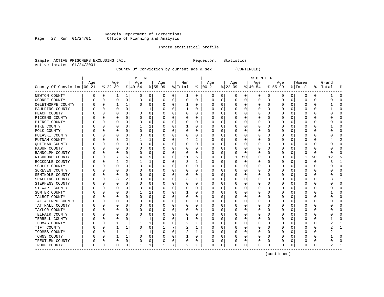# Georgia Department of Corrections Page 27 Run 01/24/01 Office of Planning and Analysis

# Inmate statistical profile

Sample: ACTIVE PRISONERS EXCLUDING JAIL **Requestor:** Statistics Active inmates 01/24/2001

County Of Conviction by current age & sex (CONTINUED)

|                            |     |          |          |          | M E N     |   |           |                 |          |          |          |          |              |          | W O M E N |   |           |              |         |    |       |              |
|----------------------------|-----|----------|----------|----------|-----------|---|-----------|-----------------|----------|----------|----------|----------|--------------|----------|-----------|---|-----------|--------------|---------|----|-------|--------------|
|                            | Age |          | Age      |          | Age       |   | Age       |                 | Men      |          | Age      |          | Age          |          | Age       |   | Age       |              | Women   |    | Grand |              |
| County Of Conviction 00-21 |     |          | $ 22-39$ |          | $8 40-54$ |   | $8 55-99$ |                 | % Total  | ႜ        | $ 00-21$ |          | $ 22-39$     |          | $ 40-54$  |   | $8 55-99$ |              | % Total | ႜၟ | Total |              |
| NEWTON COUNTY              | 0   | 0        | 1        | 1        | 0         | 0 | 0         | 0               | 1        | 0        | 0        | 0        | 0            | 0        | 0         | 0 | 0         | 0            | 0       | 0  |       | O            |
| OCONEE COUNTY              |     | 0        | $\Omega$ | 0        | 0         | 0 | 0         | 0               | 0        | $\Omega$ | C        | 0        | <sup>0</sup> | 0        | 0         | 0 | $\Omega$  | 0            | U       | 0  | U     | ſ            |
| OGLETHORPE COUNTY          |     | 0        |          | 1        | 0         | 0 |           | 0               | 1        | 0        | O        | 0        |              | $\Omega$ | 0         | 0 |           | 0            | 0       | 0  |       | ſ            |
| PAULDING COUNTY            |     | 0        |          | $\Omega$ |           | 1 |           | 0               | 1        | 0        | O        | $\Omega$ |              | $\Omega$ |           | 0 |           | 0            | 0       | 0  |       | ſ            |
| PEACH COUNTY               |     | C        |          | $\Omega$ |           | 0 |           | 0               | 0        | O        |          | 0        |              | $\Omega$ |           | 0 |           | O            | 0       | 0  |       | ſ            |
| PICKENS COUNTY             |     |          |          | O        |           | 0 |           | $\mathbf 0$     | 0        | O        | C        | $\Omega$ |              | O        |           |   |           | U            | 0       | 0  |       | $\Omega$     |
| PIERCE COUNTY              |     | C        | O        | O        | 0         | 0 | U         | 0               | 0        | U        | C        | 0        |              | O        | Ω         | O | O         | 0            | O       | 0  |       | <sup>0</sup> |
| PIKE COUNTY                |     | C        | $\left($ | O        |           | 1 |           | 0               | 1        | U        | O        | 0        |              | 0        | O         | 0 | $\left($  | 0            | 0       | 0  |       | <sup>0</sup> |
| POLK COUNTY                |     |          |          | O        | 0         | 0 |           | 0               | 0        | U        | C        | 0        |              |          | 0         | C |           | O            | 0       | 0  |       | <sup>0</sup> |
| PULASKI COUNTY             |     |          |          |          | C         | 0 |           | 0               | 0        | 0        | C        | 0        |              |          | 0         |   |           | U            |         | 0  |       | ſ            |
| PUTNAM COUNTY              |     |          |          | 2        |           | 1 |           | 0               | 4        | 2        | C        | O        |              | O        | Ω         |   |           | U            |         | 0  |       |              |
| QUITMAN COUNTY             |     | C        |          | U        | 0         | 0 |           | 0               | 0        | 0        | C        | 0        |              | O        | 0         | O |           | <sup>0</sup> | 0       | 0  |       | <sup>0</sup> |
| RABUN COUNTY               |     |          |          | O        | 0         | 0 |           | 0               | 0        | 0        |          | $\Omega$ |              | $\Omega$ |           | 0 |           | 0            | 0       | 0  |       | Ω            |
| RANDOLPH COUNTY            |     |          |          | O        |           | 0 |           | 0               | $\Omega$ | 0        |          | 0        |              | $\Omega$ | 0         | 0 |           | 0            | 0       | 0  |       | ſ            |
| RICHMOND COUNTY            |     | C        |          | 6        |           | 5 |           | 0               | 11       | 5        |          | 0        |              | 50       | 0         | 0 |           | 0            | 1       | 50 | 12    |              |
| ROCKDALE COUNTY            |     | O        | 2        | 2        |           | 1 |           | 0               | 3        | 1        | C        | 0        |              | $\Omega$ | O         | O | O         | 0            | U       | 0  | 3     | -1           |
| SCHLEY COUNTY              |     | $\left($ | n        | 0        | O         | 0 | U         | $\mathbf 0$     | 0        | U        | C        | 0        | $\left($     | 0        | 0         | O | n         | <sup>0</sup> | Ω       | 0  |       | $\Omega$     |
| <b>SCREVEN COUNTY</b>      |     | C        |          | O        | O         | 0 |           | 0               | 0        | U        | O        | 0        |              |          | 0         | C |           | U            | ſ       | 0  |       | <sup>0</sup> |
| SEMINOLE COUNTY            |     |          |          | U        | 0         | 0 |           | 0               | 0        | 0        | O        | 0        |              | O        | 0         |   |           | U            | C       | 0  |       | ſ            |
| SPALDING COUNTY            |     | C        |          | 2        | U         | 0 |           | 0               | 3        | 1        | O        | 0        |              | O        | Ω         | O |           | U            | Ω       | 0  |       |              |
| STEPHENS COUNTY            |     | C        |          | U        | 0         | 0 |           | $\mathbf 0$     | 0        | 0        | C        | 0        |              | $\Omega$ | 0         | O |           | U            | 0       | 0  |       | <sup>0</sup> |
| STEWART COUNTY             |     | N        |          | O        | 0         | 0 |           | 0               | 0        | U        | O        | 0        |              | $\Omega$ | 0         | O |           | U            | 0       | 0  |       | <sup>0</sup> |
| SUMTER COUNTY              |     | 0        |          | O        |           | 1 |           | 0               | 1        | 0        | O        | 0        |              | $\Omega$ | 0         | 0 |           | O            | 0       | 0  |       | 0            |
| TALBOT COUNTY              |     | C        |          | O        | 0         | 0 |           | $\mathbf 0$     | 0        | 0        |          | 0        |              | $\Omega$ | 0         | 0 |           | U            | 0       | 0  |       | <sup>0</sup> |
| TALIAFERRO COUNTY          |     | C        |          | O        | U         | 0 |           | $\mathbf 0$     | 0        | U        | C        | $\Omega$ |              | $\Omega$ | O         | O | O         | O            | Ω       | 0  | C     | $\Omega$     |
| TATTNALL COUNTY            |     | C        | O        | O        | O         | 0 |           | $\mathbf 0$     | 0        | U        | C        | 0        |              | O        | O         | O | O         | O            | O       | 0  | 0     | $\Omega$     |
| TAYLOR COUNTY              |     | C        |          | O        | C         | 0 |           | 0               | 0        | U        | C        | 0        |              | 0        | 0         | C |           | U            | ſ       | 0  |       | <sup>0</sup> |
| TELFAIR COUNTY             |     | C        |          |          |           | 0 |           | 0               | 0        | 0        | O        | 0        |              |          | 0         |   |           | O            |         | 0  |       | ſ            |
| TERRELL COUNTY             |     | C        |          | U        |           | 1 |           | 0               | 1        | U        | C        | O        |              | O        | Ω         | C |           | U            |         | 0  |       | ſ            |
| THOMAS COUNTY              |     | U        |          | 1        |           | 1 |           | 0               | 2        | 1        | C        | O        |              | O        | 0         | U |           | U            | Ω       | 0  |       |              |
| TIFT COUNTY                |     | O        |          | 1        | O         | 0 |           | 7               | 2        | 1        | O        | 0        |              | 0        | 0         | O |           | <sup>0</sup> | Ω       | 0  |       |              |
| TOOMBS COUNTY              |     | 0        |          | 1        |           | 1 |           | 0               | 2        | 1        | O        | 0        |              | $\Omega$ | 0         | 0 |           | 0            | C       | 0  |       |              |
| TOWNS COUNTY               |     | C        |          | 1        |           | 0 |           | 0               |          | 0        |          | $\Omega$ |              | O        | Ω         |   |           | O            |         | 0  |       | ſ            |
| TREUTLEN COUNTY            | U   | O        | O        | 0        |           | 0 |           | 0               | 0        | 0        |          | 0        |              | $\Omega$ | 0         | 0 |           | 0            |         | 0  |       | ſ            |
| TROUP COUNTY               | 0   | 0        | $\Omega$ | 0        |           | 1 |           | $7\phantom{.0}$ | 2        | 1        | $\Omega$ | 0        | O            | 0        | 0         | 0 | $\Omega$  | 0            | O       | 0  | 2     |              |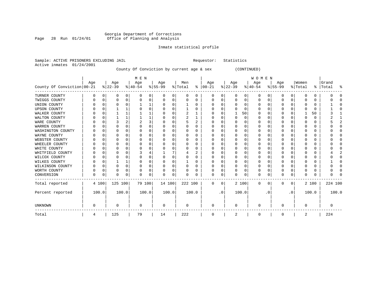### Georgia Department of Corrections Page 28 Run 01/24/01 Office of Planning and Analysis

# Inmate statistical profile

| Sample: ACTIVE PRISONERS EXCLUDING JAIL |  |  |  |
|-----------------------------------------|--|--|--|
| Active inmates 01/24/2001               |  |  |  |
|                                         |  |  |  |

Requestor: Statistics

County Of Conviction by current age & sex (CONTINUED)

|                            |     |          |          |          | M E N     |   |           |          |                |          |               |           |              |          | WOMEN       |          |          |           |          |          |           |       |
|----------------------------|-----|----------|----------|----------|-----------|---|-----------|----------|----------------|----------|---------------|-----------|--------------|----------|-------------|----------|----------|-----------|----------|----------|-----------|-------|
|                            | Age |          | Age      |          | Age       |   | Age       |          | Men            |          | Age           |           | Age          |          | Age         |          | Age      |           | Women    |          | Grand     |       |
| County Of Conviction 00-21 |     |          | $ 22-39$ |          | $8 40-54$ |   | $8 55-99$ |          | % Total        |          | $8   00 - 21$ |           | $ 22-39 $    |          | $ 40-54 $   |          | $ 55-99$ |           | % Total  |          | %   Total | ႜ     |
| TURNER COUNTY              | 0   | 0        | 0        | 0        |           | 0 |           | 0        | 0              | 0        | 0             | 0         | 0            | 0        | 0           | 0        | 0        | 0         | 0        | 0        |           |       |
| TWIGGS COUNTY              |     | n        |          | $\Omega$ |           | 0 |           | 0        | 0              | 0        |               | 0         | 0            | $\Omega$ | 0           | $\Omega$ | 0        | $\Omega$  |          | 0        |           |       |
| UNION COUNTY               |     | n        | $\Omega$ |          |           |   |           | $\Omega$ |                | O        | O             | 0         | <sup>0</sup> | O        | $\Omega$    | $\Omega$ | O        | ∩         | n        | 0        |           |       |
| <b>UPSON COUNTY</b>        |     |          |          |          |           | 0 |           | $\Omega$ |                | O        | O             | O         |              | O        | $\Omega$    | $\Omega$ | O        | U         |          | 0        |           |       |
| WALKER COUNTY              |     | U        |          |          |           |   |           | $\Omega$ | $\overline{2}$ |          |               | 0         |              | 50       | 0           | $\Omega$ | O        | O         |          | 50       |           |       |
| WALTON COUNTY              |     | $\Omega$ |          |          |           |   |           | $\Omega$ | 2              |          | O             | 0         | <sup>0</sup> | $\Omega$ | O           | $\Omega$ | O        | ∩         | $\Omega$ | 0        |           |       |
| WARE COUNTY                |     | O        |          |          |           | 3 |           | $\Omega$ | 5              | 2        | O             | O         |              | O        | O           | $\Omega$ | O        | O         |          | 0        |           |       |
| WARREN COUNTY              |     |          |          |          |           | 0 |           | $\Omega$ |                | O        |               | 0         |              | $\Omega$ | O           | $\Omega$ | O        | U         | 0        | $\Omega$ |           |       |
| WASHINGTON COUNTY          |     |          | O        |          |           | U |           | $\Omega$ | U              | O        | O             | 0         | O            | $\Omega$ | O           | $\Omega$ | O        | ∩         | n        | 0        |           |       |
| WAYNE COUNTY               |     |          |          |          |           | 0 |           | $\Omega$ |                | 0        | O             | 0         | O            | $\Omega$ |             | C        | O        | U         |          | 0        |           |       |
| WEBSTER COUNTY             |     | 0        |          |          |           | 0 |           | $\Omega$ | 0              | 0        | 0             | 0         | 0            | 0        | 0           | 0        | O        | O         | O        | 0        |           |       |
| WHEELER COUNTY             |     | n        |          |          |           | 0 |           | $\Omega$ | U              | 0        | O             | O         | O            | O        | O           | $\Omega$ | O        | ∩         | C        | 0        |           |       |
| WHITE COUNTY               |     | O        |          |          |           | 0 |           | $\Omega$ |                | O        | O             | O         |              | O        |             | n        | O        | U         |          | 0        |           |       |
| WHITFIELD COUNTY           |     |          |          |          |           |   |           |          |                | 2        |               | 0         |              | O        | O           | $\Omega$ | O        |           | C        | 0        |           |       |
| WILCOX COUNTY              |     | U        |          |          |           | U |           | $\Omega$ | O              | O        | $\left($      | O         | 0            | O        | 0           | $\Omega$ | O        | ∩         | n        | 0        |           |       |
| WILKES COUNTY              |     |          |          |          |           | 0 |           | $\Omega$ |                | 0        | 0             | 0         | $\Omega$     | O        | 0           | C        | 0        | U         |          | 0        |           |       |
| WILKINSON COUNTY           |     | 0        |          | $\Omega$ |           | 0 |           | $\Omega$ | 0              | $\Omega$ | 0             | $\Omega$  | 0            | 0        | 0           | $\Omega$ | 0        | $\Omega$  | $\Omega$ | 0        |           |       |
| WORTH COUNTY               |     | 0        |          | $\Omega$ |           | 0 |           | 0        | 0              | 0        | 0             | 0         |              | $\Omega$ | 0           | $\Omega$ | 0        | 0         | 0        | 0        |           |       |
| CONVERSION                 | 0   | 0        | $\Omega$ | 0        | U         | 0 | $\Omega$  | 0        | 0              | 0        | 0             | 0         | O            | $\Omega$ | $\Omega$    | 0        | $\Omega$ | 0         | $\Omega$ | 0        |           |       |
| Total reported             |     | 4 100    | 125 100  |          | 79 100    |   | 14 100    |          | 222 100        |          | $\mathbf 0$   | 0         |              | 2 100    | $\mathbf 0$ | 0        | $\Omega$ | 0         |          | 2 100    | 224 100   |       |
| Percent reported           |     | 100.0    |          | 100.0    | 100.0     |   | 100.0     |          |                | 100.0    |               | $\cdot$ 0 |              | 100.0    |             | . 0      |          | $\cdot$ 0 |          | 100.0    |           | 100.0 |
| <b>UNKNOWN</b>             | O   |          | $\Omega$ |          | $\Omega$  |   | $\Omega$  |          | 0              |          | $\Omega$      |           | <sup>0</sup> |          | $\Omega$    |          | U        |           | $\Omega$ |          |           |       |
| Total                      | 4   |          | 125      |          | 79        |   | 14        |          | 222            |          | 0             |           | 2            |          | 0           |          | 0        |           | 2        |          | 224       |       |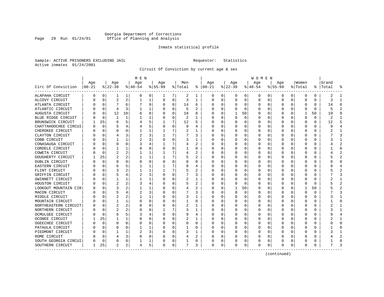# Georgia Department of Corrections Page 29 Run 01/24/01 Office of Planning and Analysis

# Inmate statistical profile

Sample: ACTIVE PRISONERS EXCLUDING JAIL **Requestor:** Statistics Active inmates 01/24/2001

Circuit Of Conviction by current age & sex

|                       |          |          |                |                | M E N     |          |          |             |         |              |               |          |           |          | W O M E N |          |          |              |              |    |           |                |
|-----------------------|----------|----------|----------------|----------------|-----------|----------|----------|-------------|---------|--------------|---------------|----------|-----------|----------|-----------|----------|----------|--------------|--------------|----|-----------|----------------|
|                       | Age      |          | Age            |                | Age       |          | Age      |             | Men     |              | Age           |          | Age       |          | Age       |          | Age      |              | Women        |    | Grand     |                |
| Circ Of Conviction    | $ 00-21$ |          | $ 22-39 $      |                | $ 40-54 $ |          | $ 55-99$ |             | % Total |              | $8   00 - 21$ |          | $ 22-39 $ |          | $ 40-54 $ |          | $ 55-99$ |              | % Total      |    | %   Total | 옹              |
| ALAPAHA CIRCUIT       | 0        | 0        | 1              | 1              | 0         | 0        | 1        | 7           | 2       | 1            | 0             | 0        | 0         | 0        | 0         | 0        | 0        | 0            | $\Omega$     | 0  | 2         | -1             |
| ALCOVY CIRCUIT        |          | $\Omega$ | $\overline{2}$ | 2              | 1         | 1        | $\Omega$ | $\Omega$    | 3       | 1            | <sup>0</sup>  | $\Omega$ | $\Omega$  | $\Omega$ | $\Omega$  | 0        | 0        | 0            | $\Omega$     | 0  | 3         | -1             |
| ATLANTA CIRCUIT       |          | $\Omega$ | 7              | 6              |           | 9        | O        | $\Omega$    | 14      | 6            | <sup>0</sup>  | $\Omega$ | $\Omega$  | $\Omega$ | O         | $\Omega$ | U        | <sup>0</sup> | $\Omega$     | 0  | 14        | 6              |
| ATLANTIC CIRCUIT      |          | $\Omega$ | 4              | 3              |           | 1        |          | $\Omega$    | 5       | 2            |               | $\Omega$ | O         | 0        | $\left($  | $\Omega$ | O        | $\Omega$     | O            | 0  |           |                |
| AUGUSTA CIRCUIT       |          | $\Omega$ | 12             | 10             | 6         | 8        |          | $\mathbf 0$ | 18      | 8            |               | 0        | 1         | 50       | $\Omega$  | 0        | O        | 0            |              | 50 | 19        | q              |
| BLUE RIDGE CIRCUIT    |          | $\Omega$ | 1              | 1              |           | 1        |          | $\mathbf 0$ | 2       | 1            |               | $\Omega$ | 0         | 0        |           | 0        | O        | U            | 0            | 0  | 2         |                |
| BRUNSWICK CIRCUIT     |          | 25       | 6              | 5              |           | 5        |          | 7           | 12      | 5            | ∩             | 0        | U         | 0        | O         | 0        | U        | 0            | <sup>0</sup> | 0  | 12        | Б,             |
| CHATTAHOOCHEE CIRCUI  |          | $\Omega$ | 5              |                |           | 5        | O        | 0           | 9       | 4            | n             | 0        | 0         | 0        | 0         | 0        | 0        | 0            | 0            | 0  | Q         |                |
| CHEROKEE CIRCUIT      |          | $\Omega$ | U              | U              |           | 1        |          | 7           | 2       | 1            | <sup>0</sup>  | $\Omega$ | 0         | $\Omega$ | 0         | 0        | 0        | 0            | 0            | 0  |           |                |
| CLAYTON CIRCUIT       |          | $\Omega$ |                |                | 2         | 3        |          | 7           |         | 3            |               | 0        |           | 0        | 0         | 0        | 0        |              | 0            | 0  |           |                |
| COBB CIRCUIT          |          | $\cap$   |                |                |           | 3        | O        | O           | 3       |              |               | U        | 0         | 0        | O         | $\Omega$ | U        | U            | $\Omega$     | 0  |           |                |
| CONASAUGA CIRCUIT     |          | $\Omega$ | U              | U              |           | 4        |          | 7           |         | 2            |               | $\Omega$ | $\Omega$  | 0        | 0         | $\Omega$ | O        | U            | <sup>0</sup> | 0  |           |                |
| CORDELE CIRCUIT       |          | $\Omega$ |                | 1              | $\Omega$  | 0        | O        | $\Omega$    |         | O            |               | $\Omega$ | $\Omega$  | $\Omega$ | O         | $\Omega$ | O        | <sup>0</sup> | O            | 0  |           | $\cap$         |
| COWETA CIRCUIT        |          | $\Omega$ | 2              | 2              |           | 1        |          | 7           |         | 2            |               | $\Omega$ | C         | $\Omega$ |           | 0        | O        | 0            | O            | U  |           |                |
| DOUGHERTY CIRCUIT     |          | 25       | 2              |                |           | 1        |          | 7           | 5       |              |               | $\Omega$ | C         | $\Omega$ | Ω         | 0        | O        | <sup>0</sup> | <sup>0</sup> | 0  |           | $\overline{2}$ |
| DUBLIN CIRCUIT        |          | $\Omega$ | U              | U              | $\Omega$  | 0        | U        | $\Omega$    | U       | O            |               | $\Omega$ | 0         | 0        | n         | 0        | U        | 0            | O            | 0  |           | $\cap$         |
| EASTERN CIRCUIT       |          | 0        | 6              |                |           | 1        |          | 7           | 8       | 4            | n             | 0        | 0         | 0        | O         | 0        | O        | 0            | O            | 0  |           |                |
| FLINT CIRCUIT         |          | 0        | 3              |                |           | 1        |          | 7           | 5       | 2            |               | $\Omega$ | 0         | 0        | O         | 0        | O        | 0            | 0            | 0  |           |                |
| GRIFFIN CIRCUIT       |          | $\Omega$ | 5              |                | 2         | 3        |          | 0           |         | 3            |               | 0        |           | 0        |           | 0        | O        |              | O            | 0  |           |                |
| GWINNETT CIRCUIT      |          | $\Omega$ |                |                |           | 1        |          | O           |         |              |               | $\Omega$ |           | 0        |           | 0        | n        |              | O            | 0  |           | -1             |
| HOUSTON CIRCUIT       |          | $\Omega$ |                | 2              |           | 4        |          | O           | 5       | 2            |               | $\Omega$ | ∩         | $\Omega$ | O         | 0        |          | U            | <sup>0</sup> | 0  |           |                |
| LOOKOUT MOUNTAIN CIR  |          | $\Omega$ |                |                |           | 1        |          | $\Omega$    | 4       | 2            |               | $\Omega$ | -1        | 50       | O         | $\Omega$ | O        | <sup>0</sup> |              | 50 |           |                |
| MACON CIRCUIT         |          | O        | 5              |                | 2         | 3        |          | $\Omega$    |         | ς            |               | $\Omega$ | $\Omega$  | 0        | O         | 0        | U        | <sup>0</sup> | <sup>0</sup> | U  |           | 3              |
| MIDDLE CIRCUIT        |          | $\Omega$ | 2              | 2              |           | 1        |          | 0           | 3       | $\mathbf{1}$ |               | 0        | C         | $\Omega$ |           | 0        | O        | O            | 0            | 0  |           |                |
| MOUNTAIN CIRCUIT      |          | $\Omega$ |                | 1              | $\Omega$  | 0        |          | 0           |         | O            |               | $\Omega$ | U         | $\Omega$ | U         | 0        | U        | U            | <sup>0</sup> | U  |           | $\cap$         |
| NORTHEASTERN CIRCUIT  |          | $\Omega$ | 2              | 2              | 0         | 0        | O        | 0           | 2       | 1            | ∩             | 0        | 0         | 0        | 0         | 0        | O        | 0            | O            | 0  |           | -1             |
| NORTHERN CIRCUIT      |          | $\Omega$ | 2              |                | 0         | $\Omega$ |          | 7           | 3       | ı            | ∩             | $\Omega$ | O         | 0        | 0         | 0        | U        | 0            | 0            | 0  |           |                |
| OCMULGEE CIRCUIT      |          | $\Omega$ | 6              | 5.             | 3         | 4        |          | $\Omega$    | 9       | 4            |               | 0        | C         | 0        | 0         | 0        | 0        | 0            | 0            | 0  |           |                |
| <b>OCONEE CIRCUIT</b> |          | 25       |                | 1              |           | $\Omega$ |          | $\Omega$    |         |              |               | U        | C         | 0        | 0         | C.       | U        |              | ſ            | 0  |           |                |
| OGEECHEE CIRCUIT      |          | $\cap$   |                | U              | $\Omega$  | $\Omega$ |          | O           | U       | $\Omega$     |               | $\Omega$ | U         | 0        | O         | $\Omega$ | U        | U            | <sup>0</sup> | U  |           | $\cap$         |
| PATAULA CIRCUIT       |          | $\Omega$ |                | U              |           | 1        |          | $\Omega$    |         | 0            |               | $\Omega$ | $\Omega$  | 0        | O         | $\Omega$ | n        | <sup>0</sup> | O            | 0  |           | n              |
| PIEDMONT CIRCUIT      |          | $\Omega$ |                | 1              | 2         | 3        |          | $\Omega$    | ٦       | 1            |               | $\Omega$ | U         | $\Omega$ | O         | 0        | O        | <sup>0</sup> | O            | U  |           |                |
| ROME CIRCUIT          |          | $\Omega$ |                | 3              | 0         | 0        |          | 0           |         | 2            |               | 0        |           | 0        |           | 0        |          | <sup>0</sup> | O            | 0  |           |                |
| SOUTH GEORGIA CIRCUI  |          | 0        | 0              | 0              |           | 1        |          | 0           |         | 0            |               | 0        |           | 0        | 0         | 0        | U        | 0            | ſ            | 0  |           | $\cap$         |
| SOUTHERN CIRCUIT      | 1        | 25       | $\overline{2}$ | 2 <sub>1</sub> | 4         | 5        | $\Omega$ | 0           | 7       | 3            | $\Omega$      | 0        | 0         | 0        | $\Omega$  | 0        | U        | 0            | $\Omega$     | 0  |           | ∍              |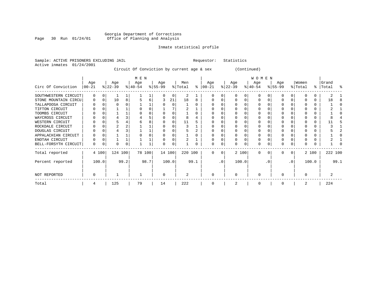### Georgia Department of Corrections Page 30 Run 01/24/01 Office of Planning and Analysis

# Inmate statistical profile

|  | Sample: ACTIVE PRISONERS EXCLUDING JAIL | Requestor: Statistics |  |
|--|-----------------------------------------|-----------------------|--|
|  | Active inmates 01/24/2001               |                       |  |

# Circuit Of Conviction by current age & sex (Continued)

|                      |                  |          |                  |      | M E N            |      |                  |       |                |      |                  |           |                  |       | <b>WOMEN</b>     |          |                  |           |                  |           |                |      |
|----------------------|------------------|----------|------------------|------|------------------|------|------------------|-------|----------------|------|------------------|-----------|------------------|-------|------------------|----------|------------------|-----------|------------------|-----------|----------------|------|
| Circ Of Conviction   | Age<br>$00 - 21$ |          | Age<br>$ 22-39 $ |      | Age<br>$ 40-54 $ |      | Age<br>$ 55-99 $ |       | Men<br>% Total | ႜ    | Age<br>$ 00-21 $ |           | Age<br>$ 22-39 $ |       | Age<br>$ 40-54 $ |          | Age<br>$8 55-99$ |           | Women<br>% Total | % $\vert$ | Grand<br>Total | ႜ    |
|                      |                  |          |                  |      |                  |      |                  |       |                |      |                  |           |                  |       |                  |          |                  |           |                  |           |                |      |
| SOUTHWESTERN CIRCUIT | $\Omega$         | $\Omega$ |                  |      |                  |      |                  | O     | 2              |      |                  |           |                  |       |                  |          |                  |           |                  | 0         |                |      |
| STONE MOUNTAIN CIRCU | $\Omega$         | $\Omega$ | 10               | 8    |                  | 6    |                  | 21    | 18             | 8    |                  |           |                  |       | $\Omega$         |          |                  |           |                  | 0         | 18             |      |
| TALLAPOOSA CIRCUIT   |                  |          | O                |      |                  |      |                  | U     |                |      |                  |           |                  |       |                  |          |                  |           |                  | 0         |                |      |
| TIFTON CIRCUIT       |                  |          |                  |      |                  |      |                  |       |                |      |                  |           |                  |       |                  |          |                  |           |                  | 0         |                |      |
| TOOMBS CIRCUIT       |                  |          |                  |      |                  |      |                  |       |                |      |                  |           |                  |       |                  |          |                  |           |                  |           |                |      |
| WAYCROSS CIRCUIT     |                  |          |                  |      |                  |      |                  |       | ጸ              |      |                  |           |                  |       |                  |          |                  |           |                  |           |                |      |
| WESTERN CIRCUIT      |                  |          |                  |      |                  |      |                  |       | 11             |      |                  |           |                  |       |                  |          |                  |           |                  | 0         |                |      |
| ROCKDALE CIRCUIT     |                  |          |                  |      |                  |      |                  |       |                |      |                  |           |                  |       |                  |          |                  |           |                  | 0         |                |      |
| DOUGLAS CIRCUIT      |                  |          |                  |      |                  |      |                  |       |                |      |                  |           |                  |       | O                |          |                  |           |                  | 0         |                |      |
| APPALACHIAN CIRCUIT  |                  |          |                  |      |                  |      |                  |       |                |      |                  |           |                  |       |                  |          |                  |           |                  | 0         |                |      |
| ENOTAH CIRCUIT       | 0                |          |                  |      |                  |      |                  |       |                |      |                  |           |                  |       | $\Omega$         |          |                  |           |                  | 0         |                |      |
| BELL-FORSYTH CIRCUIT | 0                |          | O                | 0    |                  |      | O                | 0     |                | 0    |                  |           |                  | 0     | $\Omega$         | C        | $\Omega$         | 0         | O                | 0         |                |      |
| Total reported       |                  | 4 100    | 124 100          |      | 78 100           |      | 14 100           |       | 220 100        |      | $\Omega$         | $\Omega$  |                  | 2 100 | $\Omega$         | $\Omega$ | $\Omega$         | 0         |                  | 2 100     | 222 100        |      |
| Percent reported     |                  | 100.0    |                  | 99.2 |                  | 98.7 |                  | 100.0 |                | 99.1 |                  | $\cdot$ 0 |                  | 100.0 |                  | . 0      |                  | $\cdot$ 0 |                  | 100.0     |                | 99.1 |
| NOT REPORTED         | $\Omega$         |          |                  |      |                  |      | O                |       | 2              |      | 0                |           | $\Omega$         |       | $\Omega$         |          | $\Omega$         |           | ∩                |           |                |      |
| Total                | 4                |          | 125              |      | 79               |      | 14               |       | 222            |      | 0                |           |                  |       | 0                |          | $\Omega$         |           | 2                |           | 224            |      |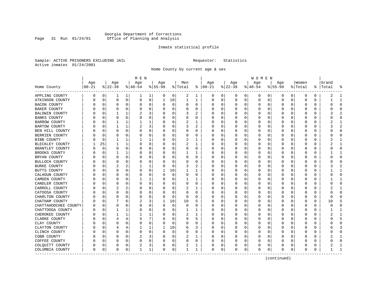# Georgia Department of Corrections Page 31 Run 01/24/01 Office of Planning and Analysis

# Inmate statistical profile

Sample: ACTIVE PRISONERS EXCLUDING JAIL **Requestor:** Statistics Active inmates 01/24/2001

Home County by current age & sex

|                      |          |              |          |              | M E N          |             |          |             |          |              |               |          |          |          | W O M E N |             |             |              |              |    |          |                |
|----------------------|----------|--------------|----------|--------------|----------------|-------------|----------|-------------|----------|--------------|---------------|----------|----------|----------|-----------|-------------|-------------|--------------|--------------|----|----------|----------------|
|                      | Age      |              | Age      |              | Age            |             | Age      |             | Men      |              | Age           |          | Age      |          | Age       |             | Age         |              | Women        |    | Grand    |                |
| Home County          | $ 00-21$ |              | $ 22-39$ |              | $8 40-54$      |             | $ 55-99$ |             | % Total  |              | $8   00 - 21$ |          | $ 22-39$ |          | $ 40-54$  |             | $8155 - 99$ |              | % Total      | ႜၟ | Total    |                |
| APPLING COUNTY       | 0        | 0            | 1        | 1            | 1              | 1           | 0        | 0           | 2        | 1            | 0             | 0        | 0        | 0        | 0         | 0           | 0           | 0            | 0            | 0  | 2        | -1             |
| ATKINSON COUNTY      |          | 0            | 0        | 0            | 0              | 0           | 1        | 10          | 1        | $\mathbf{1}$ | 0             | 0        | 0        | 0        | 0         | 0           | $\mathbf 0$ | 0            | 0            | 0  |          | $\mathbf{1}$   |
| BACON COUNTY         |          | 0            | 0        | 0            | 0              | 0           | O        | 0           | 0        | 0            | <sup>0</sup>  | 0        | $\Omega$ | 0        | 0         | 0           | 0           | 0            | 0            | 0  | U        | $\mathbf 0$    |
| BAKER COUNTY         |          | $\Omega$     | 0        | 0            | 0              | 0           | O        | 0           | 0        | 0            |               | $\Omega$ | 0        | $\Omega$ | 0         | 0           | 0           | 0            | 0            | 0  |          | $\Omega$       |
| BALDWIN COUNTY       |          | $\Omega$     |          | 1            |                | 3           |          | $\Omega$    | 3        |              |               | U        | $\Omega$ | O        | O         | 0           | U           | O            | C            | U  |          |                |
| <b>BANKS COUNTY</b>  |          | <sup>0</sup> | U        | 0            | 0              | 0           | O        | 0           | U        | 0            |               | $\Omega$ | O        | 0        | O         | 0           | O           | <sup>0</sup> | O            | U  |          | $\Omega$       |
| BARROW COUNTY        |          | $\Omega$     | 1        | 1            | 1              | 1           | O        | $\mathbf 0$ | 2        | 1            |               | 0        | $\Omega$ | 0        | 0         | 0           | 0           | 0            | 0            | 0  |          | 1              |
| <b>BARTOW COUNTY</b> |          | $\Omega$     |          | $\mathbf{1}$ | $\overline{c}$ | 3           |          | 0           | 3        | 2            |               | 0        | C        | $\Omega$ | 0         | 0           | 0           | 0            | 0            | 0  |          | $\overline{2}$ |
| BEN HILL COUNTY      |          | $\Omega$     | U        | $\Omega$     | 0              | 0           | O        | 0           | O        | O            | <sup>0</sup>  | 0        | 0        | 0        | O         | 0           | U           | 0            | <sup>0</sup> | 0  |          | $\Omega$       |
| BERRIEN COUNTY       |          | 0            | U        | U            | 0              | 0           | O        | 0           | 0        | 0            | O             | 0        | 0        | 0        | 0         | 0           | U           | 0            | 0            | 0  |          | 0              |
| BIBB COUNTY          |          | $\Omega$     |          | 1            |                | 1           |          | 0           | 2        |              | <sup>0</sup>  | 0        | C        | 0        | 0         | 0           | U           | U            | $\Omega$     | 0  |          | -1             |
| BLECKLEY COUNTY      |          | 25           | 1        | 1            | 0              | 0           | O        | 0           | 2        | 1            | <sup>0</sup>  | 0        | $\Omega$ | 0        | 0         | 0           | O           | 0            | $\Omega$     | 0  |          | -1             |
| BRANTLEY COUNTY      |          | 0            | 0        | 0            | 0              | 0           | 0        | 0           | 0        | 0            |               | 0        | $\Omega$ | 0        | 0         | 0           | 0           | $\Omega$     | 0            | 0  |          | $\mathbf 0$    |
| BROOKS COUNTY        |          | $\Omega$     |          | 1            | 0              | 0           |          | 0           |          | 1            |               | $\Omega$ | C        | $\Omega$ | 0         | 0           | 0           | 0            | 0            | 0  |          | $\mathbf{1}$   |
| BRYAN COUNTY         |          | 0            | 0        | $\Omega$     | 0              | 0           | O        | 0           | 0        | 0            | <sup>0</sup>  | 0        | O        | 0        | O         | 0           | U           | 0            | O            | 0  |          | $\Omega$       |
| BULLOCH COUNTY       |          | $\Omega$     | 0        | U            | 0              | 0           | O        | 0           | 0        | 0            | <sup>0</sup>  | 0        | $\Omega$ | 0        | 0         | 0           | 0           | 0            | 0            | 0  |          | $\Omega$       |
| <b>BURKE COUNTY</b>  |          | $\Omega$     |          |              |                | 1           | O        | 0           | 3        | 2            | <sup>0</sup>  | 0        | C        | $\Omega$ | 0         | 0           | 0           | O            | $\Omega$     | 0  |          |                |
| BUTTS COUNTY         |          | $\Omega$     | 0        | $\Omega$     | $\Omega$       | 0           | 1        | 10          | 1        | 1            |               | $\Omega$ | $\Omega$ | 0        | 0         | $\Omega$    | 0           | 0            | $\Omega$     | 0  |          | -1             |
| CALHOUN COUNTY       |          | O            | U        | $\Omega$     | 0              | 0           | O        | $\mathbf 0$ | 0        | 0            | O             | $\Omega$ | $\Omega$ | $\Omega$ | 0         | 0           | U           | $\Omega$     | 0            | 0  |          | $\Omega$       |
| CAMDEN COUNTY        |          | $\Omega$     | U        | U            |                | 1           |          | 0           |          |              |               | 0        | C        | 0        | 0         | 0           | U           | 0            | 0            | 0  |          | $\mathbf{1}$   |
| CANDLER COUNTY       |          | 0            | U        | 0            | 0              | 0           |          | 0           | 0        | 0            | ∩             | 0        | $\Omega$ | 0        | 0         | 0           | 0           | 0            | 0            | 0  |          | $\Omega$       |
| CARROLL COUNTY       |          | $\Omega$     | 2        | 2            | $\Omega$       | 0           | U        | 0           | 2        | 1            | <sup>0</sup>  | $\Omega$ | 0        | 0        | 0         | 0           | 0           | $\Omega$     | 0            | 0  |          | 1              |
| CATOOSA COUNTY       |          | 0            | 0        | 0            | $\Omega$       | $\Omega$    |          | 0           | 0        | 0            | 0             | 0        | C        | 0        | 0         | 0           | 0           | O            | 0            | 0  |          | $\bigcap$      |
| CHARLTON COUNTY      |          | $\Omega$     | U        | 0            | $\Omega$       | 0           | O        | 0           | $\Omega$ | O            | O             | $\Omega$ | $\Omega$ | 0        | O         | $\Omega$    | U           | <sup>0</sup> | $\Omega$     | U  | $\Omega$ | $\cap$         |
| CHATHAM COUNTY       |          | $\Omega$     |          | 6            | 2              | 3           | 1        | 10          | 10       | 5            |               | $\Omega$ | 0        | $\Omega$ | 0         | 0           | 0           | 0            | 0            | 0  | 10       | 5              |
| CHATTAHOOCHEE COUNTY |          | 0            | 0        | 0            | 0              | 0           | 0        | 0           | 0        | 0            | 0             | 0        | 0        | 0        | 0         | 0           | 0           | 0            | 0            | 0  |          | $\Omega$       |
| CHATTOOGA COUNTY     |          | 0            |          | 1            | 0              | 0           | O        | 0           | 1        | 1            | $\Omega$      | 0        | 0        | 0        | 0         | 0           | 0           | 0            | 0            | 0  |          | $\mathbf{1}$   |
| CHEROKEE COUNTY      |          | 0            |          | 1            |                | 1           | O        | 0           | 2        | 1            | O             | $\Omega$ | 0        | 0        | 0         | 0           | O           | 0            | 0            | 0  |          | -1             |
| CLARKE COUNTY        |          | n            | 4        | 4            | 5              | 7           |          | 0           | 9        | 5            |               | 0        | 0        | 0        | 0         | 0           | O           | O            | O            | 0  |          | 5              |
| CLAY COUNTY          |          | $\cap$       | U        | 0            | $\Omega$       | 0           | O        | 0           | O        | O            | ∩             | $\Omega$ | $\Omega$ | 0        | O         | $\Omega$    | U           | U            | <sup>0</sup> | U  |          | $\Omega$       |
| CLAYTON COUNTY       |          | $\Omega$     | 4        | 4            | 1              | 1           | 1        | 10          | 6        | 3            |               | $\Omega$ | $\Omega$ | $\Omega$ | 0         | 0           | U           | $\Omega$     | 0            | 0  | h        | 3              |
| CLINCH COUNTY        |          | $\Omega$     | 0        | $\Omega$     | $\mathbf 0$    | $\mathbf 0$ | 0        | $\mathbf 0$ | 0        | $\Omega$     |               | 0        | 0        | $\Omega$ | 0         | $\mathbf 0$ | 0           | 0            | 0            | 0  |          | $\bigcap$      |
| COBB COUNTY          |          | $\Omega$     | U        | U            | 2              | 3           | O        | 0           | 2        | 1            |               | 0        | 0        | 0        | 0         | 0           | U           | 0            | 0            | 0  |          | $\mathbf{1}$   |
| COFFEE COUNTY        |          | 0            | 0        | 0            | 0              | 0           | O        | 0           | 0        | 0            | ∩             | 0        | 0        | 0        | 0         | 0           | 0           | 0            | 0            | 0  |          | $\Omega$       |
| COLQUITT COUNTY      |          | 0            | 0        | 0            | 2              | 3           |          | 0           | 2        | 1            |               | 0        | 0        | 0        | 0         | 0           | 0           | 0            | 0            | 0  |          |                |
| COLUMBIA COUNTY      | $\Omega$ | 0            | 0        | 0            | $\mathbf{1}$   | $\mathbf 1$ | 0        | 0           | 1        | 1            | $\Omega$      | 0        | $\Omega$ | 0        | $\Omega$  | $\mathbf 0$ | $\Omega$    | 0            | $\Omega$     | 0  |          | $\mathbf{1}$   |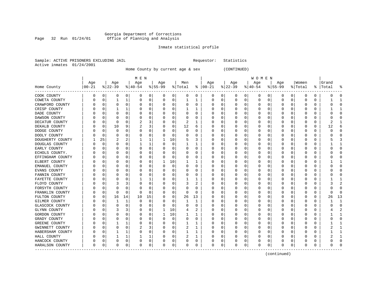### Georgia Department of Corrections Page 32 Run 01/24/01 Office of Planning and Analysis

# Inmate statistical profile

|  |                           | Sample: ACTIVE PRISONERS EXCLUDING JAIL |  |
|--|---------------------------|-----------------------------------------|--|
|  | Active inmates 01/24/2001 |                                         |  |

Home County by current age & sex (CONTINUED)

Requestor: Statistics

| Home County      | Age<br>$ 00-21$ |          | Age<br>$ 22-39 $ |          | M E N<br>Age<br>$ 40-54 $ |             | Age<br>$ 55-99$ |             | Men<br>% Total |          | Age<br>$8   00 - 21$ |             | Age<br>$ 22-39$ |             | W O M E N<br>Age<br>$ 40-54$ |          | Age<br>$8 55-99$ |             | Women<br>% Total | ႜႂ          | Grand<br>Total |                |
|------------------|-----------------|----------|------------------|----------|---------------------------|-------------|-----------------|-------------|----------------|----------|----------------------|-------------|-----------------|-------------|------------------------------|----------|------------------|-------------|------------------|-------------|----------------|----------------|
| COOK COUNTY      | 0               | 0        | 0                | 0        | 0                         | 0           | 0               | 0           | 0              | 0        | 0                    | 0           | 0               | 0           | 0                            | 0        | 0                | 0           | $\Omega$         | 0           | 0              | <sup>0</sup>   |
| COWETA COUNTY    | 0               | 0        | 1                | 1        | 0                         | 0           | 0               | 0           | 1              | 1        | 0                    | $\mathbf 0$ | 0               | 0           | 0                            | 0        | 0                | 0           | $\Omega$         | 0           |                | -1             |
| CRAWFORD COUNTY  |                 | 0        | 0                | 0        | 0                         | 0           | 0               | 0           | $\Omega$       | 0        | 0                    | 0           |                 | 0           | 0                            | 0        | O                | $\mathbf 0$ | 0                | 0           | Ω              | $\Omega$       |
| CRISP COUNTY     |                 | $\Omega$ |                  | 1        |                           | $\Omega$    | 0               | $\Omega$    |                |          | U                    | $\mathbf 0$ |                 | 0           | $\Omega$                     | 0        | O                | $\mathbf 0$ | 0                | 0           |                | $\mathbf{1}$   |
| DADE COUNTY      |                 | $\Omega$ | 0                | $\Omega$ | 0                         | $\Omega$    | 0               | $\mathbf 0$ | $\Omega$       | $\Omega$ | U                    | 0           | O               | 0           | 0                            | 0        | $\Omega$         | 0           | 0                | $\Omega$    | ი              | $\Omega$       |
| DAWSON COUNTY    |                 | O        | 0                | 0        | O                         | 0           | 0               | 0           | 0              | 0        | U                    | 0           |                 | 0           | 0                            | 0        | 0                | 0           | U                | 0           | O              | 0              |
| DECATUR COUNTY   |                 | O        | 0                | 0        | 2                         | 3           | 0               | 0           | 2              |          | 0                    | 0           |                 | 0           | 0                            | 0        | 0                | 0           | 0                | 0           | 2              | $\mathbf{1}$   |
| DEKALB COUNTY    |                 | $\Omega$ | 10               | 9        |                           | 3           | 0               | 0           | 12             | 6        | 0                    | 0           | C               | $\mathbf 0$ | $\Omega$                     | $\Omega$ | O                | 0           | 0                | 0           | 12             | б              |
| DODGE COUNTY     |                 | $\Omega$ | 0                | 0        | $\Omega$                  | 0           | 0               | $\Omega$    | $\Omega$       | $\Omega$ | 0                    | $\Omega$    | O               | 0           | 0                            | $\Omega$ | O                | $\Omega$    | 0                | $\Omega$    | 0              | $\Omega$       |
| DOOLY COUNTY     |                 | O        | 0                | 0        | 0                         | 0           | 0               | 0           | $\Omega$       | 0        | 0                    | $\mathbf 0$ | 0               | 0           | 0                            | 0        | 0                | 0           | 0                | 0           | 0              | Ω              |
| DOUGHERTY COUNTY |                 | 25       | 2                | 2        |                           | 1           |                 | 10          |                | 3        | 0                    | 0           |                 | 0           | $\Omega$                     | 0        | O                | 0           | 0                | 0           | 5              | 3              |
| DOUGLAS COUNTY   |                 | $\Omega$ | 0                | 0        |                           | 1           | 0               | $\mathbf 0$ |                | 1        | $\Omega$             | 0           |                 | 0           | $\Omega$                     | 0        | $\Omega$         | $\Omega$    | 0                | $\Omega$    |                | $\mathbf{1}$   |
| EARLY COUNTY     |                 | O        | $\Omega$         | 0        | $\Omega$                  | 0           | 0               | 0           | $\Omega$       | 0        | 0                    | 0           | O               | 0           | 0                            | 0        | 0                | 0           | $\Omega$         | 0           | O              | $\Omega$       |
| ECHOLS COUNTY.   |                 |          | 0                | 0        | $\left($                  | $\Omega$    | 0               | 0           | O              | 0        | 0                    | 0           |                 | 0           | 0                            | 0        | 0                | 0           | 0                | 0           | 0              | <sup>0</sup>   |
| EFFINGHAM COUNTY |                 | O        | O                | U        | n                         | $\Omega$    | U               | $\Omega$    | $\Omega$       | $\Omega$ | U                    | 0           |                 | $\mathbf 0$ | $\Omega$                     | U        | $\cap$           | 0           | O                | O           | Ω              | $\Omega$       |
| ELBERT COUNTY    |                 | ∩        | 0                | 0        | O                         | $\Omega$    | 1               | 10          |                |          | 0                    | $\Omega$    |                 | 0           | 0                            | 0        | O                | $\Omega$    | 0                | $\Omega$    |                | -1             |
| EMANUEL COUNTY   |                 | ∩        | 0                | 0        | O                         | 0           | 0               | $\mathbf 0$ | $\Omega$       | 0        | 0                    | 0           | O               | 0           | 0                            | 0        | O                | 0           | 0                | 0           | U              | <sup>0</sup>   |
| EVANS COUNTY     |                 | O        | 0                | 0        | 0                         | 0           | 0               | 0           | 0              | 0        | 0                    | 0           |                 | 0           | 0                            | 0        | 0                | $\mathbf 0$ | 0                | 0           | ი              | $\Omega$       |
| FANNIN COUNTY    |                 | O        | 0                | 0        | $\Omega$                  | $\Omega$    | U               | $\mathbf 0$ | $\Omega$       | $\Omega$ | U                    | 0           |                 | 0           | $\Omega$                     | 0        | $\Omega$         | 0           | O                | $\Omega$    | Ω              | $\Omega$       |
| FAYETTE COUNTY   |                 | $\Omega$ | 0                | 0        |                           | 1           | 0               | 0           | 1              | 1        | U                    | 0           | O               | 0           | 0                            | 0        | O                | 0           | 0                | 0           |                | -1             |
| FLOYD COUNTY     |                 | O        | 3                | 3        | O                         | 0           | 0               | 0           | 3              | 2        | U                    | 0           | O               | 0           | O                            | 0        | 0                | 0           | U                | 0           | 3              | 2              |
| FORSYTH COUNTY   |                 | O        | 0                | 0        | $\left($                  | $\Omega$    | 0               | 0           | $\Omega$       | 0        | 0                    | 0           |                 | 0           | 0                            | 0        | 0                | 0           | 0                | 0           | ი              | 0              |
| FRANKLIN COUNTY  |                 | $\Omega$ | $\Omega$         | 0        | $\Omega$                  | $\Omega$    | 0               | $\Omega$    | $\Omega$       | $\Omega$ | U                    | 0           |                 | $\mathbf 0$ | $\Omega$                     | 0        | O                | $\Omega$    | O                | O           | U              | $\Omega$       |
| FULTON COUNTY    |                 | 0        | 16               | 14       | 10                        | 15          | 0               | 0           | 26             | 13       | 0                    | 0           | C               | 0           | 0                            | 0        | C                | 0           | 0                | 0           | 26             | 13             |
| GILMER COUNTY    |                 | O        |                  | 1        | 0                         | 0           | 0               | 0           |                | 1        | 0                    | $\mathbf 0$ | O               | 0           | 0                            | 0        | O                | $\Omega$    | U                | 0           |                | $\mathbf{1}$   |
| GLASCOCK COUNTY  |                 | O        | 0                | 0        | O                         | 0           | 0               | $\mathbf 0$ | $\Omega$       | $\Omega$ | 0                    | $\mathbf 0$ |                 | $\mathbf 0$ | $\Omega$                     | 0        | O                | $\mathbf 0$ | 0                | $\mathbf 0$ | ი              | $\Omega$       |
| GLYNN COUNTY     |                 | $\Omega$ | 3                | 3        | 0                         | $\Omega$    | 1               | 10          | 4              | 2        | 0                    | 0           |                 | 0           | 0                            | 0        | O                | $\Omega$    | 0                | $\Omega$    |                | $\overline{c}$ |
| GORDON COUNTY    |                 | $\Omega$ | 0                | 0        | 0                         | $\Omega$    | 1               | 10          |                | 1        | 0                    | 0           | O               | 0           | 0                            | 0        | O                | 0           | 0                | 0           |                | -1             |
| GRADY COUNTY     |                 | O        | 0                | 0        | O                         | 0           | 0               | 0           | $\Omega$       | 0        | U                    | 0           |                 | 0           | 0                            | 0        | 0                | 0           | U                | 0           | O              | $\Omega$       |
| GREENE COUNTY    |                 |          |                  |          | $\left($                  | $\Omega$    | U               | 0           |                |          | O                    | 0           |                 | 0           | 0                            | 0        | O                | 0           | C                | 0           |                | $\mathbf{1}$   |
| GWINNETT COUNTY  |                 | ∩        | 0                | 0        | 2                         | 3           | 0               | $\Omega$    | 2              | 1        | 0                    | $\Omega$    | O               | 0           | 0                            | 0        | O                | $\Omega$    | 0                | $\Omega$    | 2              | -1             |
| HABERSHAM COUNTY |                 | ∩        |                  | 1        | O                         | 0           | 0               | $\Omega$    |                | 1        | 0                    | 0           | O               | 0           | 0                            | 0        | 0                | $\mathbf 0$ | 0                | 0           |                |                |
| HALL COUNTY      |                 |          |                  | 1        |                           | 1           | 0               | 0           | 2              | 1        | 0                    | $\mathbf 0$ |                 | 0           | 0                            | 0        | O                | 0           | U                | 0           | 2              |                |
| HANCOCK COUNTY   |                 |          | 0                | 0        |                           | $\mathsf 0$ | 0               | 0           | $\Omega$       | 0        | 0                    | 0           |                 | $\mathsf 0$ | $\Omega$                     | 0        | O                | 0           |                  | 0           | ი              | ſ              |
| HARALSON COUNTY  | $\Omega$        | $\Omega$ | $\Omega$         | 0        | $\Omega$                  | 0           | 0               | $\Omega$    | $\Omega$       | 0        | 0                    | 0           | $\Omega$        | $\mathbf 0$ | $\Omega$                     | 0        | $\Omega$         | 0           | 0                | $\Omega$    | O              | ſ              |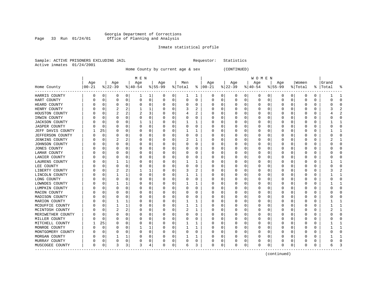### Georgia Department of Corrections Page 33 Run 01/24/01 Office of Planning and Analysis

### Inmate statistical profile

Requestor: Statistics

|  |                           | Sample: ACTIVE PRISONERS EXCLUDING JAIL |  |
|--|---------------------------|-----------------------------------------|--|
|  | Active inmates 01/24/2001 |                                         |  |

------------------------------------------------------------------------------------------------------------------------------------

Home County by current age & sex (CONTINUED)

| M E N | W O M E N | Age | Age | Age | Age | Men | Age | Age | Age | Age |Women |Grand Home County |00-21 %|22-39 %|40-54 %|55-99 %|Total % |00-21 %|22-39 %|40-54 %|55-99 %|Total % |Total % ------------------------------------------------------------------------------------------------------------------------------------HARRIS COUNTY | 0 0| 0 0| 1 1| 0 0| 1 1 | 0 0| 0 0| 0 0| 0 0| 0 0 | 1 1 HART COUNTY | 0 0| 0 0| 0 0| 0 0| 0 0 | 0 0| 0 0| 0 0| 0 0| 0 0 | 0 0 HEARD COUNTY | 0 0| 0 0| 0 0| 0 0| 0 0 | 0 0| 0 0| 0 0| 0 0| 0 0 | 0 0 HENRY COUNTY | 0 0| 2 2| 1 1| 0 0| 3 2 | 0 0| 0 0| 0 0| 0 0| 0 0 | 3 2 HOUSTON COUNTY | 0 0| 2 2| 2 3| 0 0| 4 2 | 0 0| 0 0| 0 0| 0 0| 0 0 | 4 2 IRWIN COUNTY | 0 0| 0 0| 0 0| 0 0| 0 0 | 0 0| 0 0| 0 0| 0 0| 0 0 | 0 0 JACKSON COUNTY | 0 0| 0 0| 1 1| 0 0| 1 1 | 0 0| 0 0| 0 0| 0 0| 0 0 | 1 1 JASPER COUNTY | 0 0| 0 0| 0 0| 0 0| 0 0 | 0 0| 0 0| 0 0| 0 0| 0 0 | 0 0 JEFF DAVIS COUNTY | 1 25| 0 0| 0 0| 0 0| 1 1 | 0 0| 0 0| 0 0| 0 0| 0 0 | 1 1 JEFFERSON COUNTY | 0 0| 0 0| 0 0| 0 0| 0 0 | 0 0| 0 0| 0 0| 0 0| 0 0 | 0 0 JENKINS COUNTY | 0 0| 2 2| 0 0| 0 0| 2 1 | 0 0| 0 0| 0 0| 0 0| 0 0 | 2 1 JOHNSON COUNTY | 0 0| 0 0| 0 0| 0 0| 0 0 | 0 0| 0 0| 0 0| 0 0| 0 0 | 0 0 JONES COUNTY | 0 0| 0 0| 0 0| 0 0| 0 0 | 0 0| 0 0| 0 0| 0 0| 0 0 | 0 0 LAMAR COUNTY | 0 0| 0 0| 0 0| 0 0| 0 0 | 0 0| 0 0| 0 0| 0 0| 0 0 | 0 0 LANIER COUNTY | 0 0| 0 0| 0 0| 0 0| 0 0 | 0 0| 0 0| 0 0| 0 0| 0 0 | 0 0 LAURENS COUNTY | 0 0| 1 1| 0 0| 0 0| 1 1 | 0 0| 0 0| 0 0| 0 0| 0 0 | 1 1 LEE COUNTY | 0 0| 0 0| 0 0| 0 0| 0 0 | 0 0| 0 0| 0 0| 0 0| 0 0 | 0 0 LIBERTY COUNTY | 0 0| 2 2| 1 1| 0 0| 3 2 | 0 0| 0 0| 0 0| 0 0| 0 0 | 3 2 LINCOLN COUNTY | 0 0| 1 1| 0 0| 0 0| 1 1 | 0 0| 0 0| 0 0| 0 0| 0 0 | 1 1 LONG COUNTY | 0 0| 0 0| 0 0| 0 0| 0 0 | 0 0| 0 0| 0 0| 0 0| 0 0 | 0 0 LOWNDES COUNTY | 0 0| 1 1| 0 0| 0 0| 1 1 | 0 0| 0 0| 0 0| 0 0| 0 0 | 1 1 LUMPKIN COUNTY | 0 0| 0 0| 0 0| 0 0| 0 0 | 0 0| 0 0| 0 0| 0 0| 0 0 | 0 0 MACON COUNTY | 0 0| 0 0| 0 0| 0 0| 0 0 | 0 0| 0 0| 0 0| 0 0| 0 0 | 0 0 MADISON COUNTY | 0 0| 0 0| 0 0| 0 0| 0 0 | 0 0| 0 0| 0 0| 0 0| 0 0 | 0 0 MARION COUNTY | 0 0| 1 1| 0 0| 0 0| 1 1 | 0 0| 0 0| 0 0| 0 0| 0 0 | 1 1 MCDUFFIE COUNTY | 0 0| 1 1| 0 0| 0 0| 1 1 | 0 0| 0 0| 0 0| 0 0| 0 0 | 1 1 MCINTOSH COUNTY | 0 0| 2 2| 0 0| 0 0| 2 1 | 0 0| 0 0| 0 0| 0 0| 0 0 | 2 1 MERIWETHER COUNTY | 0 0 | 0 0 | 0 0 | 0 0 | 0 0 | 0 0 | 0 0 | 0 0 | 0 0 | 0 0 | 0 0 | 0 0 | 0 0 | 0 0 | 0 0 | 0 MILLER COUNTY | 0 0| 0 0| 0 0| 0 0| 0 0 | 0 0| 0 0| 0 0| 0 0| 0 0 | 0 0 MITCHELL COUNTY | 1 25| 0 0| 0 0| 0 0| 1 1 | 0 0| 0 0| 0 0| 0 0| 0 0 | 1 1 MONROE COUNTY | 0 0| 0 0| 1 1| 0 0| 1 1 | 0 0| 0 0| 0 0| 0 0| 0 0 | 1 1 MONTGOMERY COUNTY | 0 0| 0 0| 0 0| 0 0| 0 0 | 0 0| 0 0| 0 0| 0 0| 0 0 | 0 0 MORGAN COUNTY | 0 0| 1 1| 0 0| 0 0| 1 1 | 0 0| 0 0| 0 0| 0 0| 0 0 | 1 1 MURRAY COUNTY | 0 0| 0 0| 0 0| 0 0| 0 0 | 0 0| 0 0| 0 0| 0 0| 0 0 | 0 0 MUSCOGEE COUNTY | 0 0| 3 3| 3 4| 0 0| 6 3 | 0 0| 0 0| 0 0| 0 0| 0 0 | 6 3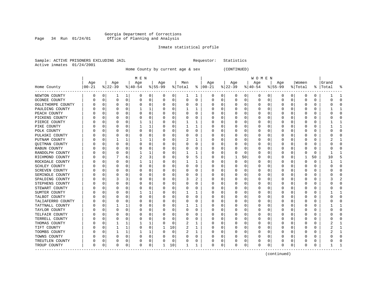# Georgia Department of Corrections Page 34 Run 01/24/01 Office of Planning and Analysis

# Inmate statistical profile

Sample: ACTIVE PRISONERS EXCLUDING JAIL **Requestor:** Statistics Active inmates 01/24/2001

Home County by current age & sex (CONTINUED)

|                          |          |              |          |          | M E N     |   |          |             |         |          |               |             |              |             | W O M E N |             |             |          |              |          |           |              |
|--------------------------|----------|--------------|----------|----------|-----------|---|----------|-------------|---------|----------|---------------|-------------|--------------|-------------|-----------|-------------|-------------|----------|--------------|----------|-----------|--------------|
|                          | Age      |              | Age      |          | Age       |   | Age      |             | Men     |          | Age           |             | Age          |             | Age       |             | Age         |          | Women        |          | Grand     |              |
| Home County<br>--------- | $ 00-21$ |              | $ 22-39$ |          | $8 40-54$ |   | $ 55-99$ |             | % Total |          | $8   00 - 21$ |             | $ 22-39 $    |             | $ 40-54$  |             | $8 55-99$   |          | % Total      |          | %   Total | ႜ            |
| NEWTON COUNTY            | 0        | 0            | 1        | 1        | 0         | 0 | 0        | 0           | 1       | 1        | 0             | $\mathbf 0$ | 0            | 0           | 0         | 0           | 0           | 0        | 0            | 0        |           | 1            |
| OCONEE COUNTY            | 0        | 0            | 0        | 0        | 0         | 0 | 0        | 0           | 0       | 0        | 0             | 0           | 0            | 0           | 0         | 0           | $\mathbf 0$ | 0        | 0            | 0        |           | $\Omega$     |
| OGLETHORPE COUNTY        | 0        | 0            | $\Omega$ | $\Omega$ | C         | 0 |          | 0           | 0       | 0        | 0             | 0           | 0            | 0           | 0         | 0           | 0           | 0        | 0            | 0        |           | ∩            |
| PAULDING COUNTY          |          | <sup>0</sup> | ∩        | $\Omega$ |           | 1 |          | $\Omega$    |         | 1        | 0             | 0           | <sup>0</sup> | 0           | O         | 0           | O           | U        | $\Omega$     | 0        |           | $\mathbf{1}$ |
| PEACH COUNTY             |          | n            | ∩        | $\Omega$ | O         | 0 |          | $\Omega$    | O       | 0        | O             | 0           | O            | 0           | 0         | 0           | O           | 0        | $\Omega$     | 0        |           | $\Omega$     |
| PICKENS COUNTY           |          | $\Omega$     | O        | $\Omega$ | C         | 0 |          | $\Omega$    | 0       | O        | 0             | $\Omega$    | O            | 0           | O         | $\mathbf 0$ | O           | $\Omega$ | $\Omega$     | O        |           | $\Omega$     |
| PIERCE COUNTY            |          | 0            |          | $\Omega$ |           | 1 |          | 0           |         | 1        | O             | 0           | 0            | $\Omega$    |           | 0           | 0           | $\Omega$ | $\Omega$     | O        |           | $\mathbf{1}$ |
| PIKE COUNTY              |          | 0            | $\Omega$ | $\Omega$ |           | 1 |          | 0           |         | 1        | O             | $\Omega$    | 0            | $\Omega$    | 0         | 0           | 0           | O        | $\Omega$     | 0        |           | $\mathbf{1}$ |
| POLK COUNTY              | N        | 0            | $\Omega$ | $\Omega$ | 0         | 0 |          | $\Omega$    | 0       | $\Omega$ | 0             | $\Omega$    | 0            | 0           | 0         | 0           | 0           | 0        | $\Omega$     | 0        |           | $\Omega$     |
| PULASKI COUNTY           | N        | 0            | 0        | $\Omega$ | 0         | 0 |          | 0           | 0       | 0        | 0             | $\Omega$    | $\Omega$     | 0           | 0         | 0           | 0           | 0        | $\Omega$     | 0        |           | $\Omega$     |
| PUTNAM COUNTY            |          | 0            |          |          |           | 1 |          | $\Omega$    | 2       | 1        | O             | 0           | 0            | 0           | 0         | 0           | 0           | O        | 0            | 0        |           | -1           |
| <b>OUITMAN COUNTY</b>    |          | n            | O        | $\Omega$ | C         | 0 |          | $\Omega$    | 0       | O        | 0             | 0           | <sup>0</sup> | 0           | 0         | 0           | O           | U        | $\Omega$     | O        |           | ∩            |
| RABUN COUNTY             |          | n            | ∩        | $\Omega$ | C         | 0 |          | $\Omega$    | 0       | O        | 0             | 0           | O            | 0           | 0         | 0           | O           | 0        | $\Omega$     | 0        |           | ∩            |
| RANDOLPH COUNTY          |          | $\Omega$     |          | $\Omega$ |           | 1 |          | 0           |         | 1        | 0             | $\Omega$    | <sup>0</sup> | $\mathbf 0$ | 0         | $\mathbf 0$ | 0           | $\Omega$ | 0            | $\Omega$ |           |              |
| RICHMOND COUNTY          |          | 0            |          | 6        | 2         | 3 |          | 0           | 9       | 5        | O             | 0           | 1            | 50          | 0         | 0           | 0           | $\Omega$ | $\mathbf{1}$ | 50       | 10        | 5            |
| ROCKDALE COUNTY          |          | $\Omega$     | $\Omega$ | $\Omega$ |           | 1 |          | 0           |         | 1        | O             | $\Omega$    | 0            | 0           | 0         | $\mathbf 0$ | $\Omega$    | $\Omega$ | $\Omega$     | $\Omega$ |           | $\mathbf{1}$ |
| SCHLEY COUNTY            |          | 0            | $\Omega$ | $\Omega$ | 0         | 0 |          | $\Omega$    | 0       | $\Omega$ | 0             | $\Omega$    | $\Omega$     | $\Omega$    | 0         | 0           | 0           | $\Omega$ | $\Omega$     | $\Omega$ |           | $\Omega$     |
| <b>SCREVEN COUNTY</b>    |          | 0            | 0        | $\Omega$ | 0         | 0 |          | 0           | 0       | 0        | 0             | $\Omega$    | $\Omega$     | 0           | 0         | 0           | 0           | 0        | $\Omega$     | 0        |           | $\Omega$     |
| SEMINOLE COUNTY          |          | 0            | 0        | O        | C         | 0 |          | $\Omega$    | 0       | 0        | 0             | 0           | 0            | 0           | 0         | 0           | 0           | O        | 0            | 0        |           | $\Omega$     |
| SPALDING COUNTY          |          | $\Omega$     | 3        | 3        | C         | 0 |          | $\Omega$    | 3       | 2        | 0             | 0           | <sup>0</sup> | 0           | 0         | 0           | O           | U        | 0            | O        |           |              |
| STEPHENS COUNTY          |          | n            | O        | $\Omega$ | C         | 0 |          | 0           | 0       | 0        | 0             | 0           | 0            | 0           | 0         | 0           | O           | 0        | $\Omega$     | 0        |           | $\Omega$     |
| STEWART COUNTY           |          | n            | O        | $\Omega$ | 0         | 0 |          | 0           | 0       | 0        | 0             | $\Omega$    | 0            | 0           | O         | 0           | O           | 0        | $\Omega$     | 0        |           | ∩            |
| SUMTER COUNTY            |          | 0            |          | $\Omega$ |           | 1 |          | $\mathbf 0$ |         | 1        | 0             | 0           | 0            | $\Omega$    | 0         | 0           | 0           | $\Omega$ | $\Omega$     | 0        |           | -1           |
| TALBOT COUNTY            |          | $\Omega$     | $\Omega$ | $\Omega$ | C         | 0 |          | $\Omega$    | O       | $\Omega$ | O             | $\Omega$    | 0            | $\Omega$    | Ω         | $\mathbf 0$ | $\Omega$    | $\Omega$ | $\Omega$     | $\Omega$ |           | $\Omega$     |
| TALIAFERRO COUNTY        |          | 0            | $\Omega$ | $\Omega$ | C         | 0 |          | $\Omega$    | 0       | 0        | 0             | $\Omega$    | 0            | $\Omega$    | 0         | 0           | 0           | 0        | $\Omega$     | 0        |           | $\Omega$     |
| TATTNALL COUNTY          |          | 0            |          |          | 0         | 0 |          | 0           |         | 1        | 0             | $\Omega$    | 0            | 0           | 0         | 0           | 0           | 0        | $\Omega$     | 0        |           | 1            |
| TAYLOR COUNTY            |          | 0            | 0        | 0        | C         | 0 |          | 0           | 0       | 0        | 0             | 0           | 0            | 0           | 0         | 0           | 0           | 0        | 0            | 0        |           | $\Omega$     |
| TELFAIR COUNTY           |          | n            |          | $\Omega$ | C         | 0 |          | $\Omega$    | 0       | O        | O             | 0           | 0            | 0           | 0         | 0           | 0           | O        | O            | 0        |           | ∩            |
| TERRELL COUNTY           |          | n            | $\Omega$ | $\Omega$ | C         | 0 |          | $\Omega$    | 0       | 0        | 0             | $\Omega$    | <sup>0</sup> | 0           | 0         | 0           | O           | 0        | $\Omega$     | 0        |           | $\cap$       |
| THOMAS COUNTY            | $\left($ | n            |          |          |           | 1 | O        | 0           | 2       | 1        | 0             | $\Omega$    | $\Omega$     | $\Omega$    | O         | $\Omega$    | O           | $\Omega$ | $\Omega$     | O        |           | -1           |
| TIFT COUNTY              |          | 0            |          |          | $\Omega$  | 0 |          | 10          | 2       | 1        | 0             | 0           | 0            | $\Omega$    | 0         | 0           | 0           | $\Omega$ | $\Omega$     | U        |           | $\mathbf{1}$ |
| TOOMBS COUNTY            |          | $\Omega$     |          | 1        |           | 1 |          | 0           | 2       | 1        | O             | 0           | 0            | $\Omega$    | Ω         | 0           | $\Omega$    | $\Omega$ | $\Omega$     | $\Omega$ |           | $\mathbf{1}$ |
| TOWNS COUNTY             |          | n            | $\Omega$ | $\Omega$ |           | 0 |          | 0           | 0       | $\Omega$ | O             | 0           | 0            | $\Omega$    | 0         | 0           | O           | 0        | $\Omega$     | 0        |           | $\Omega$     |
| TREUTLEN COUNTY          | O        | 0            | O        | 0        | C         | 0 |          | 0           | 0       | 0        | 0             | 0           | 0            | 0           | 0         | 0           | 0           | 0        | $\Omega$     | 0        |           | $\Omega$     |
| TROUP COUNTY             | $\Omega$ | 0            | $\Omega$ | 0        | $\Omega$  | 0 |          | 10          | 1       | 1        | 0             | 0           | 0            | 0           | 0         | 0           | 0           | 0        | $\Omega$     | 0        |           | -1           |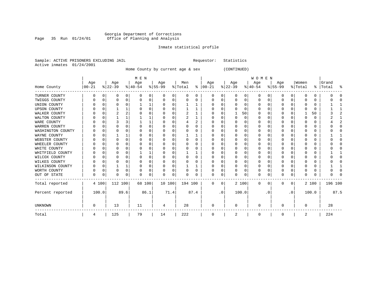### Georgia Department of Corrections Page 35 Run 01/24/01 Office of Planning and Analysis

# Inmate statistical profile

|  | Sample: ACTIVE PRISONERS EXCLUDING JAIL | Requestor: Statistics |  |
|--|-----------------------------------------|-----------------------|--|
|  | Active inmates 01/24/2001               |                       |  |

Home County by current age & sex (CONTINUED)

|                     |                  |          |                  |          | M E N            |          |                  |          |                |          |                      |             |                  |          | <b>WOMEN</b>     |           |                  |           |                  |       |                |      |
|---------------------|------------------|----------|------------------|----------|------------------|----------|------------------|----------|----------------|----------|----------------------|-------------|------------------|----------|------------------|-----------|------------------|-----------|------------------|-------|----------------|------|
| Home County         | Age<br>$00 - 21$ |          | Age<br>$ 22-39 $ |          | Age<br>$8 40-54$ |          | Age<br>$8 55-99$ |          | Men<br>% Total |          | Age<br>$8   00 - 21$ |             | Age<br>$ 22-39 $ |          | Age<br>$ 40-54 $ |           | Age<br>$8 55-99$ |           | Women<br>% Total | ွေ    | Grand<br>Total | 昙    |
| TURNER COUNTY       | O                | 0        | 0                | 0        | n                | 0        | 0                | 0        | 0              | 0        | 0                    | 0           | 0                | 0        | 0                | U         | 0                | 0         | <sup>0</sup>     | 0     |                |      |
| TWIGGS COUNTY       |                  | O        | O                | 0        |                  | U        | O                | 0        | 0              | O        | $\Omega$             | O           | O                | 0        | 0                |           |                  | 0         |                  | 0     |                |      |
| UNION COUNTY        |                  | 0        |                  | $\Omega$ |                  |          |                  | 0        |                |          | 0                    | 0           | O                | $\Omega$ | 0                |           |                  | U         |                  | 0     |                |      |
| <b>UPSON COUNTY</b> |                  | 0        |                  |          |                  | $\Omega$ |                  | 0        |                | -1       | O                    | U           |                  | $\Omega$ | 0                |           |                  | 0         |                  | 0     |                |      |
| WALKER COUNTY       |                  | $\Omega$ |                  |          |                  |          |                  | O        | 2              |          | O                    | U           |                  | 50       | O                |           |                  | U         |                  | 50    |                |      |
| WALTON COUNTY       |                  | O        |                  |          |                  |          |                  | O        | 2              |          |                      |             | $\Omega$         | $\Omega$ |                  |           |                  | U         |                  | 0     |                |      |
| WARE COUNTY         |                  |          |                  | ζ        |                  |          | U                | U        |                | 2        | C                    | 0           |                  | $\Omega$ | O                |           |                  |           |                  | 0     |                |      |
| WARREN COUNTY       |                  |          |                  | U        |                  |          | U                | O        | O              | O        | 0                    | U           |                  | O        | $^{(1)}$         |           |                  |           |                  | 0     |                |      |
| WASHINGTON COUNTY   |                  | O        |                  | U        |                  |          | U                | 0        |                | O        | 0                    | O           |                  | $\Omega$ |                  |           | n                | O         |                  | 0     |                |      |
| WAYNE COUNTY        |                  | 0        |                  |          |                  | 0        | U                | 0        |                | 1        | 0                    | O           |                  | $\Omega$ | 0                |           |                  | 0         |                  | 0     |                |      |
| WEBSTER COUNTY      |                  | $\Omega$ |                  | $\Omega$ |                  |          | U                | 0        | 0              | $\Omega$ | 0                    | U           |                  | $\Omega$ | 0                |           |                  | 0         |                  | 0     |                |      |
| WHEELER COUNTY      |                  | O        |                  | U        |                  |          | U                | U        |                | O        | $\Omega$             | N           |                  | $\Omega$ |                  |           |                  | U         |                  | 0     |                |      |
| WHITE COUNTY        |                  |          |                  | U        |                  |          |                  | U        |                | O        |                      |             |                  | $\Omega$ | ი                |           |                  |           |                  | 0     |                |      |
| WHITFIELD COUNTY    |                  |          |                  | U        |                  |          |                  | U        |                |          | O                    |             |                  | $\Omega$ | O                |           |                  |           |                  | 0     |                |      |
| WILCOX COUNTY       |                  | O        |                  | $\Omega$ |                  |          | U                | 0        | $\Omega$       | $\Omega$ | $\Omega$             | O           | $\Omega$         | $\Omega$ | O                |           | <sup>0</sup>     | 0         |                  | 0     |                |      |
| WILKES COUNTY       |                  | 0        |                  | U        |                  |          | U                | 0        | 0              | 0        | 0                    | U           |                  | $\Omega$ | 0                |           |                  | 0         |                  | 0     |                |      |
| WILKINSON COUNTY    |                  | $\Omega$ |                  |          |                  | U        | U                | $\Omega$ |                |          | O                    | U           | O                | $\Omega$ | 0                |           |                  | 0         |                  | 0     |                |      |
| WORTH COUNTY        |                  | 0        |                  | $\Omega$ |                  | 0        | U                | 0        | 0              | 0        | $\Omega$             | 0           |                  | $\Omega$ | 0                |           | $\Omega$         | 0         |                  | 0     |                |      |
| OUT OF STATE        | U                | 0        | N                | 0        |                  | $\Omega$ | U                | 0        |                | U        | $\Omega$             | 0           |                  | 0        | 0                |           | ∩                | 0         | U                | 0     |                |      |
| Total reported      |                  | 4 100    | 112 100          |          | 68 100           |          | 10 100           |          | 194 100        |          | $\Omega$             | $\mathbf 0$ |                  | 2 100    | 0                | 0         | $\Omega$         | 0         |                  | 2 100 | 196 100        |      |
| Percent reported    | 100.0            |          |                  | 89.6     |                  | 86.1     |                  | 71.4     |                | 87.4     |                      | $\cdot$ 0   |                  | 100.0    |                  | $\cdot$ 0 |                  | $\cdot$ 0 |                  | 100.0 |                | 87.5 |
| UNKNOWN             | 0                |          | 13               |          | 11               |          | 4                |          | 28             |          | 0                    |             | $\Omega$         |          | 0                |           |                  |           | $\Omega$         |       | 28             |      |
| Total               | 4                |          | 125              |          | 79               |          | 14               |          | 222            |          | 0                    |             | 2                |          | 0                |           | 0                |           | 2                |       | 224            |      |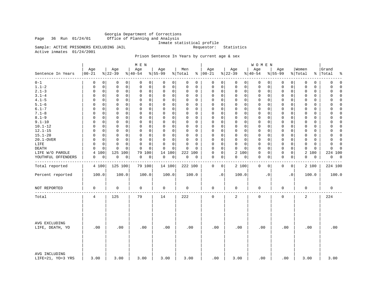Georgia Department of Corrections Page 36 Run 01/24/01 Office of Planning and Analysis

Inmate statistical profile<br>Requestor: Statistics

Sample: ACTIVE PRISONERS EXCLUDING JAIL Active inmates 01/24/2001

# Prison Sentence In Years by current age & sex

|                                    |                   |                              | M E N                      |                         |                          |                            |                             | WOMEN                      |                             |                            |                      |
|------------------------------------|-------------------|------------------------------|----------------------------|-------------------------|--------------------------|----------------------------|-----------------------------|----------------------------|-----------------------------|----------------------------|----------------------|
| Sentence In Years<br>--------      | Age<br>$ 00 - 21$ | Age<br>$8 22-39$             | Age<br>$ 40-54$            | Age<br>$8155 - 99$      | Men<br>% Total           | Age<br>$% 100-21$          | Age<br>$8 22-39$            | Age<br>$ 40-54$            | Age<br>$8155 - 99$          | Women<br>% Total<br>နွ     | Grand<br>Total<br>٩, |
| $0 - 1$                            | 0                 | $\Omega$<br>0<br>0           | 0<br>0                     | 0<br>0                  | $\Omega$<br>0            | 0<br>0                     | 0<br>0                      | 0<br>0                     | 0<br>0                      | 0<br>0                     | $\mathbf 0$<br>0     |
| $1.1 - 2$                          | 0                 | $\mathbf 0$<br>0<br>0        | $\mathbf 0$<br>0           | 0<br>0                  | 0<br>0                   | 0<br>0                     | $\mathbf 0$<br>0            | 0<br>0                     | 0<br>0                      | $\mathbf 0$<br>0           | 0<br>$\Omega$        |
| $2.1 - 3$                          | 0                 | $\mathbf 0$<br>0<br>0        | $\mathbf 0$<br>0           | 0<br>0                  | 0<br>0                   | 0<br>0                     | $\mathbf 0$<br>0            | 0<br>0                     | $\mathbf 0$<br>0            | 0<br>$\mathbf 0$           | $\Omega$<br>0        |
| $3.1 - 4$                          | $\Omega$          | $\Omega$<br>0<br>0           | $\Omega$<br>$\Omega$       | 0<br>0                  | $\Omega$<br>$\Omega$     | $\mathbf 0$<br>0           | $\mathbf 0$<br>$\mathbf 0$  | 0<br>0                     | $\mathbf 0$<br>0            | $\Omega$<br>0              | $\Omega$<br>$\Omega$ |
| $4.1 - 5$                          | $\Omega$          | $\mathbf 0$<br>0<br>0        | $\mathbf 0$<br>$\mathbf 0$ | $\mathbf 0$<br>0        | $\Omega$<br>0            | 0<br>0                     | $\mathbf 0$<br>$\mathbf 0$  | $\mathbf 0$<br>0           | $\mathbf 0$<br>0            | $\mathbf 0$<br>0           | $\Omega$<br>0        |
| $5.1 - 6$                          | $\Omega$          | $\Omega$<br>0<br>$\Omega$    | $\Omega$<br>0              | 0<br>0                  | $\Omega$<br>$\Omega$     | $\mathbf 0$<br>$\Omega$    | $\mathbf 0$<br>0            | 0<br>0                     | $\mathbf 0$<br>0            | 0<br>$\Omega$              | 0<br>$\Omega$        |
| $6.1 - 7$                          | $\Omega$          | $\mathbf 0$<br>$\Omega$<br>0 | $\mathbf 0$<br>$\Omega$    | $\Omega$<br>$\mathbf 0$ | $\Omega$<br>0            | $\mathbf 0$<br>$\mathbf 0$ | $\Omega$<br>$\mathbf 0$     | $\mathbf 0$<br>$\mathbf 0$ | $\mathbf 0$<br>$\mathbf 0$  | $\mathbf 0$<br>$\mathbf 0$ | $\Omega$<br>$\Omega$ |
| $7.1 - 8$                          | $\Omega$          | $\Omega$<br>0<br>0           | 0<br>0                     | 0<br>0                  | $\Omega$<br>$\Omega$     | $\mathbf 0$<br>$\Omega$    | $\mathbf 0$<br>$\mathbf 0$  | 0<br>0                     | $\mathbf 0$<br>0            | $\Omega$<br>$\Omega$       | 0<br>$\Omega$        |
| $8.1 - 9$                          | 0                 | $\mathbf 0$<br>0<br>0        | $\mathbf 0$<br>0           | $\Omega$<br>0           | 0<br>0                   | $\mathbf 0$<br>0           | $\mathbf 0$<br>0            | 0<br>0                     | $\mathbf 0$<br>0            | $\mathbf 0$<br>$\mathbf 0$ | $\Omega$<br>0        |
| $9.1 - 10$                         | $\Omega$          | 0<br>0<br>0                  | $\mathbf 0$<br>$\Omega$    | 0<br>$\mathbf 0$        | $\Omega$<br>0            | $\mathbf 0$<br>0           | $\mathbf 0$<br>$\mathbf 0$  | $\mathbf 0$<br>0           | $\mathbf 0$<br>0            | $\mathbf 0$<br>0           | 0<br>$\Omega$        |
| $10.1 - 12$                        | 0                 | 0<br>0<br>0                  | 0<br>0                     | 0<br>0                  | $\Omega$<br>$\Omega$     | 0<br>0                     | $\mathbf 0$<br>$\mathbf 0$  | 0<br>0                     | $\mathbf 0$<br>0            | 0<br>0                     | 0<br>$\Omega$        |
| $12.1 - 15$                        | $\Omega$          | 0<br>0<br>0                  | $\mathbf 0$<br>0           | 0<br>0                  | $\Omega$<br>0            | $\mathbf 0$<br>0           | $\mathbf 0$<br>$\mathbf 0$  | 0<br>0                     | $\mathbf 0$<br>$\mathsf{O}$ | 0<br>0                     | $\mathbf 0$<br>0     |
| $15.1 - 20$                        | $\Omega$          | $\Omega$<br>0<br>0           | $\Omega$<br>$\Omega$       | 0<br>$\mathbf 0$        | $\Omega$<br>$\Omega$     | $\mathbf 0$<br>0           | $\mathbf 0$<br>$\mathbf 0$  | $\mathbf 0$<br>0           | 0<br>0                      | $\mathbf 0$<br>0           | $\Omega$<br>$\Omega$ |
| 20.1-OVER                          | 0                 | 0<br>0<br>0                  | $\mathbf 0$<br>0           | 0<br>0                  | 0<br>0                   | 0<br>0                     | $\mathbf 0$<br>$\mathsf{O}$ | 0<br>0                     | 0<br>0                      | $\mathbf 0$<br>0           | 0<br>$\Omega$        |
| LIFE                               | $\Omega$          | 0<br>0<br>0                  | $\mathbf 0$<br>$\Omega$    | 0<br>$\mathbf 0$        | $\Omega$<br>$\Omega$     | 0<br>$\Omega$              | $\mathbf 0$<br>0            | 0<br>0                     | $\mathbf 0$<br>0            | 0<br>0                     | $\Omega$<br>$\Omega$ |
| DEATH                              | $\Omega$          | $\mathbf 0$<br>$\Omega$<br>0 | $\mathbf 0$<br>$\Omega$    | $\mathbf 0$<br>0        | $\Omega$<br>$\Omega$     | $\Omega$<br>$\mathbf 0$    | $\mathbf 0$<br>$\Omega$     | $\mathbf 0$<br>0           | $\mathbf 0$<br>$\mathbf 0$  | $\mathbf 0$<br>$\mathbf 0$ | $\Omega$<br>$\Omega$ |
| LIFE W/O PAROLE                    | 100<br>4          | 125 100                      | 79<br>100                  | 14<br>100               | 222 100                  | 0<br>0                     | 2 100                       | 0<br>0                     | 0<br>0                      | 2<br>100                   | 224 100              |
| YOUTHFUL OFFENDERS                 | 0                 | 0<br>$\mathbf 0$<br>0        | 0<br>0                     | 0<br>0                  | $\mathsf{O}\xspace$<br>0 | $\mathbf 0$<br>0           | 0<br>0                      | 0<br>0                     | $\mathbf 0$<br>0            | 0<br>0                     | 0<br>$\overline{0}$  |
|                                    |                   |                              |                            |                         |                          |                            |                             |                            |                             |                            |                      |
| Total reported                     | 4 100             | 125 100                      | 79 100                     | 14 100                  | 222 100                  | 0<br>0                     | 2 100                       | $\mathbf 0$<br>0           | 0<br>0                      | 2 100                      | 224 100              |
| Percent reported                   | 100.0             | 100.0                        | 100.0                      | 100.0                   | 100.0                    | $\cdot$ 0                  | 100.0                       | $\cdot$ 0                  | . 0                         | 100.0                      | 100.0                |
| NOT REPORTED                       | $\mathbf 0$       | 0                            | 0                          | $\mathbf 0$             | $\mathbf 0$              | 0                          | $\mathbf 0$                 | 0                          | $\mathbf 0$                 | $\mathbf 0$                | $\mathbf 0$          |
| Total                              | 4                 | 125                          | 79                         | 14                      | 222                      | 0                          | 2                           | 0                          | $\mathsf 0$                 | 2                          | 224                  |
| AVG EXCLUDING<br>LIFE, DEATH, YO   | .00               | .00                          | .00                        | .00                     | .00                      | .00                        | .00                         | .00                        | .00                         | .00                        | .00                  |
| AVG INCLUDING<br>LIFE=21, YO=3 YRS | 3.00              | 3.00                         | 3.00                       | 3.00                    | 3.00                     | .00                        | 3.00                        | .00                        | .00                         | 3.00                       | 3.00                 |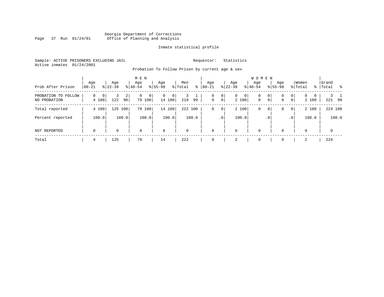# Georgia Department of Corrections Page 37 Run 01/24/01 Office of Planning and Analysis

# Inmate statistical profile

Sample: ACTIVE PRISONERS EXCLUDING JAIL **Requestor:** Statistics Active inmates 01/24/2001

Probation To Follow Prison by current age & sex

| Prob After Prison                   | Age<br>$00 - 21$     | Age<br>$8122 - 39$  | $8 40-54$            | M E N<br>Age     | Age<br>$8155 - 99$          | Men<br>% Total | ⊱     | Age<br>$00 - 21$ | $ 22-39 $           | Age                        | <b>WOMEN</b><br>Aqe<br>$8 40-54$ |                         | Age<br>$8155 - 99$ |                     | Women<br>% Total       | Grand<br>%   Total<br>း |
|-------------------------------------|----------------------|---------------------|----------------------|------------------|-----------------------------|----------------|-------|------------------|---------------------|----------------------------|----------------------------------|-------------------------|--------------------|---------------------|------------------------|-------------------------|
| PROBATION TO FOLLOW<br>NO PROBATION | $\mathbf 0$<br>4 100 | $\mathbf{0}$<br>122 | $\overline{2}$<br>98 | 0<br>0<br>79 100 | $\mathbf{0}$<br>0<br>14 100 | 219            | 99    | 0<br>$\mathbf 0$ | 0<br>0 <sup>1</sup> | 0<br>$\mathbf{0}$<br>2 100 | 0<br>$\mathbf{0}$                | $\mathbf{0}$<br>$\circ$ | 0<br>0             | 0<br>$\overline{0}$ | $\Omega$<br>0<br>2 100 | 221 99                  |
| Total reported                      | 4 100                | 125 100             |                      | 79 100           | 14 100                      | 222 100        |       | 0                | 0                   | 2 100                      | 0                                | 0                       | 0                  | $\overline{0}$      | 2 100                  | 224 100                 |
| Percent reported                    | 100.0                |                     | 100.0                | 100.0            | 100.0                       |                | 100.0 |                  | .0 <sup>1</sup>     | 100.0                      |                                  | $\cdot$ 0               |                    | .0'                 | 100.0                  | 100.0                   |
| NOT REPORTED                        | $\mathbf 0$          | 0                   |                      | $\mathbf 0$      | $\mathbf 0$                 | $\mathbf 0$    |       | $\mathbf 0$      |                     | 0                          | $\mathbf 0$                      |                         | $\Omega$           |                     | $\Omega$               | $\mathbf 0$             |
| Total                               | 4                    | 125                 |                      | 79               | 14                          | 222            |       | 0                |                     | 2                          | $\overline{0}$                   |                         | $\Omega$           |                     | 2                      | 224                     |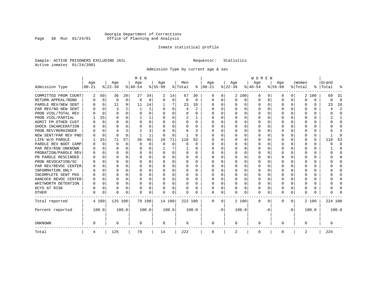# Georgia Department of Corrections Page 38 Run 01/24/01 Office of Planning and Analysis

# Inmate statistical profile

Sample: ACTIVE PRISONERS EXCLUDING JAIL **Requestor:** Statistics Active inmates 01/24/2001

Admission Type by current age & sex

|                      |           |             |          |              | M E N     |          |           |          |              |              |          |           |          |          | <b>WOMEN</b> |          |              |              |         |          |         |              |
|----------------------|-----------|-------------|----------|--------------|-----------|----------|-----------|----------|--------------|--------------|----------|-----------|----------|----------|--------------|----------|--------------|--------------|---------|----------|---------|--------------|
|                      | Age       |             | Age      |              | Age       |          | Aqe       |          | Men          |              | Age      |           | Age      |          | Age          |          | Aqe          |              | Women   |          | Grand   |              |
| Admission Type       | $00 - 21$ |             | $ 22-39$ |              | $ 40-54 $ |          | $8 55-99$ |          | % Total      | ႜ            | $ 00-21$ |           | $ 22-39$ |          | $ 40-54$     |          | $8 55-99$    |              | % Total | ွေ       | Total   |              |
| COMMITTED FROM COURT | 2         | 50          | 36       | 29           | 27        | 34       | 2         | 14       | 67           | 30           | 0        | 0         |          | 2 100    | 0            | U        | 0            | 0            |         | 2 100    | 69      | -31          |
| RETURN APPEAL/BOND   | 0         | $\mathbf 0$ | 0        | $\mathbf 0$  | $\Omega$  | 0        | $\Omega$  | 0        | 0            | $\Omega$     | 0        | 0         | $\Omega$ | 0        | 0            | $\Omega$ | <sup>0</sup> | $\Omega$     | O       | 0        | U       | $\Omega$     |
| PAROLE REV/NEW SENT  | U         | $\Omega$    | 11       | 9            | 11        | 14       |           | 7        | 23           | 10           | n        | 0         | ∩        | $\Omega$ | 0            | $\Omega$ | $\cap$       | $\Omega$     | U       | U        | 23      | 10           |
| PAR REV/NO NEW SENT  | n         | $\Omega$    | 3        |              |           | 1        |           | $\Omega$ | 4            | $\mathbf{2}$ | $\Omega$ | 0         | ∩        | $\Omega$ | O            | C        | ∩            | <sup>n</sup> | U       | O        |         | 2            |
| PROB VIOL/TOTAL REV  |           | $\Omega$    | $\Omega$ | $\Omega$     | $\Omega$  | 0        |           | $\Omega$ | $\Omega$     | O            | n        | O         | $\Omega$ | $\Omega$ | 0            | C        | <sup>0</sup> | <sup>n</sup> | O       | O        |         | <sup>0</sup> |
| PROB VIOL/PARTIAL    |           | 25          | O        | 0            |           | 1        |           | $\Omega$ | 2            |              | O        | 0         | O        | $\Omega$ | O            | C        |              |              |         | U        |         |              |
| ADMIT FM OTHER CUST  | O         | $\Omega$    | O        | $\Omega$     | O         | 0        | O         | $\Omega$ | O            | 0            | $\Omega$ | 0         | O        | $\Omega$ | O            | O        | O            | 0            | O       | U        |         | $\Omega$     |
| SHOCK INCARCERATION  |           | 0           | U        | 0            | O         | 0        | ∩         | $\Omega$ | O            | U            | $\Omega$ | 0         | O        | $\Omega$ | 0            | $\Omega$ | <sup>0</sup> | 0            | U       | 0        |         | ∩            |
| PROB REV/REMAINDER   |           | $\mathbf 0$ |          | 3            | 2         | 3        |           | $\Omega$ | 6            | ζ            | $\Omega$ | 0         | $\Omega$ | $\Omega$ | 0            | $\Omega$ | ∩            | $\Omega$     | U       | 0        |         | p            |
| NEW SENT/PAR REV PND | N         | $\Omega$    | $\Omega$ | $\Omega$     |           | 1        | $\Omega$  | $\Omega$ | $\mathbf{1}$ | $\Omega$     | $\Omega$ | 0         | $\Omega$ | $\Omega$ | 0            | C        | <sup>0</sup> | $\Omega$     |         | $\Omega$ |         | ſ            |
| LIFE W/O PAROLE      |           | 25          | 71       | 57           | 36        | 46       | 10        | 71       | 118          | 53           |          | O         |          | $\Omega$ | 0            | $\Omega$ |              | $\Omega$     | Ω       | $\Omega$ | 118     | 53           |
| PAROLE REV BOOT CAMP |           | $\Omega$    | $\Omega$ | $\Omega$     | $\Omega$  | $\Omega$ | $\Omega$  | $\Omega$ | $\Omega$     | $\Omega$     | 0        | O         |          | $\Omega$ | 0            | $\Omega$ |              | $\Omega$     |         | $\Omega$ | ი       | $\Omega$     |
| PAR REV/RSN UNKNOWN  |           | $\Omega$    | O        | $\Omega$     | O         | 0        |           | 7        |              | 0            | 0        | O         | O        | $\Omega$ | 0            | $\Omega$ |              | 0            | O       | 0        |         | <sup>0</sup> |
| PROBATION/PAROLE REV |           | $\Omega$    | U        | $\Omega$     | O         | 0        |           | $\Omega$ | 0            | 0            | O        | $\Omega$  | O        | $\Omega$ | 0            | $\Omega$ |              | <sup>n</sup> | O       | 0        | U       | ∩            |
| PB PAROLE RESCINDED  |           | $\Omega$    | U        | $\Omega$     | O         | 0        |           | $\Omega$ | 0            | 0            | n        | 0         | O        | $\Omega$ | 0            | O        | n            | 0            | U       | 0        |         | n            |
| PROB REVOCATION/SC   |           | $\Omega$    | U        | <sup>n</sup> | n         | U        |           | ∩        | 0            | U            | $\Omega$ | U         | ∩        | ∩        | U            | C        | ∩            | <sup>n</sup> |         | 0        |         | ∩            |
| PAR REV/REVOC CENTER |           | 0           | U        | 0            | n         | 0        |           | $\Omega$ | 0            | O            | $\Omega$ | U         | $\Omega$ | $\Omega$ | U            | C        | ∩            | <sup>n</sup> | Λ       | 0        |         | ∩            |
| INFORMATION ONLY     |           | $\mathbf 0$ | U        | $\Omega$     | O         | 0        |           | $\Omega$ | 0            | O            | n        | O         | O        | $\Omega$ | 0            | C        |              | 0            |         | 0        |         | ∩            |
| INCOMPLETE SENT PKG  | O         | 0           | U        | $\Omega$     | O         | 0        |           | $\Omega$ | 0            | 0            | $\Omega$ | O         | O        | $\Omega$ | 0            | O        |              | 0            |         | 0        |         | <sup>0</sup> |
| HANCOCK REVOC CENTER | 0         | 0           | U        | $\Omega$     | O         | 0        |           | $\Omega$ | 0            | 0            | $\Omega$ | 0         | O        | $\Omega$ | 0            | 0        | O            | 0            | O       | 0        |         | ∩            |
| WHITWORTH DETENTION  | O         | $\Omega$    | U        | $\Omega$     | O         | 0        | ∩         | $\Omega$ | 0            | 0            | $\Omega$ | 0         | O        | $\Omega$ | 0            | $\Omega$ | ∩            | $\Omega$     | U       | 0        |         | ∩            |
| DCYS AT RISK         | O         | 0           | O        | $\Omega$     | O         | 0        |           | $\Omega$ | O            | O            | $\Omega$ | 0         | $\Omega$ | $\Omega$ | O            | $\Omega$ | <sup>0</sup> | 0            | Ω       | 0        |         | ſ            |
| <b>OTHER</b>         | 0         | 0           | $\Omega$ | 0            | O         | 0        | $\Omega$  | 0        | N            | O            | $\Omega$ | 0         | $\Omega$ | 0        | 0            | $\Omega$ | $\Omega$     | 0            | O       | U        |         |              |
| Total reported       |           | 4 100       | 125 100  |              | 79 100    |          | 14 100    |          | 222 100      |              | 0        | 0         |          | 2 100    | 0            | $\Omega$ | $\Omega$     | 0            |         | 2 100    | 224 100 |              |
| Percent reported     |           | 100.0       |          | 100.0        |           | 100.0    |           | 100.0    |              | 100.0        |          | $\cdot$ 0 |          | 100.0    |              | . 0      |              | $\cdot$ 0    |         | 100.0    |         | 100.0        |
| <b>UNKNOWN</b>       | 0         |             | 0        |              | 0         |          | 0         |          | 0            |              | 0        |           | 0        |          | 0            |          | 0            |              | 0       |          | 0       |              |
| Total                | 4         |             | 125      |              | 79        |          | 14        |          | 222          |              | 0        |           | 2        |          | 0            |          | 0            |              | 2       |          | 224     |              |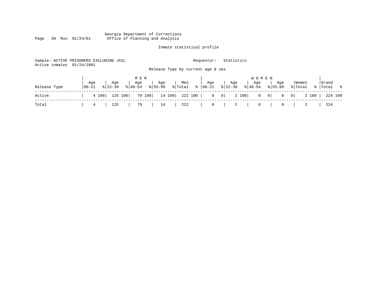### Georgia Department of Corrections Page 39 Run 01/24/01 Office of Planning and Analysis

# Inmate statistical profile

| Active inmates | Sample: ACTIVE PRISONERS EXCLUDING JAIL<br>01/24/2001 |                                                            | Requestor:       | Statistics                                  |                                |                         |                     |
|----------------|-------------------------------------------------------|------------------------------------------------------------|------------------|---------------------------------------------|--------------------------------|-------------------------|---------------------|
|                |                                                       | Release Type by current age & sex                          |                  |                                             |                                |                         |                     |
|                |                                                       | M E N                                                      |                  | <b>WOMEN</b>                                |                                |                         |                     |
| Release Type   | Aqe<br>Age<br>  00-21<br>$8122 - 39$                  | Age<br>Men<br>Age<br>% Total<br>$8155 - 99$<br>$8140 - 54$ | Age<br>%   00-21 | Age<br>Age<br>$8 22-39$<br>$8 40-54$        | Age<br>$8155 - 99$             | Women<br>% Total        | Grand<br>%  Total % |
| Active         | 125 100<br>4 100                                      | 14 100<br>79 100<br>222 100                                | $\overline{0}$   | 2 100<br>$\begin{array}{c c} 0 \end{array}$ | $0 \qquad 0$<br>$\overline{0}$ | 2 100<br>$\overline{0}$ | 224 100             |
| Total          | 125<br>4                                              | 222<br>79<br>14                                            | $\mathbf{0}$     | 2<br>0                                      | 0                              |                         | 224                 |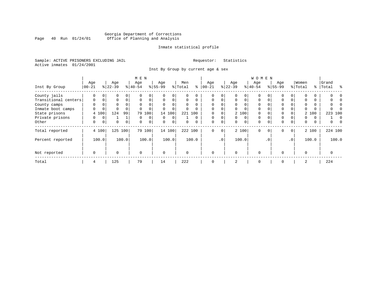# Georgia Department of Corrections Page 40 Run 01/24/01 Office of Planning and Analysis

# Inmate statistical profile

Sample: ACTIVE PRISONERS EXCLUDING JAIL **Requestor:** Statistics Active inmates 01/24/2001

Inst By Group by current age & sex

|                      |             |             |           |             | M E N     |             |           |          |         |          |             |             |           |          | W O M E N |           |             |                 |          |          |       |         |
|----------------------|-------------|-------------|-----------|-------------|-----------|-------------|-----------|----------|---------|----------|-------------|-------------|-----------|----------|-----------|-----------|-------------|-----------------|----------|----------|-------|---------|
|                      | Age         |             | Age       |             | Age       |             | Age       |          | Men     |          | Age         |             | Age       |          | Age       |           | Age         |                 | Women    |          | Grand |         |
| Inst By Group        | $ 00-21 $   |             | $ 22-39 $ |             | $8 40-54$ |             | $8 55-99$ |          | % Total | နွ       | $ 00-21$    |             | $ 22-39 $ |          | $8 40-54$ |           | $8155 - 99$ |                 | % Total  | ွေ       | Total | ু       |
| County jails         | 0           | $\Omega$    | 0         |             |           | 0           |           | $\Omega$ |         | U        | $\Omega$    | 0           |           | 0        | $\Omega$  |           |             | 0               | $\Omega$ | 0        |       |         |
| Transitional centers | $\mathbf 0$ | $\mathbf 0$ | 0         | $\Omega$    | $\Omega$  | 0           | $\Omega$  | 0        | 0       | $\Omega$ | $\Omega$    | $\Omega$    | $\Omega$  | $\Omega$ | 0         | 0         | 0           | 0               | 0        | 0        |       |         |
| County camps         | 0           |             | 0         |             | $\Omega$  | $\Omega$    | $\Omega$  | $\Omega$ | 0       |          | $\Omega$    | 0           | $\Omega$  |          | $\Omega$  |           |             |                 | $\Omega$ | 0        |       |         |
| Inmate boot camps    | 0           | $\mathbf 0$ |           |             |           | 0           |           | $\Omega$ | 0       |          | $\Omega$    | 0           | $\Omega$  | $\Omega$ | $\Omega$  |           |             |                 | $\Omega$ | 0        |       |         |
| State prisons        |             | 4 100       | 124       | 99          | 79        | 100         |           | 14 100   | 221     | 100      | $\Omega$    | 0           |           | 2 100    | $\Omega$  |           |             |                 |          | 2 100    |       | 223 100 |
| Private prisons      | 0           | $\mathbf 0$ |           |             | $\Omega$  | $\mathbf 0$ | $\Omega$  | $\Omega$ |         | $\Omega$ | $\mathbf 0$ | $\Omega$    | $\Omega$  | $\Omega$ | $\Omega$  |           | 0           |                 | 0        | $\Omega$ |       |         |
| Other                | 0           | 0           | 0         | $\mathbf 0$ | $\Omega$  | $\mathbf 0$ | $\Omega$  | 0        | 0       | 0        | 0           | $\mathbf 0$ | $\Omega$  | $\Omega$ | 0         | 0         | 0           | 0               | 0        | 0        | 0     |         |
| Total reported       |             | 4 100       | 125 100   |             |           | 79 100      |           | 14 100   |         | 222 100  | $\Omega$    | 0           |           | 2 100    | 0         | $\Omega$  | $\mathbf 0$ | $\mathbf{0}$    |          | 2 100    |       | 224 100 |
| Percent reported     |             | 100.0       |           | 100.0       |           | 100.0       |           | 100.0    |         | 100.0    |             | $\cdot$ 0   |           | 100.0    |           | $\cdot$ 0 |             | .0 <sup>1</sup> |          | 100.0    |       | 100.0   |
| Not reported         | $\mathbf 0$ |             | $\Omega$  |             | $\Omega$  |             | $\Omega$  |          | O       |          | $\Omega$    |             | $\Omega$  |          | $\Omega$  |           | $\Omega$    |                 | $\Omega$ |          |       |         |
| Total                | 4           |             | 125       |             | 79        |             | 14        |          | 222     |          | 0           |             | 2         |          | 0         |           | 0           |                 | 2        |          | 224   |         |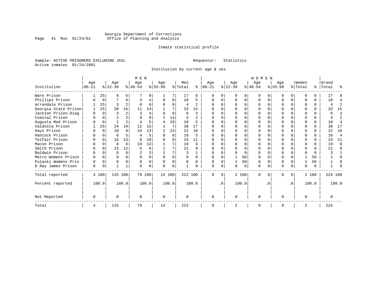# Georgia Department of Corrections Page 41 Run 01/24/01 Office of Planning and Analysis

# Inmate statistical profile

Sample: ACTIVE PRISONERS EXCLUDING JAIL **Requestor:** Statistics Active inmates 01/24/2001

Institution by current age & sex

|                      |             | M E N    |                |              |                |          |          |          |          |                |          |           |              |          | <b>WOMEN</b> |          |             |           |              |          |         |                |
|----------------------|-------------|----------|----------------|--------------|----------------|----------|----------|----------|----------|----------------|----------|-----------|--------------|----------|--------------|----------|-------------|-----------|--------------|----------|---------|----------------|
|                      | Age         |          | Age            |              | Age            |          | Age      |          | Men      |                | Age      |           | Age          |          | Age          |          | Age         |           | Women        |          | Grand   |                |
| Institution          | $ 00 - 21 $ |          | $ 22-39 $      |              | $8 40-54$      |          | $ 55-99$ |          | % Total  | ៖              | $ 00-21$ |           | $ 22-39 $    |          | $ 40-54 $    |          | $8155 - 99$ |           | % Total      | ွေ       | Total   | ႜ              |
| Ware Prison          |             | 25       | 8              | 6            |                |          |          |          | 17       | 8              |          |           | O            | O        | $\Omega$     |          |             | 0         |              | 0        | 17      |                |
| Phillips Prison      |             | 0        |                | 6            | 3              | 4        | $\Omega$ | 0        | 10       | 5              | $\Omega$ | 0         | $\Omega$     | $\Omega$ | $\Omega$     | $\Omega$ | $\cap$      | 0         |              | 0        | 10      | 4              |
| Arrendale Prison     |             | 25       | ς              |              | $\Omega$       | $\Omega$ | O        | $\Omega$ | 4        | $\overline{2}$ |          | $\Omega$  |              | $\Omega$ | $\Omega$     | $\Omega$ |             |           |              | 0        | 4       | 2              |
| Georgia State Prison |             | 25       | 20             | 16           | 11             | 14       |          |          | 33       | 15             |          |           |              | $\Omega$ |              |          |             |           |              | 0        | 33      | 15             |
| Jackson Prison-Diag  |             | $\Omega$ | 3              |              | 3              | 4        |          | $\Omega$ | 6        | 3              |          |           |              | $\Omega$ |              |          |             |           |              | 0        | 6       |                |
| Coastal Prison       |             |          | $\overline{2}$ |              |                | 0        |          | 14       | 4        |                |          |           | $\Omega$     | $\Omega$ | O            |          | $\cap$      |           | <sup>0</sup> | 0        |         | 2              |
| Augusta Med Prison   |             | $\Omega$ | $\overline{2}$ |              |                |          | 4        | 29       | 10       | 5              |          | $\cap$    |              | $\Omega$ | $\Omega$     | $\cap$   |             |           |              | 0        | 10      | $\overline{4}$ |
| Valdosta Prison      |             | 25       | 24             | 19           | 12             | 15       |          | 7        | 38       | 17             |          |           | $\cap$       | $\Omega$ | O            |          | $\cap$      |           |              | 0        | 38      | 17             |
| Hays Prison          |             | 0        | 10             | 8            | 10             | 13       |          | 14       | 22       | 10             |          |           |              | $\Omega$ |              |          |             |           |              | 0        | 22      | 10             |
| Hancock Prison       |             | $\Omega$ | 6              |              | $\overline{4}$ | 5        | U        | $\Omega$ | 10       | 5              |          |           | $\Omega$     | $\Omega$ | $\Omega$     |          | $\cap$      |           | $\cap$       | 0        | 10      | $\overline{4}$ |
| Telfair Prison       |             | $\Omega$ | 16             | 13           | 8              | 10       |          | $\Omega$ | 24       | 11             |          | 0         |              | $\Omega$ | O            | $\cap$   |             |           | $\Omega$     | 0        | 24      | 11             |
| Macon Prison         |             |          | 8              | 6            | 10             | 13       |          |          | 19       | 9              |          |           | <sup>n</sup> | $\Omega$ | U            | $\cap$   | ∩           |           | $\Omega$     | 0        | 19      | 8              |
| Smith Prison         |             |          | 15             | 12           |                | 6        |          |          | 21       | 9              |          |           |              | $\Omega$ | O            |          |             |           | <sup>0</sup> | 0        | 21      | <b>q</b>       |
| Baldwin Prison       |             |          | O              | $\Omega$     |                | 3        |          |          | ς        |                | $\Omega$ | $\Omega$  | $\Omega$     | $\Omega$ | $\Omega$     | $\cap$   | $\Omega$    |           | $\cap$       | $\Omega$ |         |                |
| Metro Womens Prison  | $\Omega$    |          |                | $\Omega$     | $\Omega$       | 0        | $\Omega$ | $\Omega$ | $\Omega$ | $\Omega$       | $\Omega$ | $\Omega$  |              | 50       | $\Omega$     | $\cap$   | $\Omega$    |           |              | 50       |         | $\Omega$       |
| Pulaski Womens Pris  | $\Omega$    | $\Omega$ | O              | $\Omega$     | $\Omega$       | 0        | $\Omega$ | $\Omega$ | 0        | 0              | $\Omega$ | $\Omega$  |              | 50       | $\Omega$     | $\Omega$ | $\Omega$    |           |              | 50       |         |                |
| D Ray James Prison   | $\Omega$    | $\Omega$ |                | $\mathbf{1}$ | $\Omega$       | $\Omega$ | ∩        | $\Omega$ |          |                |          | 0         |              | 0        | 0            | $\Omega$ | 0           | 0         | <sup>0</sup> | 0        |         |                |
| Total reported       |             | 4 100    | 125 100        |              |                | 79 100   | 14 100   |          | 222 100  |                | $\Omega$ | $\Omega$  |              | 2 100    | 0            | n        | 0           | 0         |              | 2 100    | 224 100 |                |
| Percent reported     |             | 100.0    |                | 100.0        |                | 100.0    |          | 100.0    |          | 100.0          |          | $\cdot$ 0 |              | 100.0    |              | . 0      |             | $\cdot$ 0 |              | 100.0    |         | 100.0          |
| Not Reported         | O           |          | U              |              | $\Omega$       |          | $\Omega$ |          | O        |                | $\Omega$ |           | $\Omega$     |          | $\Omega$     |          | U           |           | $\Omega$     |          |         |                |
| Total                | 4           |          | 125            |              | 79             |          | 14       |          | 222      |                |          |           |              |          | 0            |          |             |           |              |          | 224     |                |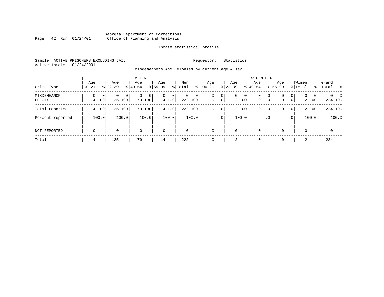# Georgia Department of Corrections Page 42 Run 01/24/01 Office of Planning and Analysis

# Inmate statistical profile

Sample: ACTIVE PRISONERS EXCLUDING JAIL **Requestor:** Statistics Active inmates 01/24/2001

Misdemeanors And Felonies by current age & sex

| Crime Type            | Aqe<br>$00 - 21$           | Age<br>$8122 - 39$             | M E N<br>Age<br>$8140 - 54$ | Age<br>$8155 - 99$          | Men<br>⊱<br>% Total               | Age<br>$00 - 21$ | Age<br>$ 22-39 $                             | <b>WOMEN</b><br>Aqe<br>$8 40-54$ | Age<br>$8155 - 99$ | Women<br>% Total                                                    | Grand<br>%   Total<br>း         |
|-----------------------|----------------------------|--------------------------------|-----------------------------|-----------------------------|-----------------------------------|------------------|----------------------------------------------|----------------------------------|--------------------|---------------------------------------------------------------------|---------------------------------|
| MISDEMEANOR<br>FELONY | 0<br>$\mathbf{0}$<br>4 100 | 0 <sup>1</sup><br>0<br>125 100 | 0<br>$\Omega$<br>79 100     | $\mathbf{0}$<br>0<br>14 100 | $\mathbf 0$<br>$\circ$<br>222 100 | 0<br>$\mathbf 0$ | 0<br>$\mathbf{0}$<br>$\overline{0}$<br>2 100 | 0<br>0<br>$\mathbf{0}$           | 0<br>0<br> 0 <br>0 | $\mathbf{0}$<br>$\Omega$<br>$\mathbf{0}$<br>$\overline{0}$<br>2 100 | $\Omega$<br>$\Omega$<br>224 100 |
| Total reported        | 4 100                      | 125 100                        | 79 100                      | 14 100                      | 222 100                           | 0                | 2 100<br>0                                   | 0                                | 0<br>0             | 2 100<br>$\overline{0}$                                             | 224 100                         |
| Percent reported      | 100.0                      | 100.0                          | 100.0                       | 100.0                       | 100.0                             |                  | 100.0<br>$\cdot$ 0                           |                                  | $\cdot$ 0          | 100.0<br>.0 <sup>1</sup>                                            | 100.0                           |
| NOT REPORTED          | $\mathbf 0$                | 0                              | $\mathbf 0$                 | $\mathbf 0$                 | $\mathbf 0$                       | $\mathbf 0$      | 0                                            | $\mathbf 0$                      | 0                  | $\mathbf 0$                                                         | $\mathbf 0$                     |
| Total                 | 4                          | 125                            | 79                          | 14                          | 222                               | 0                | 2                                            | $\overline{0}$                   | $\Omega$           | 2                                                                   | 224                             |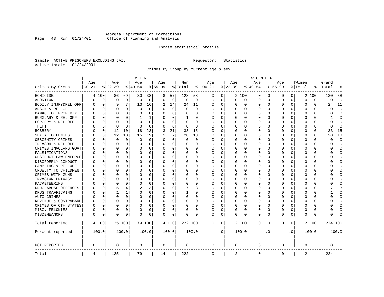# Georgia Department of Corrections Page 43 Run 01/24/01 Office of Planning and Analysis

# Inmate statistical profile

Sample: ACTIVE PRISONERS EXCLUDING JAIL **Requestor:** Statistics Active inmates 01/24/2001

Crimes By Group by current age & sex

|                      |                    |          |                    |          | M E N           |          |                  |             |                |             |                 |           |                    |          | W O M E N        |           |                  |              |                  |          |                |                |
|----------------------|--------------------|----------|--------------------|----------|-----------------|----------|------------------|-------------|----------------|-------------|-----------------|-----------|--------------------|----------|------------------|-----------|------------------|--------------|------------------|----------|----------------|----------------|
| Crimes By Group      | Age<br>$ 00 - 21 $ |          | Age<br>$8$   22-39 |          | Age<br>$ 40-54$ |          | Age<br>$8 55-99$ |             | Men<br>% Total | ႜ           | Age<br>$ 00-21$ |           | Age<br>$8$   22-39 |          | Age<br>$8 40-54$ |           | Age<br>$8 55-99$ |              | Women<br>% Total | ႜ        | Grand<br>Total |                |
|                      |                    |          |                    |          |                 |          |                  |             |                |             |                 |           |                    |          |                  |           |                  |              |                  |          |                |                |
| HOMICIDE             | 4                  | 100      | 86                 | 69       | 30              | 38       | 8                | 57          | 128            | 58          | 0               | 0         |                    | 2 100    | 0                | 0         | 0                | $\circ$      |                  | 2 100    | 130            | 58             |
| ABORTION             | N                  | 0        | $\mathbf 0$        | 0        | 0               | 0        | $\Omega$         | 0           | $\mathsf 0$    | $\mathbf 0$ | $\Omega$        | 0         | $\Omega$           | 0        | 0                | 0         | $\mathbf 0$      | 0            | 0                | 0        | 0              | $\overline{0}$ |
| BODILY INJRY&REL OFF | U                  | 0        |                    | 7        | 13              | 16       | 2                | 14          | 24             | 11          | 0               | 0         | 0                  | 0        | 0                | 0         | $\Omega$         | 0            | 0                | 0        | 24             | 11             |
| ARSON & REL OFF      |                    | 0        | $\Omega$           | $\Omega$ | $\Omega$        | 0        | U                | $\mathbf 0$ | $\Omega$       | $\Omega$    | C               | $\Omega$  |                    | $\Omega$ | 0                | O         |                  | $\Omega$     | $\Omega$         | $\Omega$ | U              | $\Omega$       |
| DAMAGE OF PROPERTY   |                    | O        | O                  | $\Omega$ | O               | $\Omega$ | O                | $\Omega$    | 0              | U           | 0               | $\Omega$  | <sup>0</sup>       | $\Omega$ | 0                | O         | U                | 0            | U                | 0        | U              | $\Omega$       |
| BURGLARY & REL OFF   |                    | 0        | O                  | $\Omega$ | 1               | 1        |                  | 0           | 1              | 0           | C               | $\Omega$  |                    | $\Omega$ | 0                | 0         | O                | $\Omega$     | 0                | $\Omega$ |                | <sup>0</sup>   |
| FORGERY & REL OFF    |                    | 0        | $\Omega$           | $\Omega$ | $\Omega$        | $\Omega$ |                  | $\mathbf 0$ | $\Omega$       | O           |                 | $\Omega$  |                    | $\Omega$ | 0                | 0         | $\Omega$         | $\Omega$     | $\Omega$         | $\Omega$ | U              | $\Omega$       |
| THEFT                |                    | 0        | $\cap$             | $\Omega$ | U               | $\Omega$ | U                | 0           | 0              | $\Omega$    | C               | 0         |                    | $\Omega$ | O                | O         | ∩                | 0            | U                | 0        | U              | $\Omega$       |
| ROBBERY              |                    | 0        | 12                 | 10       | 18              | 23       | 3                | 21          | 33             | 15          | C               | 0         |                    | $\Omega$ | 0                | O         | O                | 0            | U                | 0        | 33             | 15             |
| SEXUAL OFFENSES      |                    | 0        | 12                 | 10       | 15              | 19       |                  | 7           | 28             | 13          | C               | 0         |                    | $\Omega$ | O                | O         | U                | <sup>0</sup> | U                | 0        | 28             | 13             |
| OBSCENITY CRIMES     |                    | O        | $\Omega$           | 0        | $\Omega$        | 0        | O                | 0           | 0              | $\Omega$    | 0               | 0         | ∩                  | $\Omega$ | 0                | O         | ∩                | 0            | U                | 0        | U              | $\Omega$       |
| TREASON & REL OFF    |                    | 0        | 0                  | $\Omega$ | O               | 0        | U                | 0           | 0              | $\Omega$    | C               | 0         |                    | 0        | 0                | 0         |                  | 0            | 0                | 0        | U              | <sup>0</sup>   |
| CRIMES INVOLVNG GOVT |                    | $\Omega$ | $\Omega$           | $\Omega$ | $\Omega$        | 0        | O                | 0           | 0              | O           | C               | 0         |                    | $\Omega$ | 0                | O         | O                | $\Omega$     | $\Omega$         | 0        | በ              | $\Omega$       |
| FALSIFICATIONS       |                    | 0        | $\Omega$           | $\Omega$ | $\Omega$        | 0        | $\Omega$         | 0           | 0              | $\Omega$    | C               | 0         |                    | $\Omega$ | 0                | O         | $\Omega$         | $\Omega$     | 0                | 0        | U              | $\Omega$       |
| OBSTRUCT LAW ENFORCE |                    | 0        | O                  | $\Omega$ | $\Omega$        | 0        | U                | $\mathbf 0$ | 0              | 0           | C               | 0         |                    | $\Omega$ | 0                | U         |                  | $\Omega$     | 0                | 0        |                | <sup>0</sup>   |
| DISORDERLY CONDUCT   |                    | O        | O                  | $\Omega$ | $\Omega$        | $\Omega$ | O                | $\Omega$    | 0              | U           | C               | $\Omega$  |                    | $\Omega$ | 0                | O         | O                | $\Omega$     | $\Omega$         | 0        |                | ∩              |
| GAMBLING & REL OFF   |                    | O        | O                  | $\Omega$ | O               | $\Omega$ | O                | $\Omega$    | 0              | $\Omega$    | O               | $\Omega$  | <sup>0</sup>       | $\Omega$ | O                | O         | O                | $\Omega$     | U                | $\Omega$ |                | ∩              |
| CRUELTY TO CHILDREN  |                    | O        | O                  | $\Omega$ | O               | 0        |                  | $\mathbf 0$ | 0              | U           | C               | 0         |                    | $\Omega$ | U                | O         | O                | $\Omega$     | U                | O        |                | Ω              |
| CRIMES WITH GUNS     |                    | O        | O                  | 0        | U               | 0        |                  | 0           | U              | O           | C               | $\Omega$  |                    | $\Omega$ | O                | O         | O                | 0            | U                | $\Omega$ |                | $\Omega$       |
| INVASION PRIVACY     |                    | O        | n                  | 0        | U               | 0        | U                | 0           | 0              | U           | O               | 0         | O                  | $\Omega$ | 0                | O         | n                | 0            | ∩                | 0        |                | ∩              |
| RACKETEERING         |                    | O        |                    | O        | O               | 0        | O                | 0           | 0              | U           | C               | 0         |                    | $\Omega$ | 0                | O         |                  | 0            | O                | 0        |                | ſ              |
| DRUG ABUSE OFFENSES  |                    | $\Omega$ |                    | 4        | 2               | 3        | $\Omega$         | $\mathbf 0$ |                | 3           | O               | $\Omega$  |                    | $\Omega$ | $\Omega$         | $\Omega$  | O                | $\Omega$     | $\Omega$         | 0        |                | κ              |
| DRUG TRAFFICKING     |                    | 0        |                    | 1        | $\Omega$        | 0        | $\Omega$         | 0           | $\mathbf{1}$   | 0           | C               | 0         | <sup>0</sup>       | $\Omega$ | 0                | O         | O                | $\Omega$     | 0                | 0        |                | $\Omega$       |
| AUTO CRIMES          |                    | 0        | $\Omega$           | 0        | $\Omega$        | 0        | 0                | 0           | 0              | 0           | C               | 0         |                    | 0        | 0                | 0         | 0                | 0            | $\Omega$         | 0        | በ              | O              |
| REVENUE & CONTRABAND | 0                  | 0        | $\Omega$           | 0        | $\Omega$        | 0        | $\Omega$         | 0           | 0              | $\Omega$    | O               | 0         |                    | 0        | 0                | 0         | $\Omega$         | 0            | $\Omega$         | 0        | በ              | $\Omega$       |
| CRIMES OF OTH STATES | N                  | 0        | O                  | $\Omega$ | 0               | 0        | $\Omega$         | 0           | 0              | 0           | 0               | 0         | 0                  | $\Omega$ | 0                | O         | $\Omega$         | $\Omega$     | U                | 0        | U              | <sup>0</sup>   |
| MISC. FELONIES       | 0                  | 0        | $\Omega$           | $\Omega$ | 0               | 0        | 0                | $\mathbf 0$ | 0              | 0           | 0               | 0         |                    | $\Omega$ | $\Omega$         | 0         | $\Omega$         | $\Omega$     | $\Omega$         | 0        |                | ſ              |
| <b>MISDEMEANORS</b>  | 0                  | 0        | $\Omega$           | 0        | O               | 0        | O                | 0           | 0              | U           | $\Omega$        | 0         | O                  | 0        | 0                | 0         | $\Omega$         | 0            | U                | 0        | ი              |                |
| Total reported       |                    | 4 100    | 125 100            |          |                 | 79 100   |                  | 14 100      | 222 100        |             | 0               | 0         |                    | 2 100    | $\mathbf 0$      | 0         | 0                | 0            |                  | 2 100    | 224 100        |                |
| Percent reported     |                    | 100.0    |                    | 100.0    |                 | 100.0    |                  | 100.0       |                | 100.0       |                 | $\cdot$ 0 |                    | 100.0    |                  | $\cdot$ 0 |                  | $\cdot$ 0    |                  | 100.0    |                | 100.0          |
| NOT REPORTED         | 0                  |          | $\mathbf 0$        |          | 0               |          | $\mathbf 0$      |             | 0              |             | 0               |           | 0                  |          | 0                |           | $\Omega$         |              | $\Omega$         |          | 0              |                |
| Total                | 4                  |          | 125                |          | 79              |          | 14               |             | 222            |             | $\mathbf 0$     |           | 2                  |          | 0                |           | $\mathbf{0}$     |              | 2                |          | 224            |                |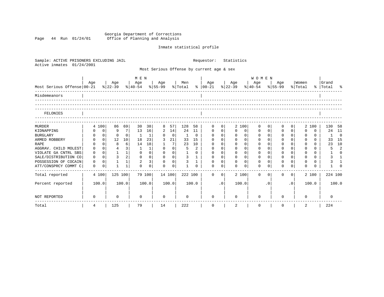Georgia Department of Corrections Page 44 Run 01/24/01 Office of Planning and Analysis

# Inmate statistical profile

| Sample: ACTIVE PRISONERS EXCLUDING JAIL<br>Active inmates<br>01/24/2001 |             |                |                |                 |                                |                |              |                |                |              | Requestor:                                |                | Statistics       |                |                                            |             |             |                |                  |          |                    |                |
|-------------------------------------------------------------------------|-------------|----------------|----------------|-----------------|--------------------------------|----------------|--------------|----------------|----------------|--------------|-------------------------------------------|----------------|------------------|----------------|--------------------------------------------|-------------|-------------|----------------|------------------|----------|--------------------|----------------|
|                                                                         |             |                |                |                 |                                |                |              |                |                |              | Most Serious Offense by current age & sex |                |                  |                |                                            |             |             |                |                  |          |                    |                |
|                                                                         |             |                |                |                 | M E N                          |                |              |                |                |              |                                           |                |                  |                | WOMEN                                      |             |             |                |                  |          |                    |                |
| Most Serious Offense 00-21                                              | Age         |                | Age<br>% 22-39 |                 | Age<br>% 40-54 % 55-99 % Total |                | Age          |                | Men            |              | Age<br>$8   00 - 21$                      |                | Age<br>$ 22-39 $ |                | Age<br>$\frac{8}{40-54}$ $\frac{8}{55-99}$ |             | Age         |                | Women<br>% Total |          | Grand<br>% Total % |                |
| Misdemeanors                                                            |             |                |                |                 |                                |                |              |                |                |              |                                           |                |                  |                |                                            |             |             |                |                  |          |                    |                |
| FELONIES                                                                |             |                |                |                 |                                |                |              |                |                |              |                                           |                |                  |                |                                            |             |             |                |                  |          |                    |                |
| <b>MURDER</b>                                                           |             | 4 100          | 86             | 69              | 30                             | 38             | 8            | 57             | 128            | 58           | 0                                         | 0              |                  | 2 100          | $\Omega$                                   |             | $\Omega$    | 0 <sup>1</sup> |                  | 2 100    | 130                | 58             |
| KIDNAPPING                                                              | 0           | $\mathbf{0}$   | 9              | 7               | 13                             | 16             | 2            | 14             | 24             | 11           | $\mathbf 0$                               | $\overline{0}$ | 0                | 0              | 0                                          | $\mathbf 0$ | $\mathbf 0$ | $\Omega$       | $\Omega$         | $\Omega$ | 24                 | 11             |
| <b>BURGLARY</b>                                                         | 0           | $\overline{0}$ | $\Omega$       | $\overline{0}$  | $\mathbf{1}$                   | $\mathbf{1}$   | 0            | $\mathbf 0$    | $\mathbf{1}$   | 0            | $\mathbf{0}$                              | 0 <sup>1</sup> | $\mathbf 0$      | $\mathbf 0$    | 0                                          | $\Omega$    | $\mathbf 0$ | $\Omega$       | $\mathbf 0$      | $\Omega$ | 1                  | $\overline{0}$ |
| ARMED ROBBERY                                                           | $\Omega$    | 0 <sup>1</sup> | 12             | 10 <sup>1</sup> | 18                             | 23             | 3            | 21             | 33             | 15           | $\Omega$                                  | $\Omega$       | $\Omega$         | $\Omega$       | $\Omega$                                   | $\Omega$    | $\Omega$    | $\Omega$       | $\Omega$         | $\Omega$ | 33                 | 15             |
| <b>RAPE</b>                                                             |             | $\Omega$       | 8              | $6 \mid$        | 14                             | 18             | $\mathbf{1}$ | 7 <sup>1</sup> | 23             | 10           | $\Omega$                                  | $\Omega$       | $\Omega$         | $\Omega$       | $\Omega$                                   | $\Omega$    | $\Omega$    | $\Omega$       | $\Omega$         | $\Omega$ | 23                 | 10             |
| AGGRAV. CHILD MOLEST                                                    | $\mathbf 0$ | $\Omega$       | $\overline{4}$ | 3               | 1                              | $\mathbf 1$    | $\Omega$     | 0 <sup>1</sup> | 5              | 2            | $\Omega$                                  | $\Omega$       | $\Omega$         | $\Omega$       | $\Omega$                                   | $\Omega$    | $\Omega$    | $\Omega$       | $\Omega$         | $\Omega$ | 5                  | $\overline{2}$ |
| VIOLATE GA CNTRL SBS                                                    | $\mathbf 0$ | 0 <sup>1</sup> | $\mathbf{1}$   | 1               | $\mathbf 0$                    | $\mathbf 0$    | $\mathbf 0$  | 0 <sup>1</sup> | $\mathbf{1}$   | $\Omega$     | $\mathbf 0$                               | 0 <sup>1</sup> | $\mathbf 0$      | $\mathbf 0$    | $\mathbf 0$                                | $\Omega$    | $\mathbf 0$ | 0 <sup>1</sup> | $\Omega$         | $\Omega$ | $\mathbf{1}$       | $\Omega$       |
| SALE/DISTRIBUTION CO                                                    | $\mathbf 0$ | $\Omega$       | $\overline{3}$ | 2 <sup>1</sup>  | $\mathbf{0}$                   | $\mathbf 0$    | $\mathbf 0$  | 0 <sup>1</sup> | $\mathbf{3}$   | $\mathbf{1}$ | $\mathbf{0}$                              | $\Omega$       | $\mathbf 0$      | 0 <sup>1</sup> | $\mathbf 0$                                | $\Omega$    | $\mathbf 0$ | $\Omega$       | $\mathbf 0$      | $\Omega$ | 3                  | $\overline{1}$ |
| POSSESSION OF COCAIN                                                    | $\Omega$    | $\Omega$       | $\mathbf{1}$   | $1\vert$        | $\overline{2}$                 | $\overline{3}$ | $\Omega$     | $\Omega$       | $\overline{3}$ | $\mathbf{1}$ | $\Omega$                                  | $\Omega$       | $\Omega$         | $\overline{0}$ | $\Omega$                                   | $\cap$      | $\Omega$    | $\cap$         | $\Omega$         | $\Omega$ | 3                  |                |
| ATT/CONSPRCY COMMT C                                                    | $\mathbf 0$ | $\mathbf 0$    | $\mathbf{1}$   | $\mathbf{1}$    | $\Omega$                       | $\Omega$       | $\Omega$     | $\mathbf 0$    | $\mathbf{1}$   | $\Omega$     | $\Omega$                                  | $\Omega$       | $\Omega$         | $\Omega$       | $\Omega$                                   |             | $\Omega$    | $\Omega$       | $\Omega$         | $\Omega$ | $\mathbf{1}$       |                |
| Total reported                                                          |             | 4 100          | 125 100        |                 |                                | 79 100         |              | 14 100         | 222 100        |              | $\Omega$                                  | $\Omega$       |                  | 2 100          | $\Omega$                                   | $\Omega$    | $\Omega$    | 0 <sup>1</sup> |                  | 2 100    | 224 100            |                |
| Percent reported                                                        |             | 100.0          |                | 100.0           |                                | 100.0          |              | 100.0          |                | 100.0        |                                           | .0             |                  | 100.0          |                                            | $\cdot$ 0   |             | $\cdot$ 0      |                  | 100.0    |                    | 100.0          |
| <b>NOT REPORTED</b>                                                     | 0           |                | 0              |                 | $\Omega$                       |                | $\Omega$     |                | $\Omega$       |              | $\Omega$                                  |                | $\Omega$         |                | $\Omega$                                   |             | ∩           |                | $\Omega$         |          | <sup>0</sup>       |                |
| Total                                                                   | 4           |                | 125            |                 | 79                             |                | 14           |                | 222            |              | $\mathsf{O}$                              |                | 2                |                | 0                                          |             | 0           |                | 2                |          | 224                |                |